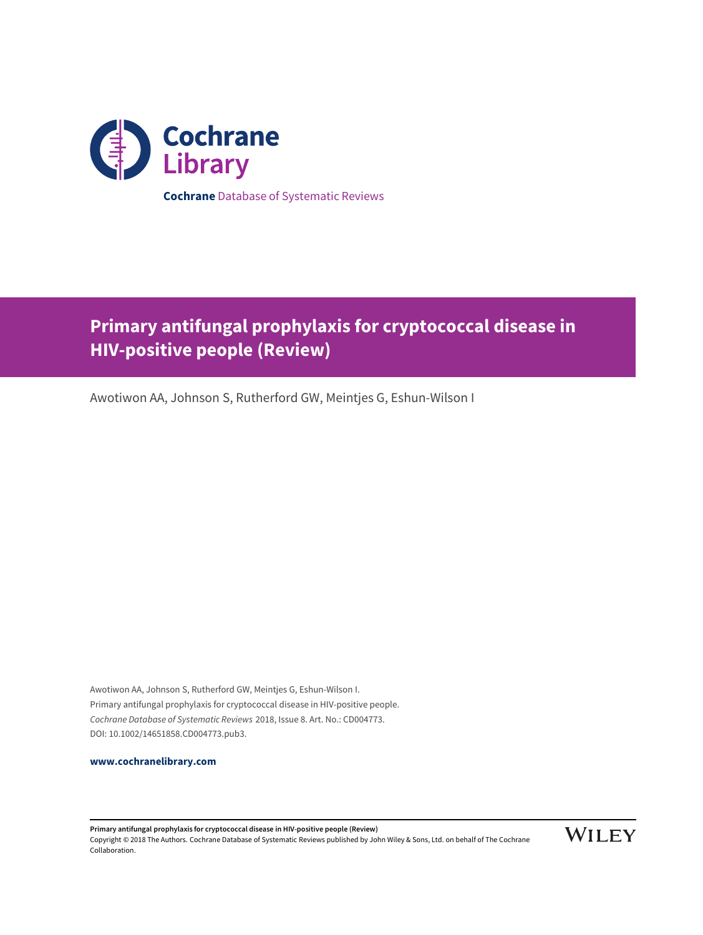

**Primary antifungal prophylaxis for cryptococcal disease in HIV-positive people (Review)**

Awotiwon AA, Johnson S, Rutherford GW, Meintjes G, Eshun-Wilson I

Awotiwon AA, Johnson S, Rutherford GW, Meintjes G, Eshun-Wilson I. Primary antifungal prophylaxis for cryptococcal disease in HIV-positive people. Cochrane Database of Systematic Reviews 2018, Issue 8. Art. No.: CD004773. DOI: 10.1002/14651858.CD004773.pub3.

**[www.cochranelibrary.com](http://www.cochranelibrary.com)**

**Primary antifungal prophylaxis for cryptococcal disease in HIV-positive people (Review)** Copyright © 2018 The Authors. Cochrane Database of Systematic Reviews published by John Wiley & Sons, Ltd. on behalf of The Cochrane Collaboration.

**WILEY**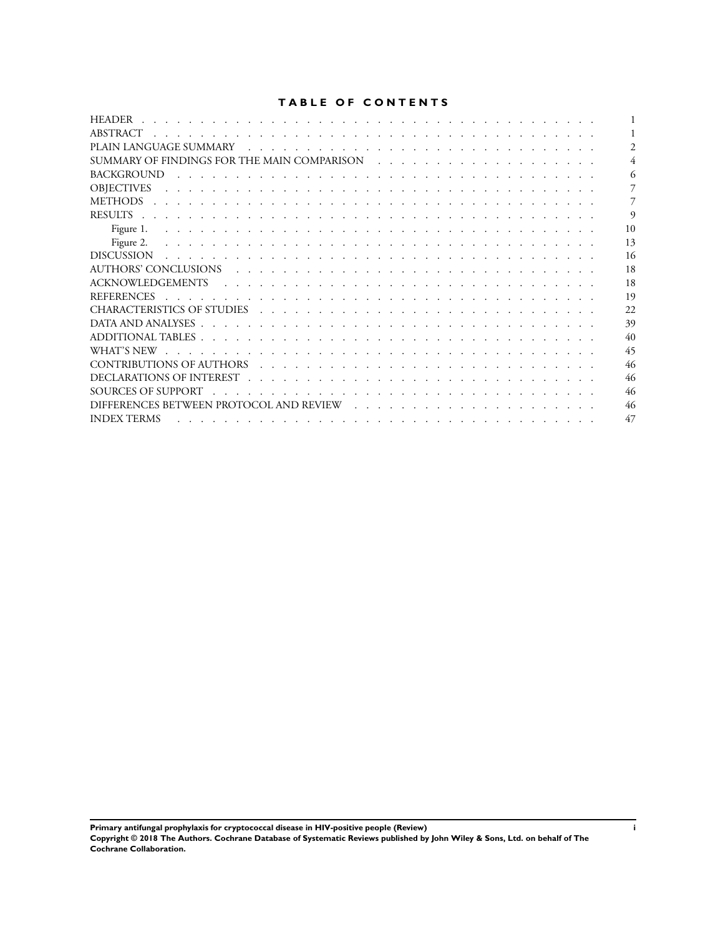# **TABLE OF CONTENTS**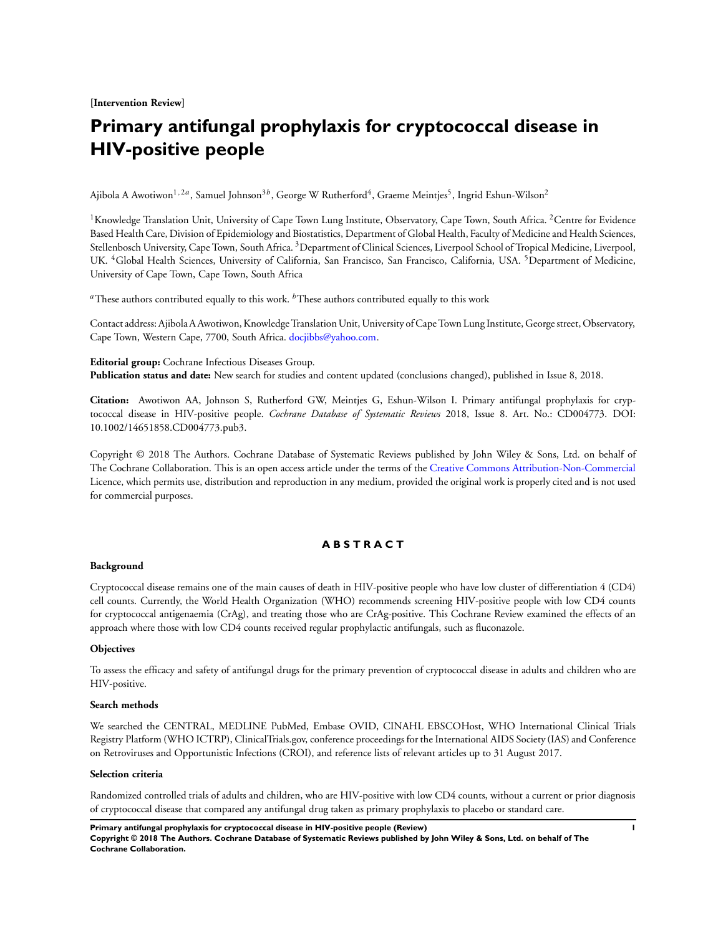**[Intervention Review]**

# **Primary antifungal prophylaxis for cryptococcal disease in HIV-positive people**

Ajibola A Awotiwon<sup>1,2a</sup>, Samuel Johnson<sup>3b</sup>, George W Rutherford<sup>4</sup>, Graeme Meintjes<sup>5</sup>, Ingrid Eshun-Wilson<sup>2</sup>

<sup>1</sup>Knowledge Translation Unit, University of Cape Town Lung Institute, Observatory, Cape Town, South Africa. <sup>2</sup>Centre for Evidence Based Health Care, Division of Epidemiology and Biostatistics, Department of Global Health, Faculty of Medicine and Health Sciences, Stellenbosch University, Cape Town, South Africa. <sup>3</sup>Department of Clinical Sciences, Liverpool School of Tropical Medicine, Liverpool, UK. <sup>4</sup>Global Health Sciences, University of California, San Francisco, San Francisco, California, USA. <sup>5</sup>Department of Medicine, University of Cape Town, Cape Town, South Africa

<sup>a</sup>These authors contributed equally to this work.  ${}^{b}$ These authors contributed equally to this work

Contact address: Ajibola A Awotiwon, Knowledge TranslationUnit, University of Cape Town Lung Institute, George street, Observatory, Cape Town, Western Cape, 7700, South Africa. [docjibbs@yahoo.com.](mailto:docjibbs@yahoo.com)

**Editorial group:** Cochrane Infectious Diseases Group. **Publication status and date:** New search for studies and content updated (conclusions changed), published in Issue 8, 2018.

**Citation:** Awotiwon AA, Johnson S, Rutherford GW, Meintjes G, Eshun-Wilson I. Primary antifungal prophylaxis for cryptococcal disease in HIV-positive people. *Cochrane Database of Systematic Reviews* 2018, Issue 8. Art. No.: CD004773. DOI: 10.1002/14651858.CD004773.pub3.

Copyright © 2018 The Authors. Cochrane Database of Systematic Reviews published by John Wiley & Sons, Ltd. on behalf of The Cochrane Collaboration. This is an open access article under the terms of the [Creative Commons Attribution-Non-Commercial](http://creativecommons.org/licenses/by-nc/4.0/) Licence, which permits use, distribution and reproduction in any medium, provided the original work is properly cited and is not used for commercial purposes.

# **A B S T R A C T**

### **Background**

Cryptococcal disease remains one of the main causes of death in HIV-positive people who have low cluster of differentiation 4 (CD4) cell counts. Currently, the World Health Organization (WHO) recommends screening HIV-positive people with low CD4 counts for cryptococcal antigenaemia (CrAg), and treating those who are CrAg-positive. This Cochrane Review examined the effects of an approach where those with low CD4 counts received regular prophylactic antifungals, such as fluconazole.

### **Objectives**

To assess the efficacy and safety of antifungal drugs for the primary prevention of cryptococcal disease in adults and children who are HIV-positive.

#### **Search methods**

We searched the CENTRAL, MEDLINE PubMed, Embase OVID, CINAHL EBSCOHost, WHO International Clinical Trials Registry Platform (WHO ICTRP), ClinicalTrials.gov, conference proceedings for the International AIDS Society (IAS) and Conference on Retroviruses and Opportunistic Infections (CROI), and reference lists of relevant articles up to 31 August 2017.

### **Selection criteria**

Randomized controlled trials of adults and children, who are HIV-positive with low CD4 counts, without a current or prior diagnosis of cryptococcal disease that compared any antifungal drug taken as primary prophylaxis to placebo or standard care.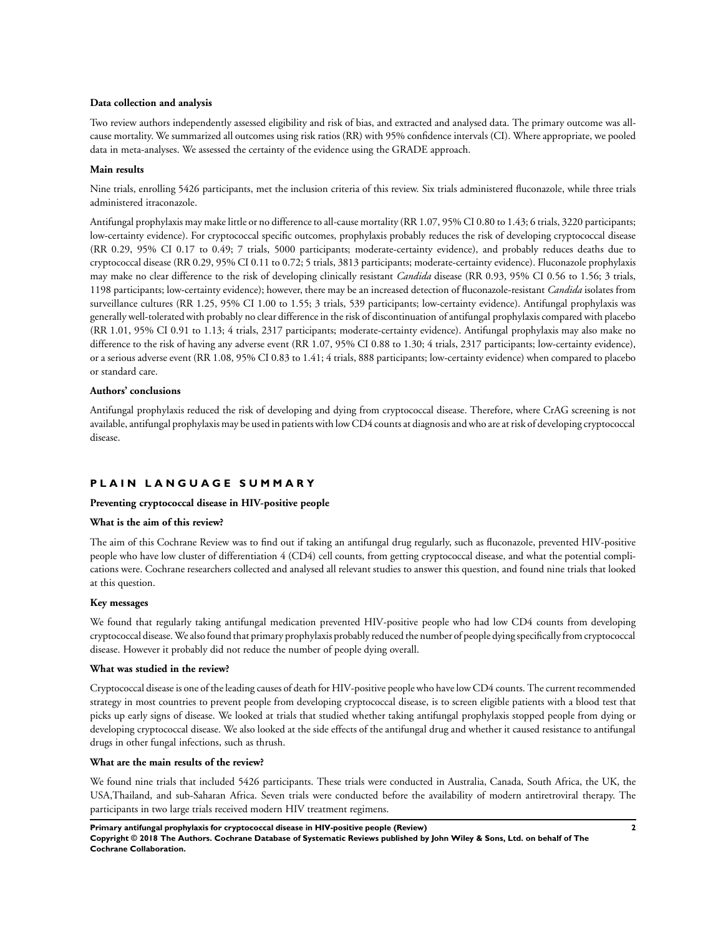### **Data collection and analysis**

Two review authors independently assessed eligibility and risk of bias, and extracted and analysed data. The primary outcome was allcause mortality. We summarized all outcomes using risk ratios (RR) with 95% confidence intervals (CI). Where appropriate, we pooled data in meta-analyses. We assessed the certainty of the evidence using the GRADE approach.

### **Main results**

Nine trials, enrolling 5426 participants, met the inclusion criteria of this review. Six trials administered fluconazole, while three trials administered itraconazole.

Antifungal prophylaxis may make little or no difference to all-cause mortality (RR 1.07, 95% CI 0.80 to 1.43; 6 trials, 3220 participants; low-certainty evidence). For cryptococcal specific outcomes, prophylaxis probably reduces the risk of developing cryptococcal disease (RR 0.29, 95% CI 0.17 to 0.49; 7 trials, 5000 participants; moderate-certainty evidence), and probably reduces deaths due to cryptococcal disease (RR 0.29, 95% CI 0.11 to 0.72; 5 trials, 3813 participants; moderate-certainty evidence). Fluconazole prophylaxis may make no clear difference to the risk of developing clinically resistant *Candida* disease (RR 0.93, 95% CI 0.56 to 1.56; 3 trials, 1198 participants; low-certainty evidence); however, there may be an increased detection of fluconazole-resistant *Candida* isolates from surveillance cultures (RR 1.25, 95% CI 1.00 to 1.55; 3 trials, 539 participants; low-certainty evidence). Antifungal prophylaxis was generally well-tolerated with probably no clear difference in the risk of discontinuation of antifungal prophylaxis compared with placebo (RR 1.01, 95% CI 0.91 to 1.13; 4 trials, 2317 participants; moderate-certainty evidence). Antifungal prophylaxis may also make no difference to the risk of having any adverse event (RR 1.07, 95% CI 0.88 to 1.30; 4 trials, 2317 participants; low-certainty evidence), or a serious adverse event (RR 1.08, 95% CI 0.83 to 1.41; 4 trials, 888 participants; low-certainty evidence) when compared to placebo or standard care.

# **Authors' conclusions**

Antifungal prophylaxis reduced the risk of developing and dying from cryptococcal disease. Therefore, where CrAG screening is not available, antifungal prophylaxis may be used in patients with low CD4 counts at diagnosis and who are at risk of developing cryptococcal disease.

# **P L A I N L A N G U A G E S U M M A R Y**

### **Preventing cryptococcal disease in HIV-positive people**

### **What is the aim of this review?**

The aim of this Cochrane Review was to find out if taking an antifungal drug regularly, such as fluconazole, prevented HIV-positive people who have low cluster of differentiation 4 (CD4) cell counts, from getting cryptococcal disease, and what the potential complications were. Cochrane researchers collected and analysed all relevant studies to answer this question, and found nine trials that looked at this question.

# **Key messages**

We found that regularly taking antifungal medication prevented HIV-positive people who had low CD4 counts from developing cryptococcal disease.We alsofound that primary prophylaxis probably reduced the number of people dying specifically from cryptococcal disease. However it probably did not reduce the number of people dying overall.

### **What was studied in the review?**

Cryptococcal disease is one of the leading causes of death for HIV-positive people who have low CD4 counts. The current recommended strategy in most countries to prevent people from developing cryptococcal disease, is to screen eligible patients with a blood test that picks up early signs of disease. We looked at trials that studied whether taking antifungal prophylaxis stopped people from dying or developing cryptococcal disease. We also looked at the side effects of the antifungal drug and whether it caused resistance to antifungal drugs in other fungal infections, such as thrush.

### **What are the main results of the review?**

We found nine trials that included 5426 participants. These trials were conducted in Australia, Canada, South Africa, the UK, the USA,Thailand, and sub-Saharan Africa. Seven trials were conducted before the availability of modern antiretroviral therapy. The participants in two large trials received modern HIV treatment regimens.

**Primary antifungal prophylaxis for cryptococcal disease in HIV-positive people (Review) 2**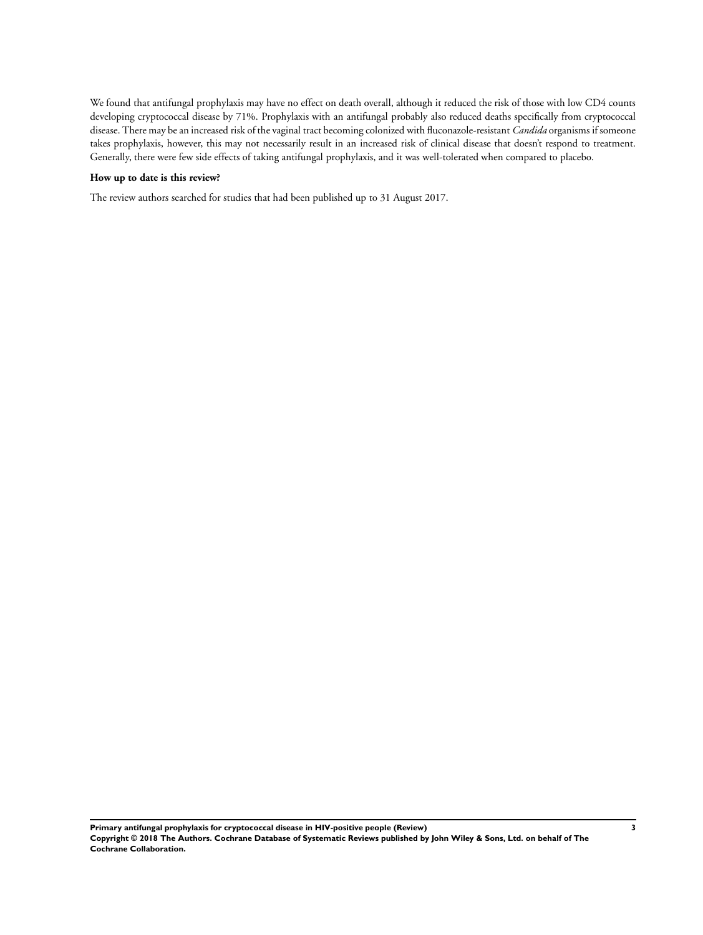We found that antifungal prophylaxis may have no effect on death overall, although it reduced the risk of those with low CD4 counts developing cryptococcal disease by 71%. Prophylaxis with an antifungal probably also reduced deaths specifically from cryptococcal disease. There may be an increased risk of the vaginal tract becoming colonized with fluconazole-resistant *Candida* organisms if someone takes prophylaxis, however, this may not necessarily result in an increased risk of clinical disease that doesn't respond to treatment. Generally, there were few side effects of taking antifungal prophylaxis, and it was well-tolerated when compared to placebo.

# **How up to date is this review?**

The review authors searched for studies that had been published up to 31 August 2017.

**Primary antifungal prophylaxis for cryptococcal disease in HIV-positive people (Review) 3 Copyright © 2018 The Authors. Cochrane Database of Systematic Reviews published by John Wiley & Sons, Ltd. on behalf of The Cochrane Collaboration.**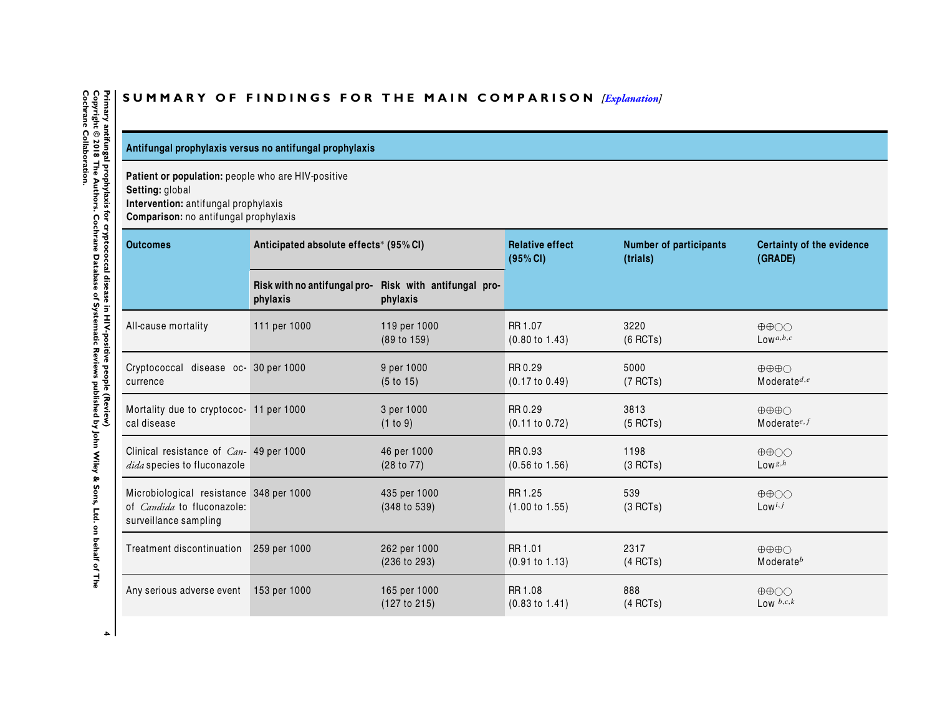# SUMMARY OF FINDINGS FOR THE MAIN COMPARISON *[\[Explanation\]](http://www.thecochranelibrary.com/view/0/SummaryFindings.html)*

# **Antifungal prophylaxis versus no antifungal prophylaxis**

**Patient or population:** people who are HIV-positive

**Setting:** global

**Intervention:** antifungal prophylaxis

**Comparison:**no antifungal prophylaxis

| <b>Outcomes</b>                                                                                       | Anticipated absolute effects* (95% CI)   |                                       | <b>Relative effect</b><br>(95% CI)   | <b>Number of participants</b><br>(trials) | <b>Certainty of the evidence</b><br>(GRADE)       |
|-------------------------------------------------------------------------------------------------------|------------------------------------------|---------------------------------------|--------------------------------------|-------------------------------------------|---------------------------------------------------|
|                                                                                                       | Risk with no antifungal pro-<br>phylaxis | Risk with antifungal pro-<br>phylaxis |                                      |                                           |                                                   |
| All-cause mortality                                                                                   | 111 per 1000                             | 119 per 1000<br>(89 to 159)           | RR 1.07<br>$(0.80 \text{ to } 1.43)$ | 3220<br>$(6$ RCTs)                        | $\oplus \oplus \odot \odot$<br>$Low^{a,b,c}$      |
| Cryptococcal disease oc- 30 per 1000<br>currence                                                      |                                          | 9 per 1000<br>(5 to 15)               | RR 0.29<br>$(0.17 \text{ to } 0.49)$ | 5000<br>(7 RCTs)                          | $\oplus \oplus \oplus \cap$<br>Moderate $d,e$     |
| Mortality due to cryptococ- 11 per 1000<br>cal disease                                                |                                          | 3 per 1000<br>(1 to 9)                | RR 0.29<br>(0.11 to 0.72)            | 3813<br>$(5$ RCTs)                        | $\oplus \oplus \oplus \cap$<br>Moderate $e^{i,f}$ |
| Clinical resistance of $Can-$ 49 per 1000<br>dida species to fluconazole                              |                                          | 46 per 1000<br>(28 to 77)             | RR 0.93<br>$(0.56 \text{ to } 1.56)$ | 1198<br>(3 RCTs)                          | $\oplus \oplus \bigcirc \bigcirc$<br>Lows, $h$    |
| Microbiological resistance 348 per 1000<br>of <i>Candida</i> to fluconazole:<br>surveillance sampling |                                          | 435 per 1000<br>(348 to 539)          | RR 1.25<br>$(1.00 \text{ to } 1.55)$ | 539<br>(3 RCTs)                           | $\oplus \oplus \bigcirc \bigcirc$<br>$Low^{i,j}$  |
| Treatment discontinuation                                                                             | 259 per 1000                             | 262 per 1000<br>(236 to 293)          | RR 1.01<br>(0.91 to 1.13)            | 2317<br>(4 RCTs)                          | $\oplus \oplus \oplus \cap$<br>$M$ oderate $^b$   |
| Any serious adverse event                                                                             | 153 per 1000                             | 165 per 1000<br>(127 to 215)          | RR 1.08<br>$(0.83 \text{ to } 1.41)$ | 888<br>$(4$ RCTs)                         | $\oplus \oplus \odot \odot$<br>Low $b, c, k$      |

<span id="page-5-0"></span>Primary antifungal prophylaxis for cryptococcal disease in HIV-positive people (Review)<br>Copyright © 2018 The Authors. Cochrane Database of Systematic Reviews published by John Wiley & Sons, Ltd. on behalf of The<br>Cochrane C **Cochrane Collaboration.Copyright © 2018 The Authors. Cochrane Database of Systematic Reviews published by John Wiley & Sons, Ltd. on behalf of The 4 Primary antifungal prophylaxis for cryptococcal disease in HIV-positive people (Review)**

 $\overline{a}$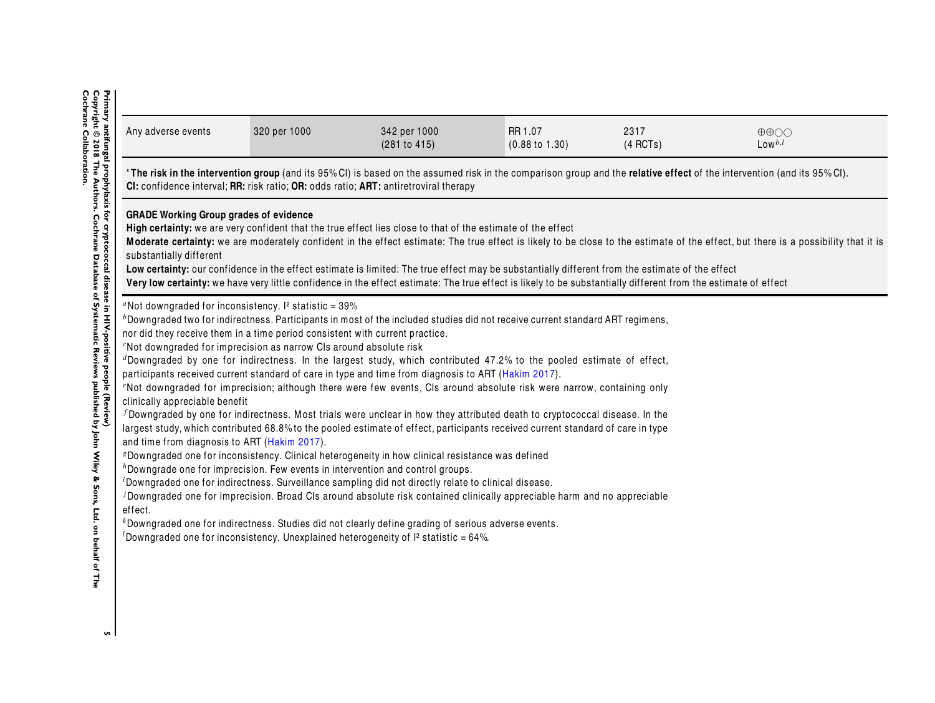| Any adverse events                                                       | 320 per 1000                                                                   | 342 per 1000<br>(281 to 415)                                                                                                                                                                                                                                                                                                                                                                                                     | RR 1.07<br>$(0.88 \text{ to } 1.30)$ | 2317<br>(4 RCTs) | $\oplus \oplus \bigcirc \bigcirc$<br>$Low^{b,l}$                                                                                                                                   |
|--------------------------------------------------------------------------|--------------------------------------------------------------------------------|----------------------------------------------------------------------------------------------------------------------------------------------------------------------------------------------------------------------------------------------------------------------------------------------------------------------------------------------------------------------------------------------------------------------------------|--------------------------------------|------------------|------------------------------------------------------------------------------------------------------------------------------------------------------------------------------------|
|                                                                          |                                                                                | CI: confidence interval; RR: risk ratio; OR: odds ratio; ART: antiretroviral therapy                                                                                                                                                                                                                                                                                                                                             |                                      |                  | *The risk in the intervention group (and its 95%CI) is based on the assumed risk in the comparison group and the relative effect of the intervention (and its 95%CI).              |
| <b>GRADE Working Group grades of evidence</b><br>substantially different |                                                                                | High certainty: we are very confident that the true effect lies close to that of the estimate of the effect<br>Low certainty: our confidence in the effect estimate is limited: The true effect may be substantially different from the estimate of the effect<br>Very low certainty: we have very little confidence in the effect estimate: The true effect is likely to be substantially different from the estimate of effect |                                      |                  | Moderate certainty: we are moderately confident in the effect estimate: The true effect is likely to be close to the estimate of the effect, but there is a possibility that it is |
|                                                                          | "Not downgraded for inconsistency. $I^2$ statistic = 39%                       | $b$ Downgraded two for indirectness. Participants in most of the included studies did not receive current standard ART regimens,                                                                                                                                                                                                                                                                                                 |                                      |                  |                                                                                                                                                                                    |
|                                                                          | nor did they receive them in a time period consistent with current practice.   |                                                                                                                                                                                                                                                                                                                                                                                                                                  |                                      |                  |                                                                                                                                                                                    |
|                                                                          | <sup>c</sup> Not downgraded for imprecision as narrow CIs around absolute risk |                                                                                                                                                                                                                                                                                                                                                                                                                                  |                                      |                  |                                                                                                                                                                                    |
|                                                                          |                                                                                | $d$ Downgraded by one for indirectness. In the largest study, which contributed 47.2% to the pooled estimate of effect,                                                                                                                                                                                                                                                                                                          |                                      |                  |                                                                                                                                                                                    |
|                                                                          |                                                                                | participants received current standard of care in type and time from diagnosis to ART (Hakim 2017).<br>"Not downgraded for imprecision; although there were few events, CIs around absolute risk were narrow, containing only                                                                                                                                                                                                    |                                      |                  |                                                                                                                                                                                    |
| clinically appreciable benefit                                           |                                                                                | f Downgraded by one for indirectness. Most trials were unclear in how they attributed death to cryptococcal disease. In the                                                                                                                                                                                                                                                                                                      |                                      |                  |                                                                                                                                                                                    |
|                                                                          |                                                                                | largest study, which contributed 68.8% to the pooled estimate of effect, participants received current standard of care in type                                                                                                                                                                                                                                                                                                  |                                      |                  |                                                                                                                                                                                    |
|                                                                          |                                                                                | <i>8</i> Downgraded one for inconsistency. Clinical heterogeneity in how clinical resistance was defined                                                                                                                                                                                                                                                                                                                         |                                      |                  |                                                                                                                                                                                    |
|                                                                          |                                                                                | $h$ Downgrade one for imprecision. Few events in intervention and control groups.                                                                                                                                                                                                                                                                                                                                                |                                      |                  |                                                                                                                                                                                    |
|                                                                          |                                                                                | <sup><i>i</i></sup> Downgraded one for indirectness. Surveillance sampling did not directly relate to clinical disease.<br>JDowngraded one for imprecision. Broad CIs around absolute risk contained clinically appreciable harm and no appreciable                                                                                                                                                                              |                                      |                  |                                                                                                                                                                                    |
| and time from diagnosis to ART (Hakim 2017).<br>effect.                  |                                                                                | $k$ Downgraded one for indirectness. Studies did not clearly define grading of serious adverse events.                                                                                                                                                                                                                                                                                                                           |                                      |                  |                                                                                                                                                                                    |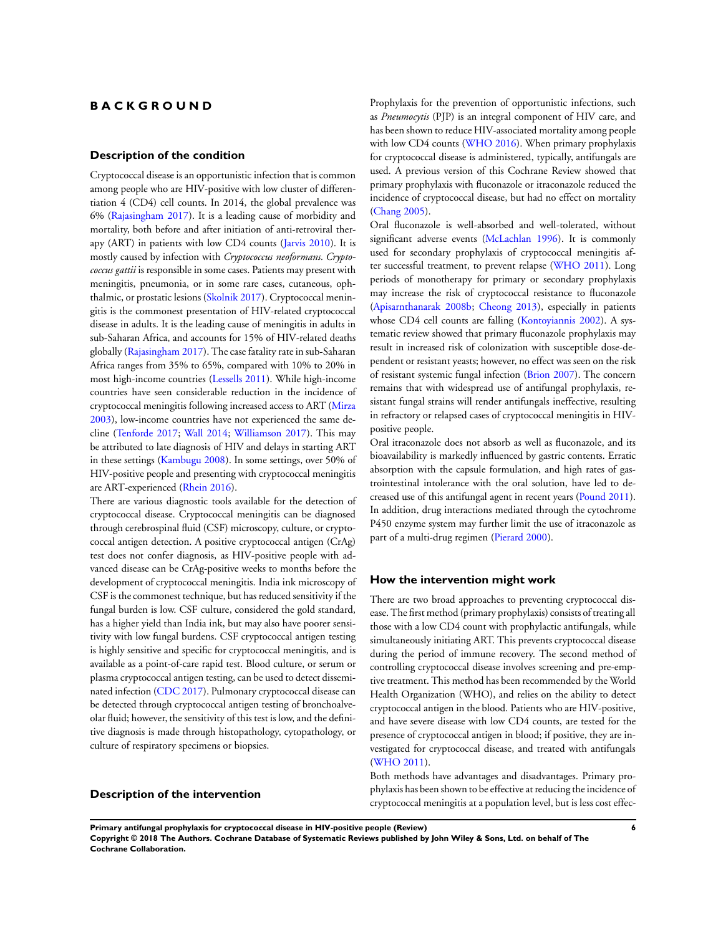# **B A C K G R O U N D**

# **Description of the condition**

Cryptococcal disease is an opportunistic infection that is common among people who are HIV-positive with low cluster of differentiation 4 (CD4) cell counts. In 2014, the global prevalence was 6% [\(Rajasingham 2017\)](#page-20-0). It is a leading cause of morbidity and mortality, both before and after initiation of anti-retroviral therapy (ART) in patients with low CD4 counts ([Jarvis 2010\)](#page-20-0). It is mostly caused by infection with *Cryptococcus neoformans. Cryptococcus gattii* is responsible in some cases. Patients may present with meningitis, pneumonia, or in some rare cases, cutaneous, ophthalmic, or prostatic lesions ([Skolnik 2017](#page-20-0)). Cryptococcal meningitis is the commonest presentation of HIV-related cryptococcal disease in adults. It is the leading cause of meningitis in adults in sub-Saharan Africa, and accounts for 15% of HIV-related deaths globally ([Rajasingham 2017](#page-20-0)). The case fatality rate in sub-Saharan Africa ranges from 35% to 65%, compared with 10% to 20% in most high-income countries ([Lessells 2011](#page-20-0)). While high-income countries have seen considerable reduction in the incidence of cryptococcal meningitis following increased access to ART ([Mirza](#page-20-0) [2003](#page-20-0)), low-income countries have not experienced the same decline ([Tenforde 2017;](#page-20-0) [Wall 2014;](#page-20-0) [Williamson 2017\)](#page-20-0). This may be attributed to late diagnosis of HIV and delays in starting ART in these settings [\(Kambugu 2008\)](#page-20-0). In some settings, over 50% of HIV-positive people and presenting with cryptococcal meningitis are ART-experienced [\(Rhein 2016\)](#page-20-0).

There are various diagnostic tools available for the detection of cryptococcal disease. Cryptococcal meningitis can be diagnosed through cerebrospinal fluid (CSF) microscopy, culture, or cryptococcal antigen detection. A positive cryptococcal antigen (CrAg) test does not confer diagnosis, as HIV-positive people with advanced disease can be CrAg-positive weeks to months before the development of cryptococcal meningitis. India ink microscopy of CSF is the commonest technique, but has reduced sensitivity if the fungal burden is low. CSF culture, considered the gold standard, has a higher yield than India ink, but may also have poorer sensitivity with low fungal burdens. CSF cryptococcal antigen testing is highly sensitive and specific for cryptococcal meningitis, and is available as a point-of-care rapid test. Blood culture, or serum or plasma cryptococcal antigen testing, can be used to detect disseminated infection ([CDC 2017\)](#page-20-0). Pulmonary cryptococcal disease can be detected through cryptococcal antigen testing of bronchoalveolar fluid; however, the sensitivity of this test is low, and the definitive diagnosis is made through histopathology, cytopathology, or culture of respiratory specimens or biopsies.

# **Description of the intervention**

Prophylaxis for the prevention of opportunistic infections, such as *Pneumocytis* (PJP) is an integral component of HIV care, and has been shown to reduce HIV-associated mortality among people with low CD4 counts ([WHO 2016](#page-20-0)). When primary prophylaxis for cryptococcal disease is administered, typically, antifungals are used. A previous version of this Cochrane Review showed that primary prophylaxis with fluconazole or itraconazole reduced the incidence of cryptococcal disease, but had no effect on mortality [\(Chang 2005\)](#page-20-0).

Oral fluconazole is well-absorbed and well-tolerated, without significant adverse events ([McLachlan 1996](#page-20-0)). It is commonly used for secondary prophylaxis of cryptococcal meningitis after successful treatment, to prevent relapse [\(WHO 2011](#page-20-0)). Long periods of monotherapy for primary or secondary prophylaxis may increase the risk of cryptococcal resistance to fluconazole [\(Apisarnthanarak 2008b](#page-20-0); [Cheong 2013\)](#page-20-0), especially in patients whose CD4 cell counts are falling ([Kontoyiannis 2002](#page-20-0)). A systematic review showed that primary fluconazole prophylaxis may result in increased risk of colonization with susceptible dose-dependent or resistant yeasts; however, no effect was seen on the risk of resistant systemic fungal infection [\(Brion 2007](#page-20-0)). The concern remains that with widespread use of antifungal prophylaxis, resistant fungal strains will render antifungals ineffective, resulting in refractory or relapsed cases of cryptococcal meningitis in HIVpositive people.

Oral itraconazole does not absorb as well as fluconazole, and its bioavailability is markedly influenced by gastric contents. Erratic absorption with the capsule formulation, and high rates of gastrointestinal intolerance with the oral solution, have led to decreased use of this antifungal agent in recent years [\(Pound 2011](#page-20-0)). In addition, drug interactions mediated through the cytochrome P450 enzyme system may further limit the use of itraconazole as part of a multi-drug regimen [\(Pierard 2000](#page-20-0)).

### **How the intervention might work**

There are two broad approaches to preventing cryptococcal disease. The first method (primary prophylaxis) consists of treating all those with a low CD4 count with prophylactic antifungals, while simultaneously initiating ART. This prevents cryptococcal disease during the period of immune recovery. The second method of controlling cryptococcal disease involves screening and pre-emptive treatment. This method has been recommended by the World Health Organization (WHO), and relies on the ability to detect cryptococcal antigen in the blood. Patients who are HIV-positive, and have severe disease with low CD4 counts, are tested for the presence of cryptococcal antigen in blood; if positive, they are investigated for cryptococcal disease, and treated with antifungals [\(WHO 2011](#page-20-0)).

Both methods have advantages and disadvantages. Primary prophylaxis has been shown to be effective at reducing the incidence of cryptococcal meningitis at a population level, but is less cost effec-

**Primary antifungal prophylaxis for cryptococcal disease in HIV-positive people (Review) 6**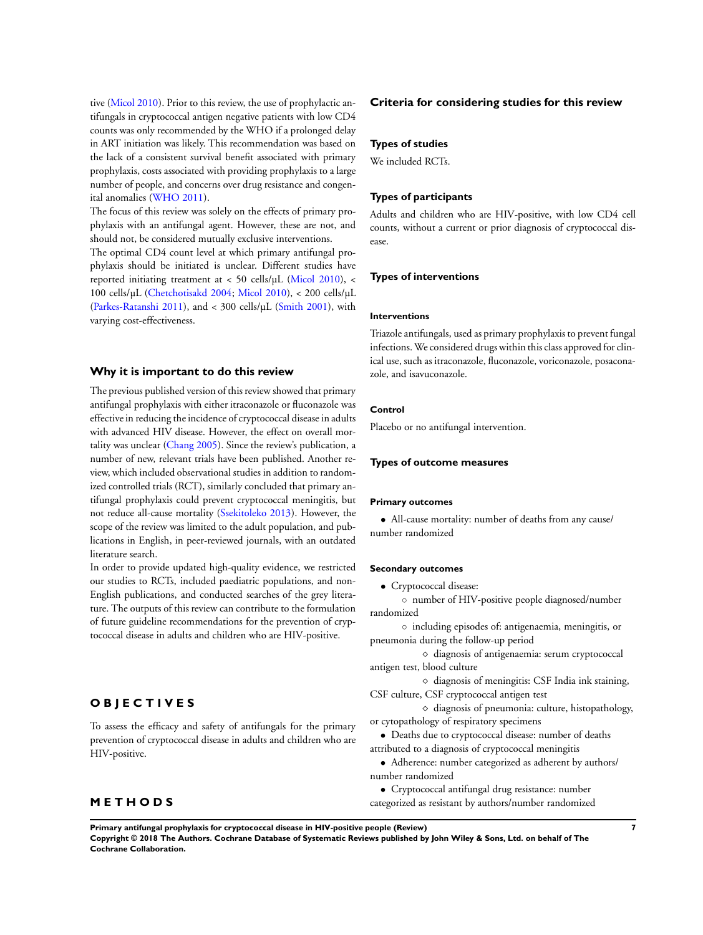tive [\(Micol 2010](#page-20-0)). Prior to this review, the use of prophylactic antifungals in cryptococcal antigen negative patients with low CD4 counts was only recommended by the WHO if a prolonged delay in ART initiation was likely. This recommendation was based on the lack of a consistent survival benefit associated with primary prophylaxis, costs associated with providing prophylaxis to a large number of people, and concerns over drug resistance and congenital anomalies [\(WHO 2011](#page-20-0)).

The focus of this review was solely on the effects of primary prophylaxis with an antifungal agent. However, these are not, and should not, be considered mutually exclusive interventions.

The optimal CD4 count level at which primary antifungal prophylaxis should be initiated is unclear. Different studies have reported initiating treatment at < 50 cells/µL ([Micol 2010](#page-20-0)), < 100 cells/µL [\(Chetchotisakd 2004](#page-20-0); [Micol 2010\)](#page-20-0), < 200 cells/µL [\(Parkes-Ratanshi 2011](#page-20-0)), and < 300 cells/µL ([Smith 2001\)](#page-20-0), with varying cost-effectiveness.

### **Why it is important to do this review**

The previous published version of this review showed that primary antifungal prophylaxis with either itraconazole or fluconazole was effective in reducing the incidence of cryptococcal disease in adults with advanced HIV disease. However, the effect on overall mortality was unclear ([Chang 2005](#page-20-0)). Since the review's publication, a number of new, relevant trials have been published. Another review, which included observational studies in addition to randomized controlled trials (RCT), similarly concluded that primary antifungal prophylaxis could prevent cryptococcal meningitis, but not reduce all-cause mortality [\(Ssekitoleko 2013](#page-20-0)). However, the scope of the review was limited to the adult population, and publications in English, in peer-reviewed journals, with an outdated literature search.

In order to provide updated high-quality evidence, we restricted our studies to RCTs, included paediatric populations, and non-English publications, and conducted searches of the grey literature. The outputs of this review can contribute to the formulation of future guideline recommendations for the prevention of cryptococcal disease in adults and children who are HIV-positive.

# **O B J E C T I V E S**

To assess the efficacy and safety of antifungals for the primary prevention of cryptococcal disease in adults and children who are HIV-positive.

# **M E T H O D S**

#### **Criteria for considering studies for this review**

### **Types of studies**

We included RCTs.

### **Types of participants**

Adults and children who are HIV-positive, with low CD4 cell counts, without a current or prior diagnosis of cryptococcal disease.

#### **Types of interventions**

#### **Interventions**

Triazole antifungals, used as primary prophylaxis to prevent fungal infections. We considered drugs within this class approved for clinical use, such as itraconazole, fluconazole, voriconazole, posaconazole, and isavuconazole.

# **Control**

Placebo or no antifungal intervention.

#### **Types of outcome measures**

#### **Primary outcomes**

• All-cause mortality: number of deaths from any cause/ number randomized

#### **Secondary outcomes**

• Cryptococcal disease:

◦ number of HIV-positive people diagnosed/number randomized

◦ including episodes of: antigenaemia, meningitis, or pneumonia during the follow-up period

⋄ diagnosis of antigenaemia: serum cryptococcal antigen test, blood culture

⋄ diagnosis of meningitis: CSF India ink staining, CSF culture, CSF cryptococcal antigen test

⋄ diagnosis of pneumonia: culture, histopathology, or cytopathology of respiratory specimens

• Deaths due to cryptococcal disease: number of deaths attributed to a diagnosis of cryptococcal meningitis

• Adherence: number categorized as adherent by authors/ number randomized

• Cryptococcal antifungal drug resistance: number

categorized as resistant by authors/number randomized

**Primary antifungal prophylaxis for cryptococcal disease in HIV-positive people (Review) 7**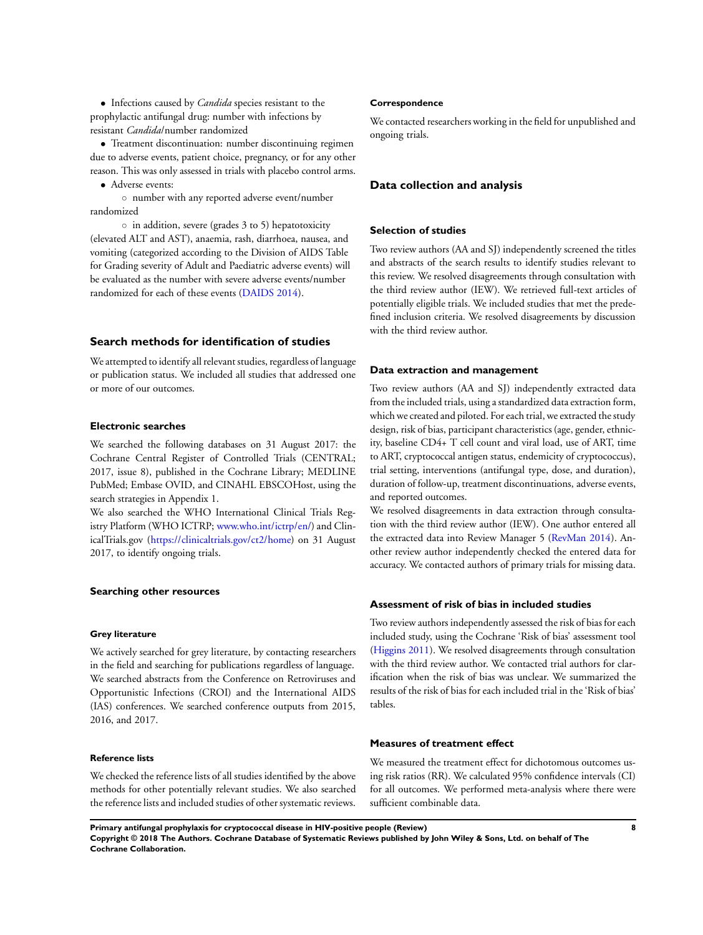• Infections caused by *Candida* species resistant to the prophylactic antifungal drug: number with infections by resistant *Candida*/number randomized

• Treatment discontinuation: number discontinuing regimen due to adverse events, patient choice, pregnancy, or for any other reason. This was only assessed in trials with placebo control arms.

• Adverse events:

◦ number with any reported adverse event/number randomized

◦ in addition, severe (grades 3 to 5) hepatotoxicity (elevated ALT and AST), anaemia, rash, diarrhoea, nausea, and vomiting (categorized according to the Division of AIDS Table for Grading severity of Adult and Paediatric adverse events) will be evaluated as the number with severe adverse events/number randomized for each of these events ([DAIDS 2014](#page-20-0)).

### **Search methods for identification of studies**

We attempted to identify all relevant studies, regardless of language or publication status. We included all studies that addressed one or more of our outcomes.

# **Electronic searches**

We searched the following databases on 31 August 2017: the Cochrane Central Register of Controlled Trials (CENTRAL; 2017, issue 8), published in the Cochrane Library; MEDLINE PubMed; Embase OVID, and CINAHL EBSCOHost, using the search strategies in Appendix 1.

We also searched the WHO International Clinical Trials Registry Platform (WHO ICTRP; [www.who.int/ictrp/en/](http://www.who.int/ictrp/en/)) and ClinicalTrials.gov (<https://clinicaltrials.gov/ct2/home>) on 31 August 2017, to identify ongoing trials.

#### **Searching other resources**

#### **Grey literature**

We actively searched for grey literature, by contacting researchers in the field and searching for publications regardless of language. We searched abstracts from the Conference on Retroviruses and Opportunistic Infections (CROI) and the International AIDS (IAS) conferences. We searched conference outputs from 2015, 2016, and 2017.

# **Reference lists**

We checked the reference lists of all studies identified by the above methods for other potentially relevant studies. We also searched the reference lists and included studies of other systematic reviews.

#### **Correspondence**

We contacted researchers working in the field for unpublished and ongoing trials.

# **Data collection and analysis**

### **Selection of studies**

Two review authors (AA and SJ) independently screened the titles and abstracts of the search results to identify studies relevant to this review. We resolved disagreements through consultation with the third review author (IEW). We retrieved full-text articles of potentially eligible trials. We included studies that met the predefined inclusion criteria. We resolved disagreements by discussion with the third review author.

#### **Data extraction and management**

Two review authors (AA and SJ) independently extracted data from the included trials, using a standardized data extraction form, which we created and piloted. For each trial, we extracted the study design, risk of bias, participant characteristics (age, gender, ethnicity, baseline CD4+ T cell count and viral load, use of ART, time to ART, cryptococcal antigen status, endemicity of cryptococcus), trial setting, interventions (antifungal type, dose, and duration), duration of follow-up, treatment discontinuations, adverse events, and reported outcomes.

We resolved disagreements in data extraction through consultation with the third review author (IEW). One author entered all the extracted data into Review Manager 5 ([RevMan 2014](#page-20-0)). Another review author independently checked the entered data for accuracy. We contacted authors of primary trials for missing data.

### **Assessment of risk of bias in included studies**

Two review authors independently assessed the risk of bias for each included study, using the Cochrane 'Risk of bias' assessment tool [\(Higgins 2011\)](#page-20-0). We resolved disagreements through consultation with the third review author. We contacted trial authors for clarification when the risk of bias was unclear. We summarized the results of the risk of bias for each included trial in the 'Risk of bias' tables.

#### **Measures of treatment effect**

We measured the treatment effect for dichotomous outcomes using risk ratios (RR). We calculated 95% confidence intervals (CI) for all outcomes. We performed meta-analysis where there were sufficient combinable data.

**Primary antifungal prophylaxis for cryptococcal disease in HIV-positive people (Review) 8 Copyright © 2018 The Authors. Cochrane Database of Systematic Reviews published by John Wiley & Sons, Ltd. on behalf of The Cochrane Collaboration.**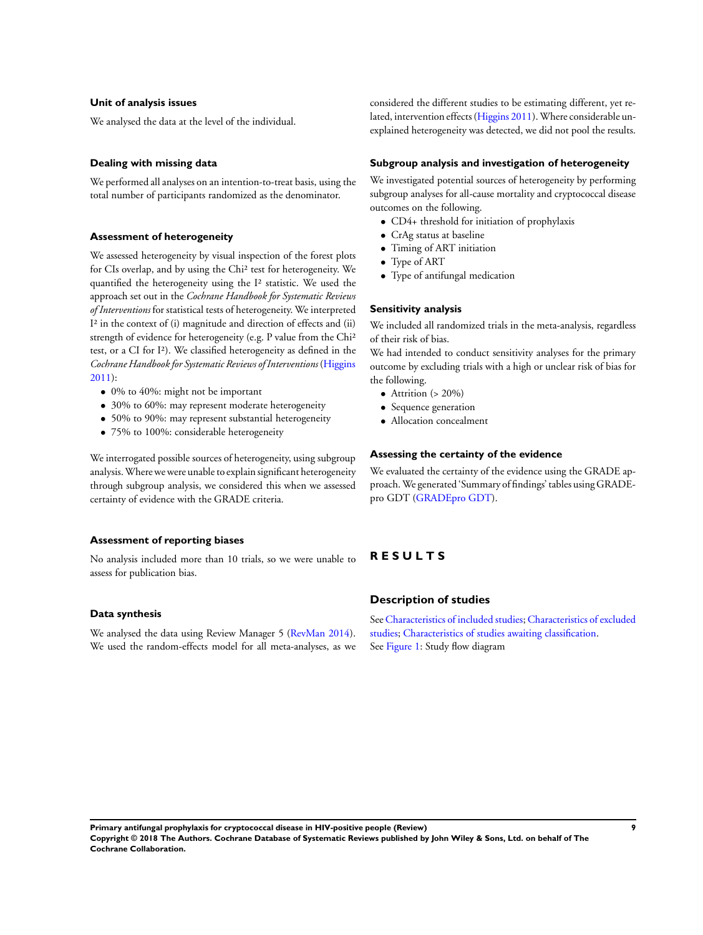# **Unit of analysis issues**

We analysed the data at the level of the individual.

# **Dealing with missing data**

We performed all analyses on an intention-to-treat basis, using the total number of participants randomized as the denominator.

#### **Assessment of heterogeneity**

We assessed heterogeneity by visual inspection of the forest plots for CIs overlap, and by using the Chi² test for heterogeneity. We quantified the heterogeneity using the I² statistic. We used the approach set out in the *Cochrane Handbook for Systematic Reviews of Interventions* for statistical tests of heterogeneity. We interpreted I² in the context of (i) magnitude and direction of effects and (ii) strength of evidence for heterogeneity (e.g. P value from the Chi² test, or a CI for I²). We classified heterogeneity as defined in the *Cochrane Handbook for Systematic Reviews of Interventions* ([Higgins](#page-20-0) [2011](#page-20-0)):

- 0% to 40%: might not be important
- 30% to 60%: may represent moderate heterogeneity
- 50% to 90%: may represent substantial heterogeneity
- 75% to 100%: considerable heterogeneity

We interrogated possible sources of heterogeneity, using subgroup analysis.Where we were unable to explain significant heterogeneity through subgroup analysis, we considered this when we assessed certainty of evidence with the GRADE criteria.

# **Assessment of reporting biases**

No analysis included more than 10 trials, so we were unable to assess for publication bias.

### **Data synthesis**

We analysed the data using Review Manager 5 ([RevMan 2014](#page-20-0)). We used the random-effects model for all meta-analyses, as we considered the different studies to be estimating different, yet related, intervention effects ([Higgins 2011](#page-20-0)). Where considerable unexplained heterogeneity was detected, we did not pool the results.

#### **Subgroup analysis and investigation of heterogeneity**

We investigated potential sources of heterogeneity by performing subgroup analyses for all-cause mortality and cryptococcal disease outcomes on the following.

- CD4+ threshold for initiation of prophylaxis
- CrAg status at baseline
- Timing of ART initiation
- Type of ART
- Type of antifungal medication

#### **Sensitivity analysis**

We included all randomized trials in the meta-analysis, regardless of their risk of bias.

We had intended to conduct sensitivity analyses for the primary outcome by excluding trials with a high or unclear risk of bias for the following.

- Attrition  $(> 20\%)$
- Sequence generation
- Allocation concealment

#### **Assessing the certainty of the evidence**

We evaluated the certainty of the evidence using the GRADE approach.We generated 'Summary of findings' tables using GRADEpro GDT [\(GRADEpro GDT](#page-20-0)).

# **R E S U L T S**

### **Description of studies**

See [Characteristics of included studies;](#page-24-0) [Characteristics of excluded](#page-37-0) [studies;](#page-37-0) [Characteristics of studies awaiting classification.](#page-38-0) See [Figure 1:](#page-11-0) Study flow diagram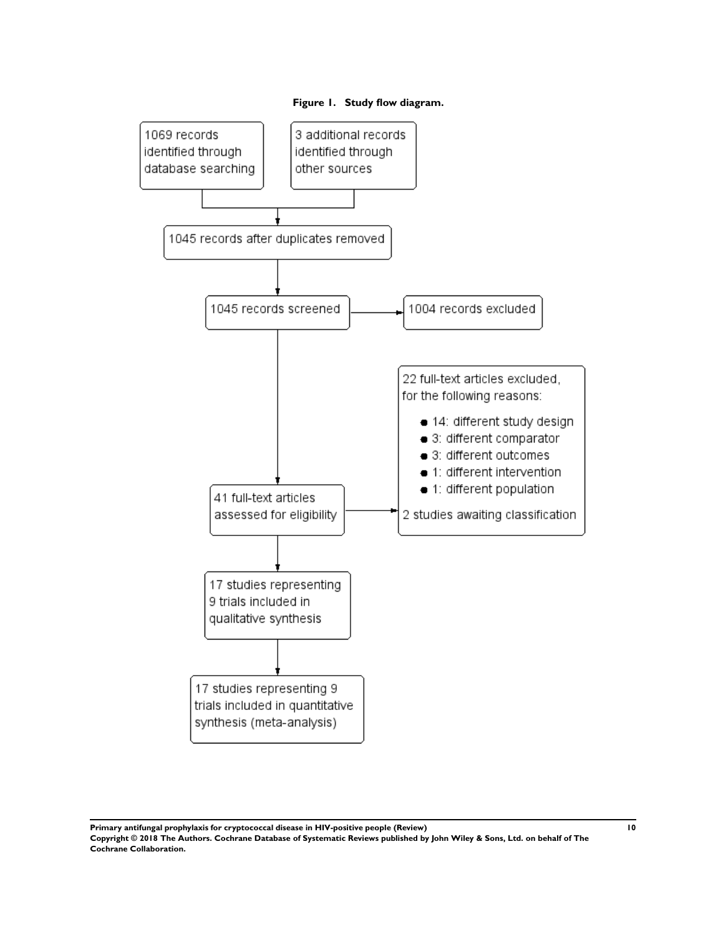<span id="page-11-0"></span>

**Primary antifungal prophylaxis for cryptococcal disease in HIV-positive people (Review) 10 Copyright © 2018 The Authors. Cochrane Database of Systematic Reviews published by John Wiley & Sons, Ltd. on behalf of The Cochrane Collaboration.**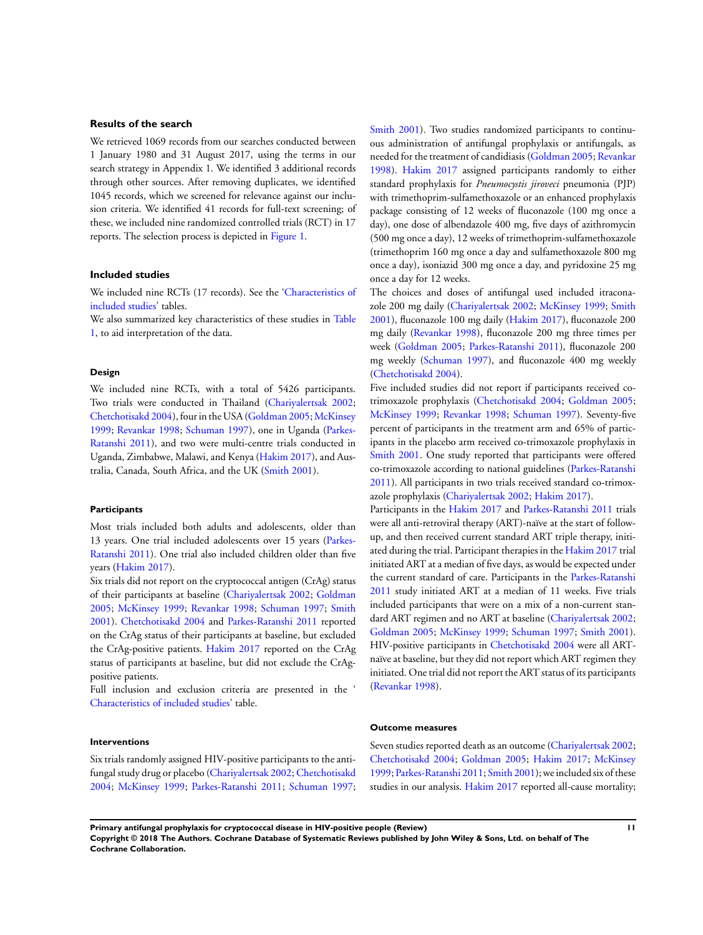### **Results of the search**

We retrieved 1069 records from our searches conducted between 1 January 1980 and 31 August 2017, using the terms in our search strategy in Appendix 1. We identified 3 additional records through other sources. After removing duplicates, we identified 1045 records, which we screened for relevance against our inclusion criteria. We identified 41 records for full-text screening; of these, we included nine randomized controlled trials (RCT) in 17 reports. The selection process is depicted in [Figure 1.](#page-11-0)

#### **Included studies**

We included nine RCTs (17 records). See the '[Characteristics of](#page-24-0) [included studies](#page-24-0)' tables.

We also summarized key characteristics of these studies in [Table](#page-41-0) [1,](#page-41-0) to aid interpretation of the data.

#### **Design**

We included nine RCTs, with a total of 5426 participants. Two trials were conducted in Thailand ([Chariyalertsak 2002;](#page-20-0) [Chetchotisakd 2004\)](#page-20-0), four in the USA ([Goldman 2005](#page-20-0); [McKinsey](#page-20-0) [1999](#page-20-0); [Revankar 1998](#page-20-0); [Schuman 1997\)](#page-20-0), one in Uganda [\(Parkes-](#page-20-0)[Ratanshi 2011\)](#page-20-0), and two were multi-centre trials conducted in Uganda, Zimbabwe, Malawi, and Kenya [\(Hakim 2017\)](#page-20-0), and Australia, Canada, South Africa, and the UK ([Smith 2001\)](#page-20-0).

#### **Participants**

Most trials included both adults and adolescents, older than 13 years. One trial included adolescents over 15 years [\(Parkes-](#page-20-0)[Ratanshi 2011](#page-20-0)). One trial also included children older than five years [\(Hakim 2017](#page-20-0)).

Six trials did not report on the cryptococcal antigen (CrAg) status of their participants at baseline ([Chariyalertsak 2002;](#page-20-0) [Goldman](#page-20-0) [2005](#page-20-0); [McKinsey 1999](#page-20-0); [Revankar 1998](#page-20-0); [Schuman 1997;](#page-20-0) [Smith](#page-20-0) [2001](#page-20-0)). [Chetchotisakd 2004](#page-20-0) and [Parkes-Ratanshi 2011](#page-20-0) reported on the CrAg status of their participants at baseline, but excluded the CrAg-positive patients. [Hakim 2017](#page-20-0) reported on the CrAg status of participants at baseline, but did not exclude the CrAgpositive patients.

Full inclusion and exclusion criteria are presented in the ' [Characteristics of included studies'](#page-24-0) table.

[Smith 2001](#page-20-0)). Two studies randomized participants to continuous administration of antifungal prophylaxis or antifungals, as needed for the treatment of candidiasis [\(Goldman 2005;](#page-20-0) [Revankar](#page-20-0) [1998](#page-20-0)). [Hakim 2017](#page-20-0) assigned participants randomly to either standard prophylaxis for *Pneumocystis jiroveci* pneumonia (PJP) with trimethoprim-sulfamethoxazole or an enhanced prophylaxis package consisting of 12 weeks of fluconazole (100 mg once a day), one dose of albendazole 400 mg, five days of azithromycin (500 mg once a day), 12 weeks of trimethoprim-sulfamethoxazole (trimethoprim 160 mg once a day and sulfamethoxazole 800 mg once a day), isoniazid 300 mg once a day, and pyridoxine 25 mg once a day for 12 weeks.

The choices and doses of antifungal used included itraconazole 200 mg daily [\(Chariyalertsak 2002;](#page-20-0) [McKinsey 1999](#page-20-0); [Smith](#page-20-0) [2001](#page-20-0)), fluconazole 100 mg daily [\(Hakim 2017\)](#page-20-0), fluconazole 200 mg daily [\(Revankar 1998\)](#page-20-0), fluconazole 200 mg three times per week ([Goldman 2005](#page-20-0); [Parkes-Ratanshi 2011\)](#page-20-0), fluconazole 200 mg weekly ([Schuman 1997](#page-20-0)), and fluconazole 400 mg weekly [\(Chetchotisakd 2004\)](#page-20-0).

Five included studies did not report if participants received cotrimoxazole prophylaxis ([Chetchotisakd 2004](#page-20-0); [Goldman 2005;](#page-20-0) [McKinsey 1999;](#page-20-0) [Revankar 1998;](#page-20-0) [Schuman 1997](#page-20-0)). Seventy-five percent of participants in the treatment arm and 65% of participants in the placebo arm received co-trimoxazole prophylaxis in [Smith 2001](#page-20-0). One study reported that participants were offered co-trimoxazole according to national guidelines ([Parkes-Ratanshi](#page-20-0) [2011](#page-20-0)). All participants in two trials received standard co-trimoxazole prophylaxis ([Chariyalertsak 2002;](#page-20-0) [Hakim 2017](#page-20-0)).

Participants in the [Hakim 2017](#page-20-0) and [Parkes-Ratanshi 2011](#page-20-0) trials were all anti-retroviral therapy (ART)-naïve at the start of followup, and then received current standard ART triple therapy, initiated during the trial. Participant therapies in the [Hakim 2017](#page-20-0) trial initiated ART at a median of five days, as would be expected under the current standard of care. Participants in the [Parkes-Ratanshi](#page-20-0) [2011](#page-20-0) study initiated ART at a median of 11 weeks. Five trials included participants that were on a mix of a non-current standard ART regimen and no ART at baseline ([Chariyalertsak 2002;](#page-20-0) [Goldman 2005](#page-20-0); [McKinsey 1999](#page-20-0); [Schuman 1997](#page-20-0); [Smith 2001](#page-20-0)). HIV-positive participants in [Chetchotisakd 2004](#page-20-0) were all ARTnaïve at baseline, but they did not report which ART regimen they initiated. One trial did not report the ART status of its participants [\(Revankar 1998\)](#page-20-0).

#### **Outcome measures**

# **Interventions**

Six trials randomly assigned HIV-positive participants to the antifungal study drug or placebo ([Chariyalertsak 2002;](#page-20-0) [Chetchotisakd](#page-20-0) [2004](#page-20-0); [McKinsey 1999;](#page-20-0) [Parkes-Ratanshi 2011](#page-20-0); [Schuman 1997;](#page-20-0) Seven studies reported death as an outcome [\(Chariyalertsak 2002;](#page-20-0) [Chetchotisakd 2004](#page-20-0); [Goldman 2005;](#page-20-0) [Hakim 2017](#page-20-0); [McKinsey](#page-20-0) [1999](#page-20-0); [Parkes-Ratanshi 2011](#page-20-0); [Smith 2001](#page-20-0)); we included six of these studies in our analysis. [Hakim 2017](#page-20-0) reported all-cause mortality;

**Primary antifungal prophylaxis for cryptococcal disease in HIV-positive people (Review) 11 Copyright © 2018 The Authors. Cochrane Database of Systematic Reviews published by John Wiley & Sons, Ltd. on behalf of The Cochrane Collaboration.**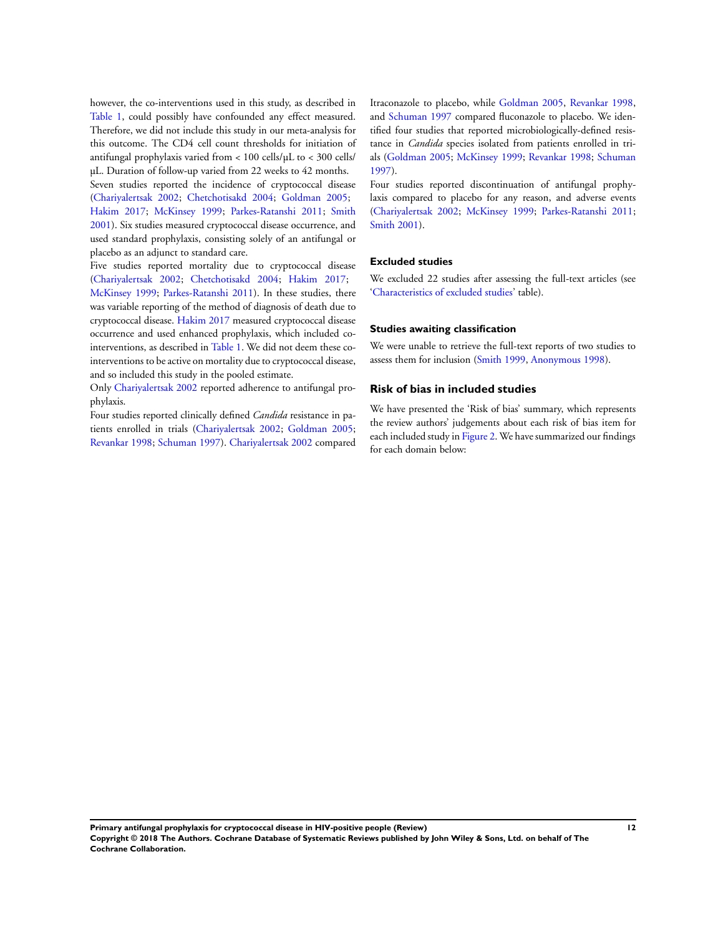however, the co-interventions used in this study, as described in [Table 1](#page-41-0), could possibly have confounded any effect measured. Therefore, we did not include this study in our meta-analysis for this outcome. The CD4 cell count thresholds for initiation of antifungal prophylaxis varied from < 100 cells/µL to < 300 cells/ µL. Duration of follow-up varied from 22 weeks to 42 months. Seven studies reported the incidence of cryptococcal disease [\(Chariyalertsak 2002;](#page-20-0) [Chetchotisakd 2004](#page-20-0); [Goldman 2005](#page-20-0); [Hakim 2017](#page-20-0); [McKinsey 1999](#page-20-0); [Parkes-Ratanshi 2011](#page-20-0); [Smith](#page-20-0) [2001](#page-20-0)). Six studies measured cryptococcal disease occurrence, and used standard prophylaxis, consisting solely of an antifungal or placebo as an adjunct to standard care.

Five studies reported mortality due to cryptococcal disease [\(Chariyalertsak 2002](#page-20-0); [Chetchotisakd 2004;](#page-20-0) [Hakim 2017;](#page-20-0) [McKinsey 1999;](#page-20-0) [Parkes-Ratanshi 2011\)](#page-20-0). In these studies, there was variable reporting of the method of diagnosis of death due to cryptococcal disease. [Hakim 2017](#page-20-0) measured cryptococcal disease occurrence and used enhanced prophylaxis, which included cointerventions, as described in [Table 1](#page-41-0). We did not deem these cointerventions to be active on mortality due to cryptococcal disease, and so included this study in the pooled estimate.

Only [Chariyalertsak 2002](#page-20-0) reported adherence to antifungal prophylaxis.

Four studies reported clinically defined *Candida* resistance in patients enrolled in trials ([Chariyalertsak 2002;](#page-20-0) [Goldman 2005;](#page-20-0) [Revankar 1998](#page-20-0); [Schuman 1997\)](#page-20-0). [Chariyalertsak 2002](#page-20-0) compared

Itraconazole to placebo, while [Goldman 2005,](#page-20-0) [Revankar 1998,](#page-20-0) and [Schuman 1997](#page-20-0) compared fluconazole to placebo. We identified four studies that reported microbiologically-defined resistance in *Candida* species isolated from patients enrolled in trials ([Goldman 2005;](#page-20-0) [McKinsey 1999](#page-20-0); [Revankar 1998;](#page-20-0) [Schuman](#page-20-0) [1997](#page-20-0)).

Four studies reported discontinuation of antifungal prophylaxis compared to placebo for any reason, and adverse events [\(Chariyalertsak 2002](#page-20-0); [McKinsey 1999](#page-20-0); [Parkes-Ratanshi 2011;](#page-20-0) [Smith 2001](#page-20-0)).

### **Excluded studies**

We excluded 22 studies after assessing the full-text articles (see ['Characteristics of excluded studies](#page-37-0)' table).

### **Studies awaiting classification**

We were unable to retrieve the full-text reports of two studies to assess them for inclusion ([Smith 1999,](#page-20-0) [Anonymous 1998](#page-20-0)).

### **Risk of bias in included studies**

We have presented the 'Risk of bias' summary, which represents the review authors' judgements about each risk of bias item for each included study in [Figure 2.](#page-14-0) We have summarized our findings for each domain below: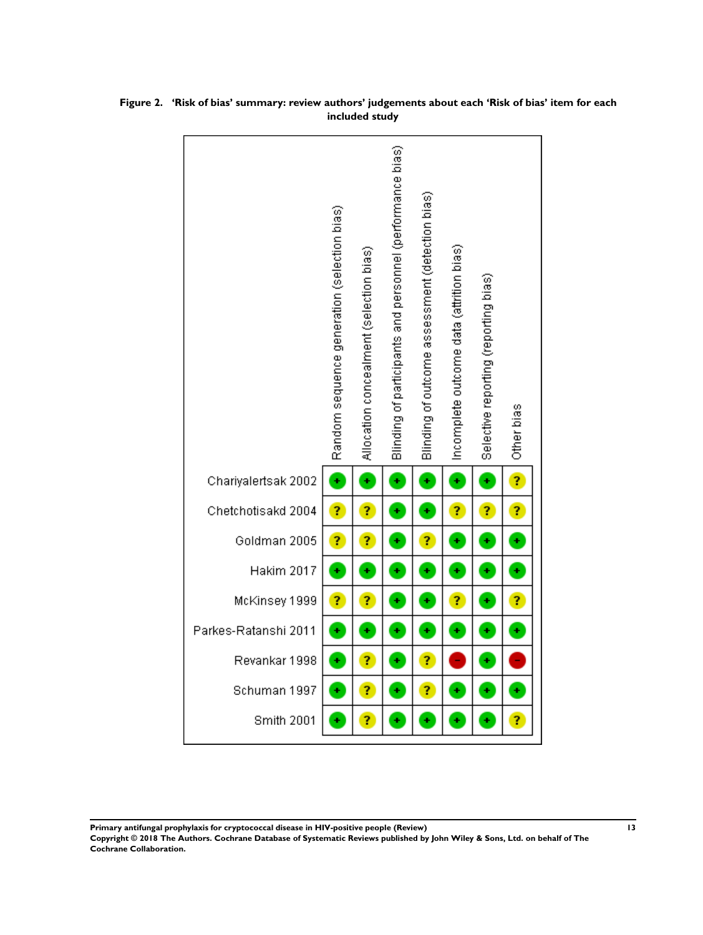

<span id="page-14-0"></span>**Figure 2. 'Risk of bias' summary: review authors' judgements about each 'Risk of bias' item for each included study**

**Primary antifungal prophylaxis for cryptococcal disease in HIV-positive people (Review) 13**

**Copyright © 2018 The Authors. Cochrane Database of Systematic Reviews published by John Wiley & Sons, Ltd. on behalf of The Cochrane Collaboration.**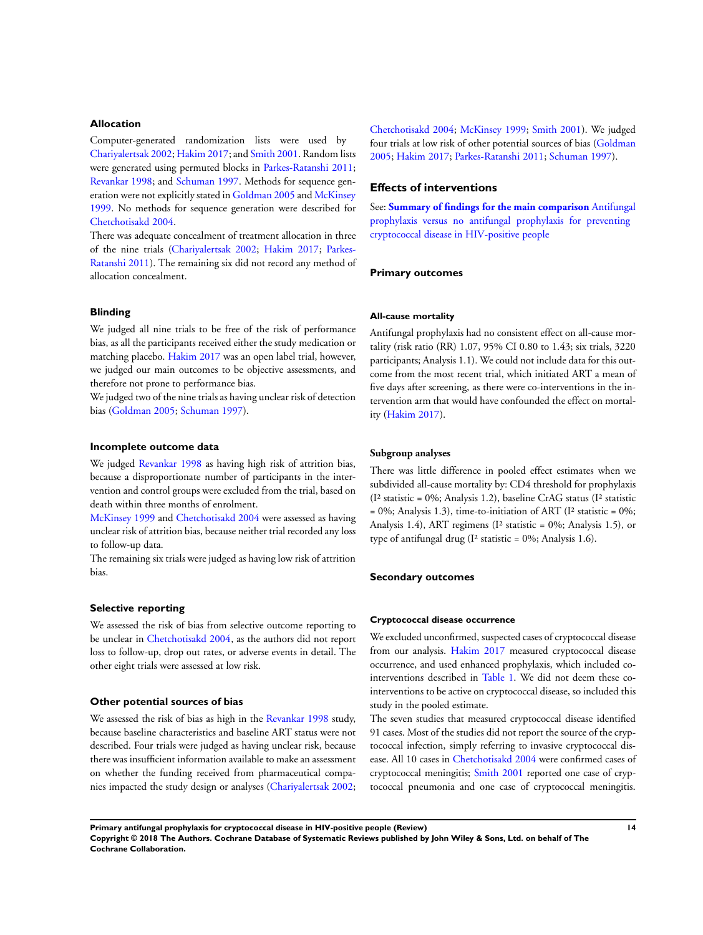### **Allocation**

Computer-generated randomization lists were used by [Chariyalertsak 2002;](#page-20-0) [Hakim 2017;](#page-20-0) and [Smith 2001](#page-20-0). Random lists were generated using permuted blocks in [Parkes-Ratanshi 2011;](#page-20-0) [Revankar 1998](#page-20-0); and [Schuman 1997](#page-20-0). Methods for sequence generation were not explicitly stated in [Goldman 2005](#page-20-0) and [McKinsey](#page-20-0) [1999](#page-20-0). No methods for sequence generation were described for [Chetchotisakd 2004.](#page-20-0)

There was adequate concealment of treatment allocation in three of the nine trials [\(Chariyalertsak 2002](#page-20-0); [Hakim 2017](#page-20-0); [Parkes-](#page-20-0)[Ratanshi 2011\)](#page-20-0). The remaining six did not record any method of allocation concealment.

### **Blinding**

We judged all nine trials to be free of the risk of performance bias, as all the participants received either the study medication or matching placebo. [Hakim 2017](#page-20-0) was an open label trial, however, we judged our main outcomes to be objective assessments, and therefore not prone to performance bias.

We judged two of the nine trials as having unclear risk of detection bias ([Goldman 2005](#page-20-0); [Schuman 1997\)](#page-20-0).

#### **Incomplete outcome data**

We judged [Revankar 1998](#page-20-0) as having high risk of attrition bias, because a disproportionate number of participants in the intervention and control groups were excluded from the trial, based on death within three months of enrolment.

[McKinsey 1999](#page-20-0) and [Chetchotisakd 2004](#page-20-0) were assessed as having unclear risk of attrition bias, because neither trial recorded any loss to follow-up data.

The remaining six trials were judged as having low risk of attrition bias.

### **Selective reporting**

We assessed the risk of bias from selective outcome reporting to be unclear in [Chetchotisakd 2004](#page-20-0), as the authors did not report loss to follow-up, drop out rates, or adverse events in detail. The other eight trials were assessed at low risk.

#### **Other potential sources of bias**

We assessed the risk of bias as high in the [Revankar 1998](#page-20-0) study, because baseline characteristics and baseline ART status were not described. Four trials were judged as having unclear risk, because there was insufficient information available to make an assessment on whether the funding received from pharmaceutical companies impacted the study design or analyses ([Chariyalertsak 2002;](#page-20-0) [Chetchotisakd 2004](#page-20-0); [McKinsey 1999](#page-20-0); [Smith 2001](#page-20-0)). We judged four trials at low risk of other potential sources of bias ([Goldman](#page-20-0) [2005](#page-20-0); [Hakim 2017;](#page-20-0) [Parkes-Ratanshi 2011;](#page-20-0) [Schuman 1997\)](#page-20-0).

# **Effects of interventions**

See: **[Summary of findings for the main comparison](#page-5-0)** [Antifungal](#page-5-0) [prophylaxis versus no antifungal prophylaxis for preventing](#page-5-0) [cryptococcal disease in HIV-positive people](#page-5-0)

#### **Primary outcomes**

#### **All-cause mortality**

Antifungal prophylaxis had no consistent effect on all-cause mortality (risk ratio (RR) 1.07, 95% CI 0.80 to 1.43; six trials, 3220 participants; Analysis 1.1). We could not include data for this outcome from the most recent trial, which initiated ART a mean of five days after screening, as there were co-interventions in the intervention arm that would have confounded the effect on mortality [\(Hakim 2017](#page-20-0)).

### **Subgroup analyses**

There was little difference in pooled effect estimates when we subdivided all-cause mortality by: CD4 threshold for prophylaxis (I² statistic = 0%; Analysis 1.2), baseline CrAG status (I² statistic  $= 0\%$ ; Analysis 1.3), time-to-initiation of ART (I<sup>2</sup> statistic  $= 0\%$ ; Analysis 1.4), ART regimens (I² statistic = 0%; Analysis 1.5), or type of antifungal drug (I² statistic = 0%; Analysis 1.6).

#### **Secondary outcomes**

#### **Cryptococcal disease occurrence**

We excluded unconfirmed, suspected cases of cryptococcal disease from our analysis. [Hakim 2017](#page-20-0) measured cryptococcal disease occurrence, and used enhanced prophylaxis, which included cointerventions described in [Table 1.](#page-41-0) We did not deem these cointerventions to be active on cryptococcal disease, so included this study in the pooled estimate.

The seven studies that measured cryptococcal disease identified 91 cases. Most of the studies did not report the source of the cryptococcal infection, simply referring to invasive cryptococcal disease. All 10 cases in [Chetchotisakd 2004](#page-20-0) were confirmed cases of cryptococcal meningitis; [Smith 2001](#page-20-0) reported one case of cryptococcal pneumonia and one case of cryptococcal meningitis.

**Primary antifungal prophylaxis for cryptococcal disease in HIV-positive people (Review) 14**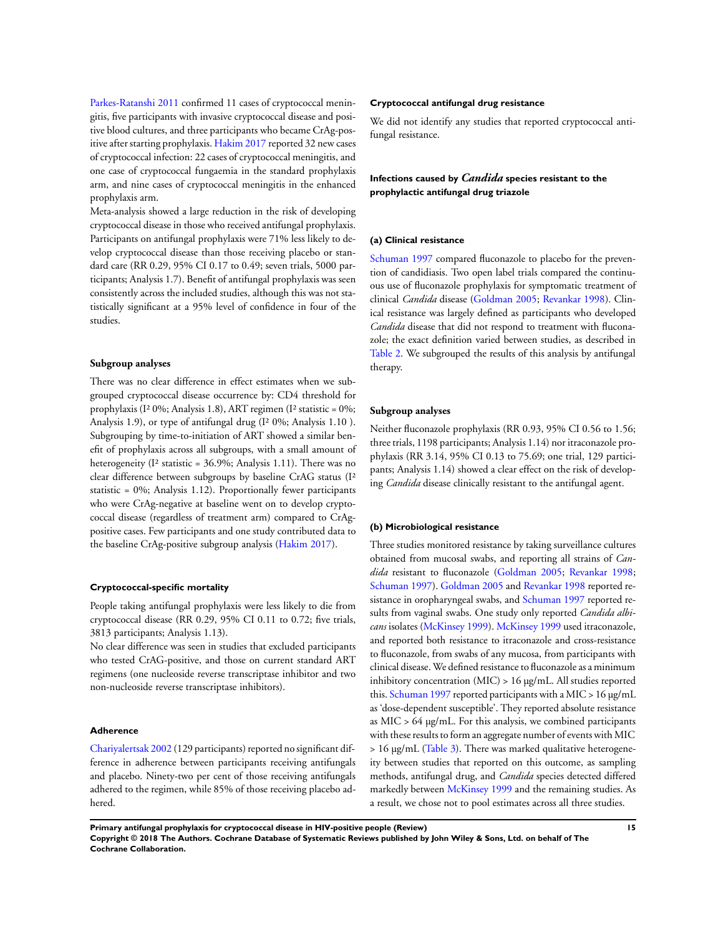[Parkes-Ratanshi 2011](#page-20-0) confirmed 11 cases of cryptococcal meningitis, five participants with invasive cryptococcal disease and positive blood cultures, and three participants who became CrAg-positive after starting prophylaxis. [Hakim 2017](#page-20-0) reported 32 new cases of cryptococcal infection: 22 cases of cryptococcal meningitis, and one case of cryptococcal fungaemia in the standard prophylaxis arm, and nine cases of cryptococcal meningitis in the enhanced prophylaxis arm.

Meta-analysis showed a large reduction in the risk of developing cryptococcal disease in those who received antifungal prophylaxis. Participants on antifungal prophylaxis were 71% less likely to develop cryptococcal disease than those receiving placebo or standard care (RR 0.29, 95% CI 0.17 to 0.49; seven trials, 5000 participants; Analysis 1.7). Benefit of antifungal prophylaxis was seen consistently across the included studies, although this was not statistically significant at a 95% level of confidence in four of the studies.

#### **Subgroup analyses**

There was no clear difference in effect estimates when we subgrouped cryptococcal disease occurrence by: CD4 threshold for prophylaxis (I² 0%; Analysis 1.8), ART regimen (I² statistic = 0%; Analysis 1.9), or type of antifungal drug (I² 0%; Analysis 1.10 ). Subgrouping by time-to-initiation of ART showed a similar benefit of prophylaxis across all subgroups, with a small amount of heterogeneity (I<sup>2</sup> statistic = 36.9%; Analysis 1.11). There was no clear difference between subgroups by baseline CrAG status (I² statistic = 0%; Analysis 1.12). Proportionally fewer participants who were CrAg-negative at baseline went on to develop cryptococcal disease (regardless of treatment arm) compared to CrAgpositive cases. Few participants and one study contributed data to the baseline CrAg-positive subgroup analysis ([Hakim 2017\)](#page-20-0).

#### **Cryptococcal-specific mortality**

People taking antifungal prophylaxis were less likely to die from cryptococcal disease (RR 0.29, 95% CI 0.11 to 0.72; five trials, 3813 participants; Analysis 1.13).

No clear difference was seen in studies that excluded participants who tested CrAG-positive, and those on current standard ART regimens (one nucleoside reverse transcriptase inhibitor and two non-nucleoside reverse transcriptase inhibitors).

#### **Adherence**

[Chariyalertsak 2002](#page-20-0) (129 participants) reported no significant difference in adherence between participants receiving antifungals and placebo. Ninety-two per cent of those receiving antifungals adhered to the regimen, while 85% of those receiving placebo adhered.

#### **Cryptococcal antifungal drug resistance**

We did not identify any studies that reported cryptococcal antifungal resistance.

# **Infections caused by** *Candida* **species resistant to the prophylactic antifungal drug triazole**

#### **(a) Clinical resistance**

[Schuman 1997](#page-20-0) compared fluconazole to placebo for the prevention of candidiasis. Two open label trials compared the continuous use of fluconazole prophylaxis for symptomatic treatment of clinical *Candida* disease ([Goldman 2005;](#page-20-0) [Revankar 1998](#page-20-0)). Clinical resistance was largely defined as participants who developed *Candida* disease that did not respond to treatment with fluconazole; the exact definition varied between studies, as described in [Table 2](#page-43-0). We subgrouped the results of this analysis by antifungal therapy.

#### **Subgroup analyses**

Neither fluconazole prophylaxis (RR 0.93, 95% CI 0.56 to 1.56; three trials, 1198 participants; Analysis 1.14) nor itraconazole prophylaxis (RR 3.14, 95% CI 0.13 to 75.69; one trial, 129 participants; Analysis 1.14) showed a clear effect on the risk of developing *Candida* disease clinically resistant to the antifungal agent.

#### **(b) Microbiological resistance**

Three studies monitored resistance by taking surveillance cultures obtained from mucosal swabs, and reporting all strains of *Candida* resistant to fluconazole ([Goldman 2005;](#page-20-0) [Revankar 1998;](#page-20-0) [Schuman 1997\)](#page-20-0). [Goldman 2005](#page-20-0) and [Revankar 1998](#page-20-0) reported resistance in oropharyngeal swabs, and [Schuman 1997](#page-20-0) reported results from vaginal swabs. One study only reported *Candida albicans* isolates [\(McKinsey 1999](#page-20-0)). [McKinsey 1999](#page-20-0) used itraconazole, and reported both resistance to itraconazole and cross-resistance to fluconazole, from swabs of any mucosa, from participants with clinical disease. We defined resistance to fluconazole as a minimum inhibitory concentration (MIC) > 16 µg/mL. All studies reported this. [Schuman 1997](#page-20-0) reported participants with a MIC >  $16 \,\mathrm{µg/mL}$ as 'dose-dependent susceptible'. They reported absolute resistance as MIC > 64 µg/mL. For this analysis, we combined participants with these results to form an aggregate number of events with MIC  $> 16 \mu g/mL$  ([Table 3\)](#page-44-0). There was marked qualitative heterogeneity between studies that reported on this outcome, as sampling methods, antifungal drug, and *Candida* species detected differed markedly between [McKinsey 1999](#page-20-0) and the remaining studies. As a result, we chose not to pool estimates across all three studies.

**Primary antifungal prophylaxis for cryptococcal disease in HIV-positive people (Review) 15 Copyright © 2018 The Authors. Cochrane Database of Systematic Reviews published by John Wiley & Sons, Ltd. on behalf of The Cochrane Collaboration.**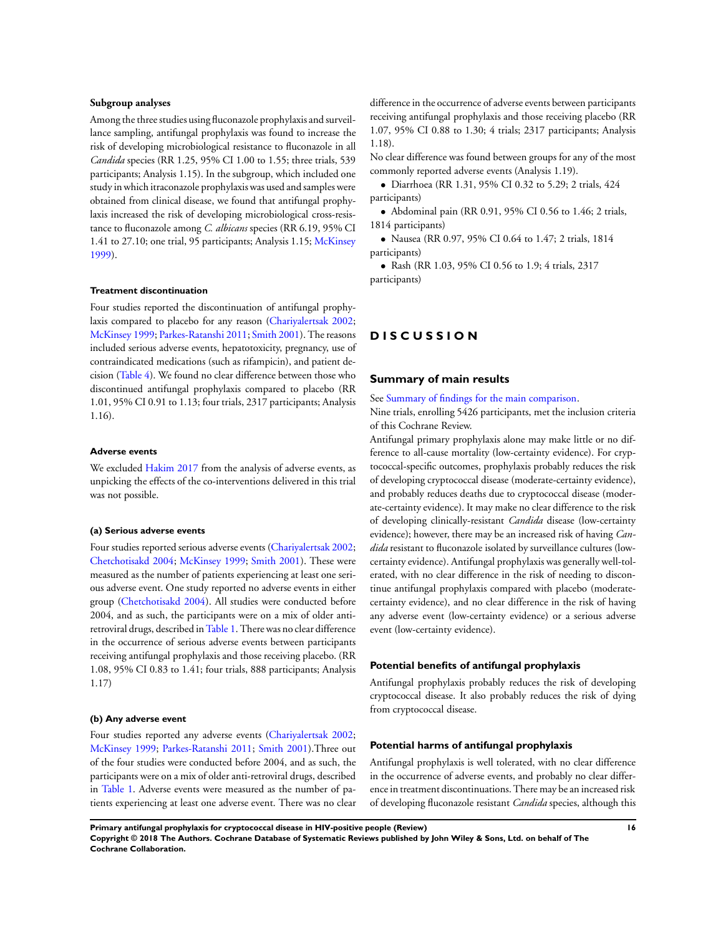### **Subgroup analyses**

Among the three studies using fluconazole prophylaxis and surveillance sampling, antifungal prophylaxis was found to increase the risk of developing microbiological resistance to fluconazole in all *Candida* species (RR 1.25, 95% CI 1.00 to 1.55; three trials, 539 participants; Analysis 1.15). In the subgroup, which included one study in which itraconazole prophylaxis was used and samples were obtained from clinical disease, we found that antifungal prophylaxis increased the risk of developing microbiological cross-resistance to fluconazole among *C. albicans* species (RR 6.19, 95% CI 1.41 to 27.10; one trial, 95 participants; Analysis 1.15; [McKinsey](#page-20-0) [1999](#page-20-0)).

### **Treatment discontinuation**

Four studies reported the discontinuation of antifungal prophylaxis compared to placebo for any reason ([Chariyalertsak 2002;](#page-20-0) [McKinsey 1999;](#page-20-0) [Parkes-Ratanshi 2011;](#page-20-0) [Smith 2001\)](#page-20-0). The reasons included serious adverse events, hepatotoxicity, pregnancy, use of contraindicated medications (such as rifampicin), and patient decision [\(Table 4\)](#page-45-0). We found no clear difference between those who discontinued antifungal prophylaxis compared to placebo (RR 1.01, 95% CI 0.91 to 1.13; four trials, 2317 participants; Analysis 1.16).

#### **Adverse events**

We excluded [Hakim 2017](#page-20-0) from the analysis of adverse events, as unpicking the effects of the co-interventions delivered in this trial was not possible.

#### **(a) Serious adverse events**

Four studies reported serious adverse events [\(Chariyalertsak 2002;](#page-20-0) [Chetchotisakd 2004](#page-20-0); [McKinsey 1999;](#page-20-0) [Smith 2001](#page-20-0)). These were measured as the number of patients experiencing at least one serious adverse event. One study reported no adverse events in either group [\(Chetchotisakd 2004\)](#page-20-0). All studies were conducted before 2004, and as such, the participants were on a mix of older antiretroviral drugs, described in[Table 1](#page-41-0). There was no clear difference in the occurrence of serious adverse events between participants receiving antifungal prophylaxis and those receiving placebo. (RR 1.08, 95% CI 0.83 to 1.41; four trials, 888 participants; Analysis 1.17)

### **(b) Any adverse event**

Four studies reported any adverse events ([Chariyalertsak 2002;](#page-20-0) [McKinsey 1999](#page-20-0); [Parkes-Ratanshi 2011;](#page-20-0) [Smith 2001\)](#page-20-0).Three out of the four studies were conducted before 2004, and as such, the participants were on a mix of older anti-retroviral drugs, described in [Table 1](#page-41-0). Adverse events were measured as the number of patients experiencing at least one adverse event. There was no clear

difference in the occurrence of adverse events between participants receiving antifungal prophylaxis and those receiving placebo (RR 1.07, 95% CI 0.88 to 1.30; 4 trials; 2317 participants; Analysis 1.18).

No clear difference was found between groups for any of the most commonly reported adverse events (Analysis 1.19).

• Diarrhoea (RR 1.31, 95% CI 0.32 to 5.29; 2 trials, 424 participants)

• Abdominal pain (RR 0.91, 95% CI 0.56 to 1.46; 2 trials, 1814 participants)

• Nausea (RR 0.97, 95% CI 0.64 to 1.47; 2 trials, 1814 participants)

• Rash (RR 1.03, 95% CI 0.56 to 1.9; 4 trials, 2317 participants)

# **D I S C U S S I O N**

#### **Summary of main results**

See [Summary of findings for the main comparison](#page-5-0).

Nine trials, enrolling 5426 participants, met the inclusion criteria of this Cochrane Review.

Antifungal primary prophylaxis alone may make little or no difference to all-cause mortality (low-certainty evidence). For cryptococcal-specific outcomes, prophylaxis probably reduces the risk of developing cryptococcal disease (moderate-certainty evidence), and probably reduces deaths due to cryptococcal disease (moderate-certainty evidence). It may make no clear difference to the risk of developing clinically-resistant *Candida* disease (low-certainty evidence); however, there may be an increased risk of having *Candida* resistant to fluconazole isolated by surveillance cultures (lowcertainty evidence). Antifungal prophylaxis was generally well-tolerated, with no clear difference in the risk of needing to discontinue antifungal prophylaxis compared with placebo (moderatecertainty evidence), and no clear difference in the risk of having any adverse event (low-certainty evidence) or a serious adverse event (low-certainty evidence).

### **Potential benefits of antifungal prophylaxis**

Antifungal prophylaxis probably reduces the risk of developing cryptococcal disease. It also probably reduces the risk of dying from cryptococcal disease.

### **Potential harms of antifungal prophylaxis**

Antifungal prophylaxis is well tolerated, with no clear difference in the occurrence of adverse events, and probably no clear difference in treatment discontinuations. There may be an increased risk of developing fluconazole resistant *Candida* species, although this

**Primary antifungal prophylaxis for cryptococcal disease in HIV-positive people (Review) 16 Copyright © 2018 The Authors. Cochrane Database of Systematic Reviews published by John Wiley & Sons, Ltd. on behalf of The Cochrane Collaboration.**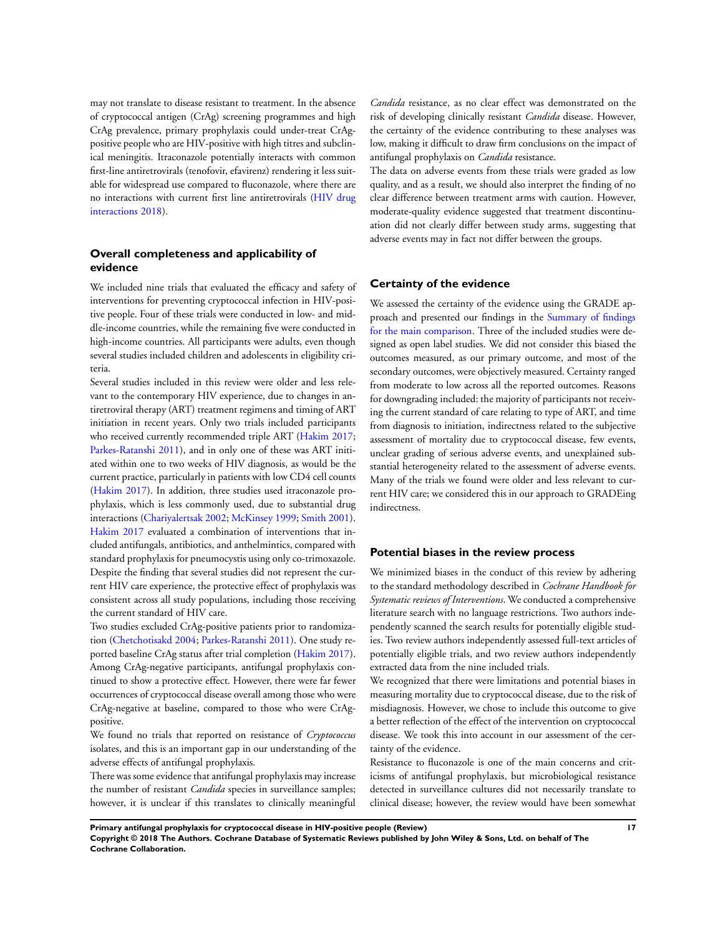may not translate to disease resistant to treatment. In the absence of cryptococcal antigen (CrAg) screening programmes and high CrAg prevalence, primary prophylaxis could under-treat CrAgpositive people who are HIV-positive with high titres and subclinical meningitis. Itraconazole potentially interacts with common first-line antiretrovirals (tenofovir, efavirenz) rendering it less suitable for widespread use compared to fluconazole, where there are no interactions with current first line antiretrovirals [\(HIV drug](#page-20-0) [interactions 2018](#page-20-0)).

# **Overall completeness and applicability of evidence**

We included nine trials that evaluated the efficacy and safety of interventions for preventing cryptococcal infection in HIV-positive people. Four of these trials were conducted in low- and middle-income countries, while the remaining five were conducted in high-income countries. All participants were adults, even though several studies included children and adolescents in eligibility criteria.

Several studies included in this review were older and less relevant to the contemporary HIV experience, due to changes in antiretroviral therapy (ART) treatment regimens and timing of ART initiation in recent years. Only two trials included participants who received currently recommended triple ART ([Hakim 2017;](#page-20-0) [Parkes-Ratanshi 2011](#page-20-0)), and in only one of these was ART initiated within one to two weeks of HIV diagnosis, as would be the current practice, particularly in patients with low CD4 cell counts [\(Hakim 2017](#page-20-0)). In addition, three studies used itraconazole prophylaxis, which is less commonly used, due to substantial drug interactions ([Chariyalertsak 2002;](#page-20-0) [McKinsey 1999;](#page-20-0) [Smith 2001](#page-20-0)). [Hakim 2017](#page-20-0) evaluated a combination of interventions that included antifungals, antibiotics, and anthelmintics, compared with standard prophylaxis for pneumocystis using only co-trimoxazole. Despite the finding that several studies did not represent the current HIV care experience, the protective effect of prophylaxis was consistent across all study populations, including those receiving the current standard of HIV care.

Two studies excluded CrAg-positive patients prior to randomization [\(Chetchotisakd 2004](#page-20-0); [Parkes-Ratanshi 2011\)](#page-20-0). One study reported baseline CrAg status after trial completion [\(Hakim 2017](#page-20-0)). Among CrAg-negative participants, antifungal prophylaxis continued to show a protective effect. However, there were far fewer occurrences of cryptococcal disease overall among those who were CrAg-negative at baseline, compared to those who were CrAgpositive.

We found no trials that reported on resistance of *Cryptococcus* isolates, and this is an important gap in our understanding of the adverse effects of antifungal prophylaxis.

There was some evidence that antifungal prophylaxis may increase the number of resistant *Candida* species in surveillance samples; however, it is unclear if this translates to clinically meaningful

*Candida* resistance, as no clear effect was demonstrated on the risk of developing clinically resistant *Candida* disease. However, the certainty of the evidence contributing to these analyses was low, making it difficult to draw firm conclusions on the impact of antifungal prophylaxis on *Candida* resistance.

The data on adverse events from these trials were graded as low quality, and as a result, we should also interpret the finding of no clear difference between treatment arms with caution. However, moderate-quality evidence suggested that treatment discontinuation did not clearly differ between study arms, suggesting that adverse events may in fact not differ between the groups.

# **Certainty of the evidence**

We assessed the certainty of the evidence using the GRADE approach and presented our findings in the [Summary of findings](#page-5-0) [for the main comparison.](#page-5-0) Three of the included studies were designed as open label studies. We did not consider this biased the outcomes measured, as our primary outcome, and most of the secondary outcomes, were objectively measured. Certainty ranged from moderate to low across all the reported outcomes. Reasons for downgrading included: the majority of participants not receiving the current standard of care relating to type of ART, and time from diagnosis to initiation, indirectness related to the subjective assessment of mortality due to cryptococcal disease, few events, unclear grading of serious adverse events, and unexplained substantial heterogeneity related to the assessment of adverse events. Many of the trials we found were older and less relevant to current HIV care; we considered this in our approach to GRADEing indirectness.

#### **Potential biases in the review process**

We minimized biases in the conduct of this review by adhering to the standard methodology described in *Cochrane Handbook for Systematic reviews of Interventions*. We conducted a comprehensive literature search with no language restrictions. Two authors independently scanned the search results for potentially eligible studies. Two review authors independently assessed full-text articles of potentially eligible trials, and two review authors independently extracted data from the nine included trials.

We recognized that there were limitations and potential biases in measuring mortality due to cryptococcal disease, due to the risk of misdiagnosis. However, we chose to include this outcome to give a better reflection of the effect of the intervention on cryptococcal disease. We took this into account in our assessment of the certainty of the evidence.

Resistance to fluconazole is one of the main concerns and criticisms of antifungal prophylaxis, but microbiological resistance detected in surveillance cultures did not necessarily translate to clinical disease; however, the review would have been somewhat

**Primary antifungal prophylaxis for cryptococcal disease in HIV-positive people (Review) 17 Copyright © 2018 The Authors. Cochrane Database of Systematic Reviews published by John Wiley & Sons, Ltd. on behalf of The Cochrane Collaboration.**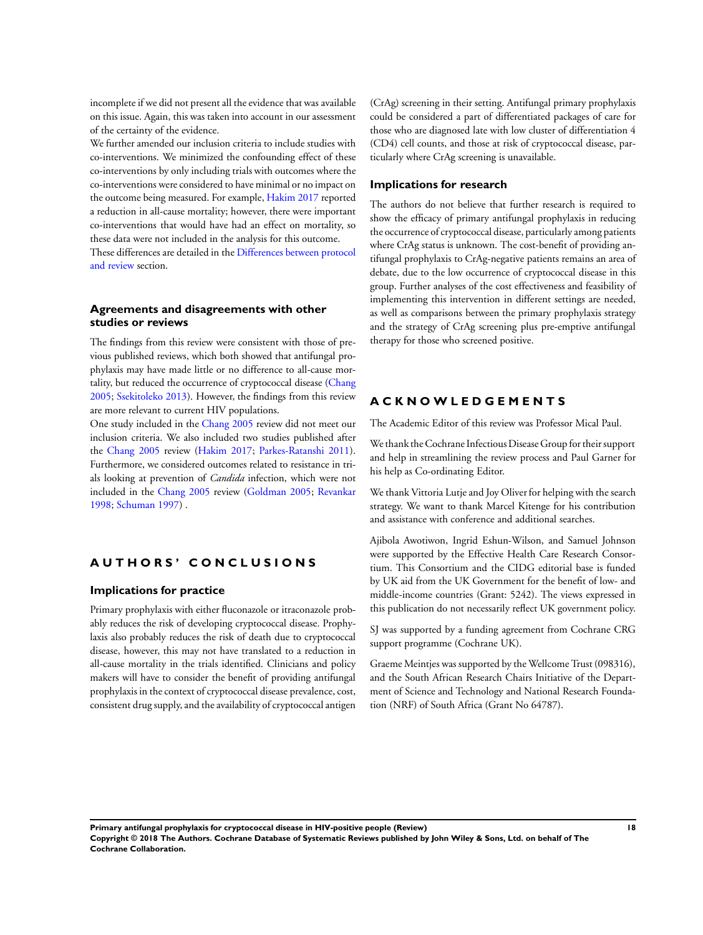incomplete if we did not present all the evidence that was available on this issue. Again, this was taken into account in our assessment of the certainty of the evidence.

We further amended our inclusion criteria to include studies with co-interventions. We minimized the confounding effect of these co-interventions by only including trials with outcomes where the co-interventions were considered to have minimal or no impact on the outcome being measured. For example, [Hakim 2017](#page-20-0) reported a reduction in all-cause mortality; however, there were important co-interventions that would have had an effect on mortality, so these data were not included in the analysis for this outcome. These differences are detailed in the [Differences between protocol](#page-47-0) [and review](#page-47-0) section.

# **Agreements and disagreements with other studies or reviews**

The findings from this review were consistent with those of previous published reviews, which both showed that antifungal prophylaxis may have made little or no difference to all-cause mortality, but reduced the occurrence of cryptococcal disease ([Chang](#page-20-0) [2005](#page-20-0); [Ssekitoleko 2013](#page-20-0)). However, the findings from this review are more relevant to current HIV populations.

One study included in the [Chang 2005](#page-20-0) review did not meet our inclusion criteria. We also included two studies published after the [Chang 2005](#page-20-0) review ([Hakim 2017;](#page-20-0) [Parkes-Ratanshi 2011](#page-20-0)). Furthermore, we considered outcomes related to resistance in trials looking at prevention of *Candida* infection, which were not included in the [Chang 2005](#page-20-0) review [\(Goldman 2005;](#page-20-0) [Revankar](#page-20-0) [1998](#page-20-0); [Schuman 1997\)](#page-20-0) .

# **A U T H O R S ' C O N C L U S I O N S**

# **Implications for practice**

Primary prophylaxis with either fluconazole or itraconazole probably reduces the risk of developing cryptococcal disease. Prophylaxis also probably reduces the risk of death due to cryptococcal disease, however, this may not have translated to a reduction in all-cause mortality in the trials identified. Clinicians and policy makers will have to consider the benefit of providing antifungal prophylaxis in the context of cryptococcal disease prevalence, cost, consistent drug supply, and the availability of cryptococcal antigen (CrAg) screening in their setting. Antifungal primary prophylaxis could be considered a part of differentiated packages of care for those who are diagnosed late with low cluster of differentiation 4 (CD4) cell counts, and those at risk of cryptococcal disease, particularly where CrAg screening is unavailable.

## **Implications for research**

The authors do not believe that further research is required to show the efficacy of primary antifungal prophylaxis in reducing the occurrence of cryptococcal disease, particularly among patients where CrAg status is unknown. The cost-benefit of providing antifungal prophylaxis to CrAg-negative patients remains an area of debate, due to the low occurrence of cryptococcal disease in this group. Further analyses of the cost effectiveness and feasibility of implementing this intervention in different settings are needed, as well as comparisons between the primary prophylaxis strategy and the strategy of CrAg screening plus pre-emptive antifungal therapy for those who screened positive.

# **A C K N O W L E D G E M E N T S**

The Academic Editor of this review was Professor Mical Paul.

We thank the Cochrane Infectious Disease Group for their support and help in streamlining the review process and Paul Garner for his help as Co-ordinating Editor.

We thank Vittoria Lutje and Joy Oliver for helping with the search strategy. We want to thank Marcel Kitenge for his contribution and assistance with conference and additional searches.

Ajibola Awotiwon, Ingrid Eshun-Wilson, and Samuel Johnson were supported by the Effective Health Care Research Consortium. This Consortium and the CIDG editorial base is funded by UK aid from the UK Government for the benefit of low- and middle-income countries (Grant: 5242). The views expressed in this publication do not necessarily reflect UK government policy.

SJ was supported by a funding agreement from Cochrane CRG support programme (Cochrane UK).

Graeme Meintjes was supported by the Wellcome Trust (098316), and the South African Research Chairs Initiative of the Department of Science and Technology and National Research Foundation (NRF) of South Africa (Grant No 64787).

**Primary antifungal prophylaxis for cryptococcal disease in HIV-positive people (Review) 18 Copyright © 2018 The Authors. Cochrane Database of Systematic Reviews published by John Wiley & Sons, Ltd. on behalf of The Cochrane Collaboration.**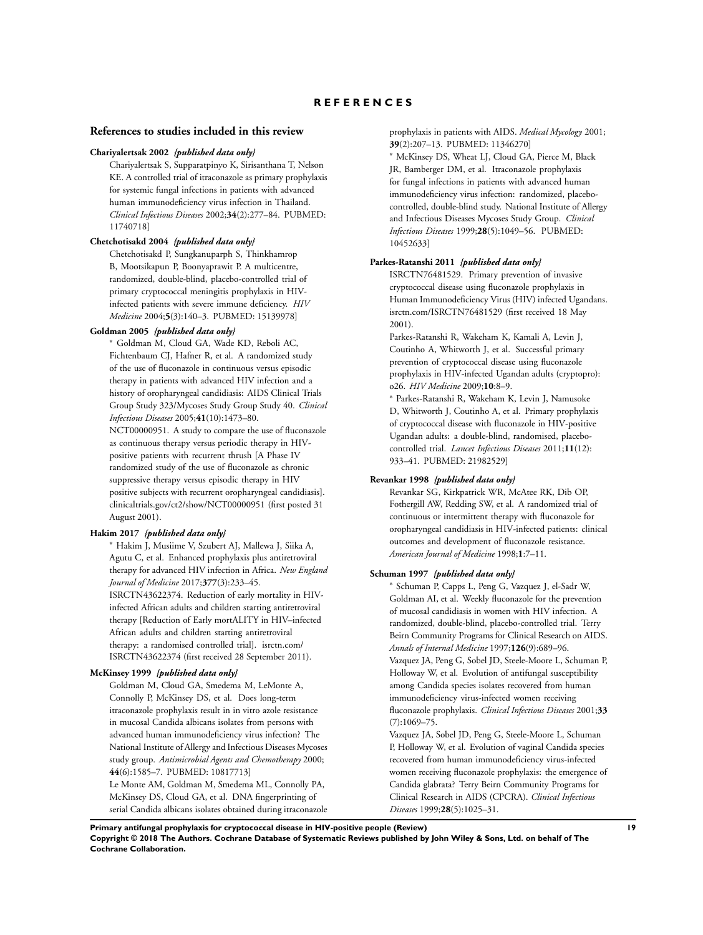### <span id="page-20-0"></span>**References to studies included in this review**

#### **Chariyalertsak 2002** *{published data only}*

Chariyalertsak S, Supparatpinyo K, Sirisanthana T, Nelson KE. A controlled trial of itraconazole as primary prophylaxis for systemic fungal infections in patients with advanced human immunodeficiency virus infection in Thailand. *Clinical Infectious Diseases* 2002;**34**(2):277–84. PUBMED: 11740718]

#### **Chetchotisakd 2004** *{published data only}*

Chetchotisakd P, Sungkanuparph S, Thinkhamrop B, Mootsikapun P, Boonyaprawit P. A multicentre, randomized, double-blind, placebo-controlled trial of primary cryptococcal meningitis prophylaxis in HIVinfected patients with severe immune deficiency. *HIV Medicine* 2004;**5**(3):140–3. PUBMED: 15139978]

# **Goldman 2005** *{published data only}*

<sup>∗</sup> Goldman M, Cloud GA, Wade KD, Reboli AC, Fichtenbaum CJ, Hafner R, et al. A randomized study of the use of fluconazole in continuous versus episodic therapy in patients with advanced HIV infection and a history of oropharyngeal candidiasis: AIDS Clinical Trials Group Study 323/Mycoses Study Group Study 40. *Clinical Infectious Diseases* 2005;**41**(10):1473–80.

NCT00000951. A study to compare the use of fluconazole as continuous therapy versus periodic therapy in HIVpositive patients with recurrent thrush [A Phase IV randomized study of the use of fluconazole as chronic suppressive therapy versus episodic therapy in HIV positive subjects with recurrent oropharyngeal candidiasis]. clinicaltrials.gov/ct2/show/NCT00000951 (first posted 31 August 2001).

#### **Hakim 2017** *{published data only}*

<sup>∗</sup> Hakim J, Musiime V, Szubert AJ, Mallewa J, Siika A, Agutu C, et al. Enhanced prophylaxis plus antiretroviral therapy for advanced HIV infection in Africa. *New England Journal of Medicine* 2017;**377**(3):233–45. ISRCTN43622374. Reduction of early mortality in HIVinfected African adults and children starting antiretroviral therapy [Reduction of Early mortALITY in HIV–infected African adults and children starting antiretroviral therapy: a randomised controlled trial]. isrctn.com/ ISRCTN43622374 (first received 28 September 2011).

#### **McKinsey 1999** *{published data only}*

Goldman M, Cloud GA, Smedema M, LeMonte A, Connolly P, McKinsey DS, et al. Does long-term itraconazole prophylaxis result in in vitro azole resistance in mucosal Candida albicans isolates from persons with advanced human immunodeficiency virus infection? The National Institute of Allergy and Infectious Diseases Mycoses study group. *Antimicrobial Agents and Chemotherapy* 2000; **44**(6):1585–7. PUBMED: 10817713]

Le Monte AM, Goldman M, Smedema ML, Connolly PA, McKinsey DS, Cloud GA, et al. DNA fingerprinting of serial Candida albicans isolates obtained during itraconazole prophylaxis in patients with AIDS. *Medical Mycology* 2001; **39**(2):207–13. PUBMED: 11346270]

<sup>∗</sup> McKinsey DS, Wheat LJ, Cloud GA, Pierce M, Black JR, Bamberger DM, et al. Itraconazole prophylaxis for fungal infections in patients with advanced human immunodeficiency virus infection: randomized, placebocontrolled, double-blind study. National Institute of Allergy and Infectious Diseases Mycoses Study Group. *Clinical Infectious Diseases* 1999;**28**(5):1049–56. PUBMED: 10452633]

# **Parkes-Ratanshi 2011** *{published data only}*

ISRCTN76481529. Primary prevention of invasive cryptococcal disease using fluconazole prophylaxis in Human Immunodeficiency Virus (HIV) infected Ugandans. isrctn.com/ISRCTN76481529 (first received 18 May 2001).

Parkes-Ratanshi R, Wakeham K, Kamali A, Levin J, Coutinho A, Whitworth J, et al. Successful primary prevention of cryptococcal disease using fluconazole prophylaxis in HIV-infected Ugandan adults (cryptopro): o26. *HIV Medicine* 2009;**10**:8–9.

<sup>∗</sup> Parkes-Ratanshi R, Wakeham K, Levin J, Namusoke D, Whitworth J, Coutinho A, et al. Primary prophylaxis of cryptococcal disease with fluconazole in HIV-positive Ugandan adults: a double-blind, randomised, placebocontrolled trial. *Lancet Infectious Diseases* 2011;**11**(12): 933–41. PUBMED: 21982529]

#### **Revankar 1998** *{published data only}*

Revankar SG, Kirkpatrick WR, McAtee RK, Dib OP, Fothergill AW, Redding SW, et al. A randomized trial of continuous or intermittent therapy with fluconazole for oropharyngeal candidiasis in HIV-infected patients: clinical outcomes and development of fluconazole resistance. *American Journal of Medicine* 1998;**1**:7–11.

### **Schuman 1997** *{published data only}*

<sup>∗</sup> Schuman P, Capps L, Peng G, Vazquez J, el-Sadr W, Goldman AI, et al. Weekly fluconazole for the prevention of mucosal candidiasis in women with HIV infection. A randomized, double-blind, placebo-controlled trial. Terry Beirn Community Programs for Clinical Research on AIDS. *Annals of Internal Medicine* 1997;**126**(9):689–96. Vazquez JA, Peng G, Sobel JD, Steele-Moore L, Schuman P, Holloway W, et al. Evolution of antifungal susceptibility among Candida species isolates recovered from human immunodeficiency virus-infected women receiving fluconazole prophylaxis. *Clinical Infectious Diseases* 2001;**33** (7):1069–75.

Vazquez JA, Sobel JD, Peng G, Steele-Moore L, Schuman P, Holloway W, et al. Evolution of vaginal Candida species recovered from human immunodeficiency virus-infected women receiving fluconazole prophylaxis: the emergence of Candida glabrata? Terry Beirn Community Programs for Clinical Research in AIDS (CPCRA). *Clinical Infectious Diseases* 1999;**28**(5):1025–31.

**Primary antifungal prophylaxis for cryptococcal disease in HIV-positive people (Review) 19**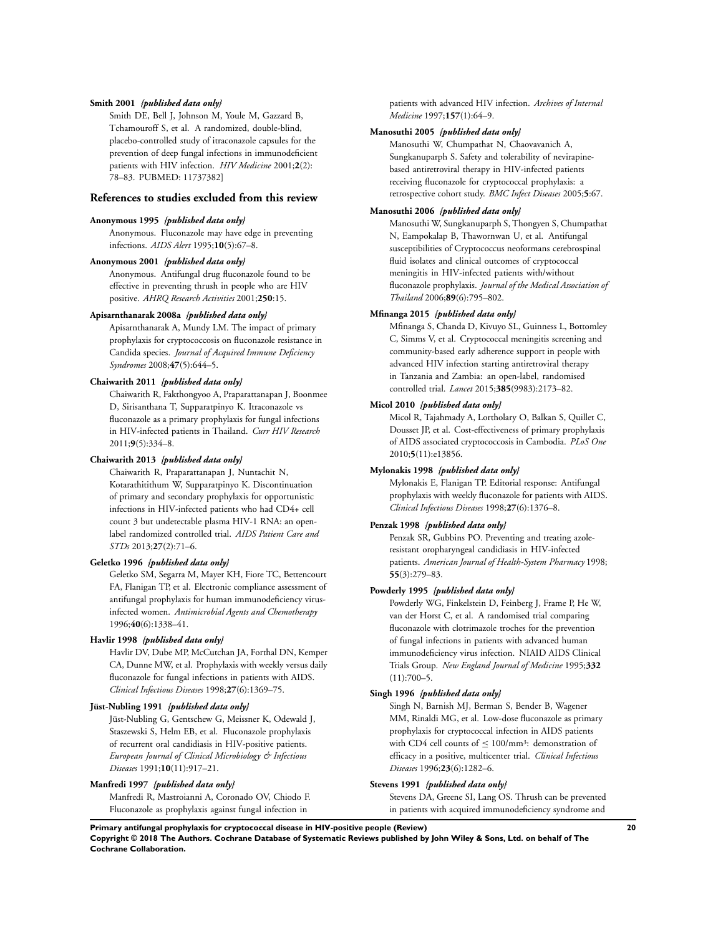#### **Smith 2001** *{published data only}*

Smith DE, Bell J, Johnson M, Youle M, Gazzard B, Tchamouroff S, et al. A randomized, double-blind, placebo-controlled study of itraconazole capsules for the prevention of deep fungal infections in immunodeficient patients with HIV infection. *HIV Medicine* 2001;**2**(2): 78–83. PUBMED: 11737382]

### **References to studies excluded from this review**

#### **Anonymous 1995** *{published data only}*

Anonymous. Fluconazole may have edge in preventing infections. *AIDS Alert* 1995;**10**(5):67–8.

### **Anonymous 2001** *{published data only}*

Anonymous. Antifungal drug fluconazole found to be effective in preventing thrush in people who are HIV positive. *AHRQ Research Activities* 2001;**250**:15.

### **Apisarnthanarak 2008a** *{published data only}*

Apisarnthanarak A, Mundy LM. The impact of primary prophylaxis for cryptococcosis on fluconazole resistance in Candida species. *Journal of Acquired Immune Deficiency Syndromes* 2008;**47**(5):644–5.

#### **Chaiwarith 2011** *{published data only}*

Chaiwarith R, Fakthongyoo A, Praparattanapan J, Boonmee D, Sirisanthana T, Supparatpinyo K. Itraconazole vs fluconazole as a primary prophylaxis for fungal infections in HIV-infected patients in Thailand. *Curr HIV Research* 2011;**9**(5):334–8.

#### **Chaiwarith 2013** *{published data only}*

Chaiwarith R, Praparattanapan J, Nuntachit N, Kotarathitithum W, Supparatpinyo K. Discontinuation of primary and secondary prophylaxis for opportunistic infections in HIV-infected patients who had CD4+ cell count 3 but undetectable plasma HIV-1 RNA: an openlabel randomized controlled trial. *AIDS Patient Care and STDs* 2013;**27**(2):71–6.

### **Geletko 1996** *{published data only}*

Geletko SM, Segarra M, Mayer KH, Fiore TC, Bettencourt FA, Flanigan TP, et al. Electronic compliance assessment of antifungal prophylaxis for human immunodeficiency virusinfected women. *Antimicrobial Agents and Chemotherapy* 1996;**40**(6):1338–41.

### **Havlir 1998** *{published data only}*

Havlir DV, Dube MP, McCutchan JA, Forthal DN, Kemper CA, Dunne MW, et al. Prophylaxis with weekly versus daily fluconazole for fungal infections in patients with AIDS. *Clinical Infectious Diseases* 1998;**27**(6):1369–75.

### **Jüst-Nubling 1991** *{published data only}*

Jüst-Nubling G, Gentschew G, Meissner K, Odewald J, Staszewski S, Helm EB, et al. Fluconazole prophylaxis of recurrent oral candidiasis in HIV-positive patients. *European Journal of Clinical Microbiology & Infectious Diseases* 1991;**10**(11):917–21.

#### **Manfredi 1997** *{published data only}*

Manfredi R, Mastroianni A, Coronado OV, Chiodo F. Fluconazole as prophylaxis against fungal infection in

patients with advanced HIV infection. *Archives of Internal Medicine* 1997;**157**(1):64–9.

#### **Manosuthi 2005** *{published data only}*

Manosuthi W, Chumpathat N, Chaovavanich A, Sungkanuparph S. Safety and tolerability of nevirapinebased antiretroviral therapy in HIV-infected patients receiving fluconazole for cryptococcal prophylaxis: a retrospective cohort study. *BMC Infect Diseases* 2005;**5**:67.

#### **Manosuthi 2006** *{published data only}*

Manosuthi W, Sungkanuparph S, Thongyen S, Chumpathat N, Eampokalap B, Thawornwan U, et al. Antifungal susceptibilities of Cryptococcus neoformans cerebrospinal fluid isolates and clinical outcomes of cryptococcal meningitis in HIV-infected patients with/without fluconazole prophylaxis. *Journal of the Medical Association of Thailand* 2006;**89**(6):795–802.

# **Mfinanga 2015** *{published data only}*

Mfinanga S, Chanda D, Kivuyo SL, Guinness L, Bottomley C, Simms V, et al. Cryptococcal meningitis screening and community-based early adherence support in people with advanced HIV infection starting antiretroviral therapy in Tanzania and Zambia: an open-label, randomised controlled trial. *Lancet* 2015;**385**(9983):2173–82.

### **Micol 2010** *{published data only}*

Micol R, Tajahmady A, Lortholary O, Balkan S, Quillet C, Dousset JP, et al. Cost-effectiveness of primary prophylaxis of AIDS associated cryptococcosis in Cambodia. *PLoS One* 2010;**5**(11):e13856.

#### **Mylonakis 1998** *{published data only}*

Mylonakis E, Flanigan TP. Editorial response: Antifungal prophylaxis with weekly fluconazole for patients with AIDS. *Clinical Infectious Diseases* 1998;**27**(6):1376–8.

### **Penzak 1998** *{published data only}*

Penzak SR, Gubbins PO. Preventing and treating azoleresistant oropharyngeal candidiasis in HIV-infected patients. *American Journal of Health-System Pharmacy* 1998; **55**(3):279–83.

### **Powderly 1995** *{published data only}*

Powderly WG, Finkelstein D, Feinberg J, Frame P, He W, van der Horst C, et al. A randomised trial comparing fluconazole with clotrimazole troches for the prevention of fungal infections in patients with advanced human immunodeficiency virus infection. NIAID AIDS Clinical Trials Group. *New England Journal of Medicine* 1995;**332**  $(11):700-5.$ 

### **Singh 1996** *{published data only}*

Singh N, Barnish MJ, Berman S, Bender B, Wagener MM, Rinaldi MG, et al. Low-dose fluconazole as primary prophylaxis for cryptococcal infection in AIDS patients with CD4 cell counts of  $\leq 100/\text{mm}^3$ : demonstration of efficacy in a positive, multicenter trial. *Clinical Infectious Diseases* 1996;**23**(6):1282–6.

#### **Stevens 1991** *{published data only}*

Stevens DA, Greene SI, Lang OS. Thrush can be prevented in patients with acquired immunodeficiency syndrome and

**Primary antifungal prophylaxis for cryptococcal disease in HIV-positive people (Review) 20**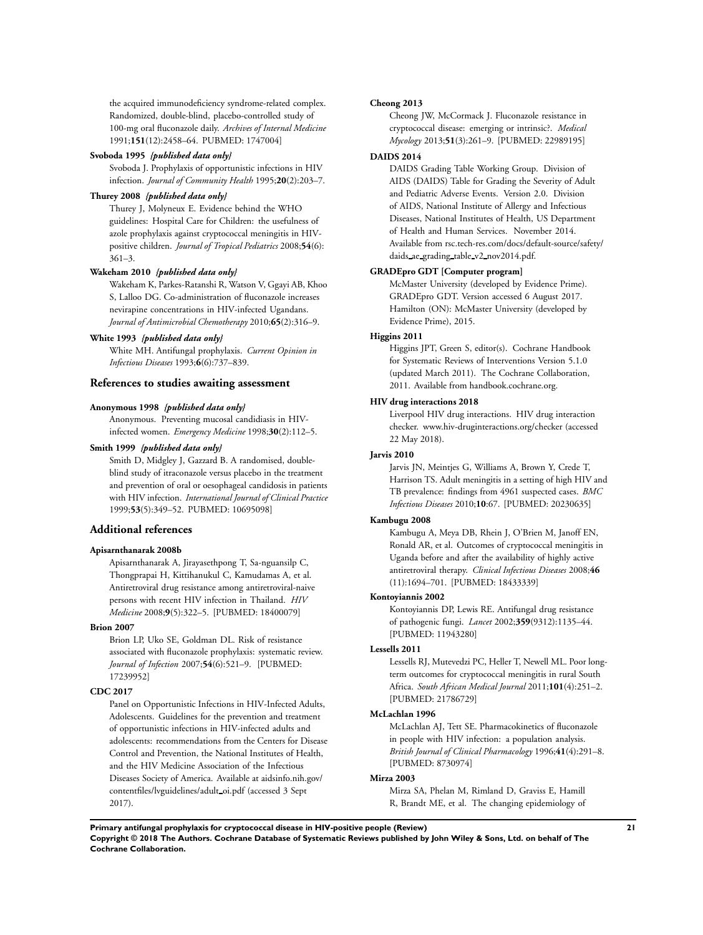the acquired immunodeficiency syndrome-related complex. Randomized, double-blind, placebo-controlled study of 100-mg oral fluconazole daily. *Archives of Internal Medicine* 1991;**151**(12):2458–64. PUBMED: 1747004]

#### **Svoboda 1995** *{published data only}*

Svoboda J. Prophylaxis of opportunistic infections in HIV infection. *Journal of Community Health* 1995;**20**(2):203–7.

#### **Thurey 2008** *{published data only}*

Thurey J, Molyneux E. Evidence behind the WHO guidelines: Hospital Care for Children: the usefulness of azole prophylaxis against cryptococcal meningitis in HIVpositive children. *Journal of Tropical Pediatrics* 2008;**54**(6): 361–3.

#### **Wakeham 2010** *{published data only}*

Wakeham K, Parkes-Ratanshi R, Watson V, Ggayi AB, Khoo S, Lalloo DG. Co-administration of fluconazole increases nevirapine concentrations in HIV-infected Ugandans. *Journal of Antimicrobial Chemotherapy* 2010;**65**(2):316–9.

### **White 1993** *{published data only}*

White MH. Antifungal prophylaxis. *Current Opinion in Infectious Diseases* 1993;**6**(6):737–839.

### **References to studies awaiting assessment**

### **Anonymous 1998** *{published data only}*

Anonymous. Preventing mucosal candidiasis in HIVinfected women. *Emergency Medicine* 1998;**30**(2):112–5.

#### **Smith 1999** *{published data only}*

Smith D, Midgley J, Gazzard B. A randomised, doubleblind study of itraconazole versus placebo in the treatment and prevention of oral or oesophageal candidosis in patients with HIV infection. *International Journal of Clinical Practice* 1999;**53**(5):349–52. PUBMED: 10695098]

#### **Additional references**

#### **Apisarnthanarak 2008b**

Apisarnthanarak A, Jirayasethpong T, Sa-nguansilp C, Thongprapai H, Kittihanukul C, Kamudamas A, et al. Antiretroviral drug resistance among antiretroviral-naive persons with recent HIV infection in Thailand. *HIV Medicine* 2008;**9**(5):322–5. [PUBMED: 18400079]

#### **Brion 2007**

Brion LP, Uko SE, Goldman DL. Risk of resistance associated with fluconazole prophylaxis: systematic review. *Journal of Infection* 2007;**54**(6):521–9. [PUBMED: 17239952]

#### **CDC 2017**

Panel on Opportunistic Infections in HIV-Infected Adults, Adolescents. Guidelines for the prevention and treatment of opportunistic infections in HIV-infected adults and adolescents: recommendations from the Centers for Disease Control and Prevention, the National Institutes of Health, and the HIV Medicine Association of the Infectious Diseases Society of America. Available at aidsinfo.nih.gov/ contentfiles/lvguidelines/adult oi.pdf (accessed 3 Sept 2017).

#### **Cheong 2013**

Cheong JW, McCormack J. Fluconazole resistance in cryptococcal disease: emerging or intrinsic?. *Medical Mycology* 2013;**51**(3):261–9. [PUBMED: 22989195]

#### **DAIDS 2014**

DAIDS Grading Table Working Group. Division of AIDS (DAIDS) Table for Grading the Severity of Adult and Pediatric Adverse Events. Version 2.0. Division of AIDS, National Institute of Allergy and Infectious Diseases, National Institutes of Health, US Department of Health and Human Services. November 2014. Available from rsc.tech-res.com/docs/default-source/safety/ daids ae grading table v2 nov2014.pdf.

### **GRADEpro GDT [Computer program]**

McMaster University (developed by Evidence Prime). GRADEpro GDT. Version accessed 6 August 2017. Hamilton (ON): McMaster University (developed by Evidence Prime), 2015.

### **Higgins 2011**

Higgins JPT, Green S, editor(s). Cochrane Handbook for Systematic Reviews of Interventions Version 5.1.0 (updated March 2011). The Cochrane Collaboration, 2011. Available from handbook.cochrane.org.

### **HIV drug interactions 2018**

Liverpool HIV drug interactions. HIV drug interaction checker. www.hiv-druginteractions.org/checker (accessed 22 May 2018).

## **Jarvis 2010**

Jarvis JN, Meintjes G, Williams A, Brown Y, Crede T, Harrison TS. Adult meningitis in a setting of high HIV and TB prevalence: findings from 4961 suspected cases. *BMC Infectious Diseases* 2010;**10**:67. [PUBMED: 20230635]

#### **Kambugu 2008**

Kambugu A, Meya DB, Rhein J, O'Brien M, Janoff EN, Ronald AR, et al. Outcomes of cryptococcal meningitis in Uganda before and after the availability of highly active antiretroviral therapy. *Clinical Infectious Diseases* 2008;**46** (11):1694–701. [PUBMED: 18433339]

#### **Kontoyiannis 2002**

Kontoyiannis DP, Lewis RE. Antifungal drug resistance of pathogenic fungi. *Lancet* 2002;**359**(9312):1135–44. [PUBMED: 11943280]

#### **Lessells 2011**

Lessells RJ, Mutevedzi PC, Heller T, Newell ML. Poor longterm outcomes for cryptococcal meningitis in rural South Africa. *South African Medical Journal* 2011;**101**(4):251–2. [PUBMED: 21786729]

#### **McLachlan 1996**

McLachlan AJ, Tett SE. Pharmacokinetics of fluconazole in people with HIV infection: a population analysis. *British Journal of Clinical Pharmacology* 1996;**41**(4):291–8. [PUBMED: 8730974]

#### **Mirza 2003**

Mirza SA, Phelan M, Rimland D, Graviss E, Hamill R, Brandt ME, et al. The changing epidemiology of

**Primary antifungal prophylaxis for cryptococcal disease in HIV-positive people (Review) 21**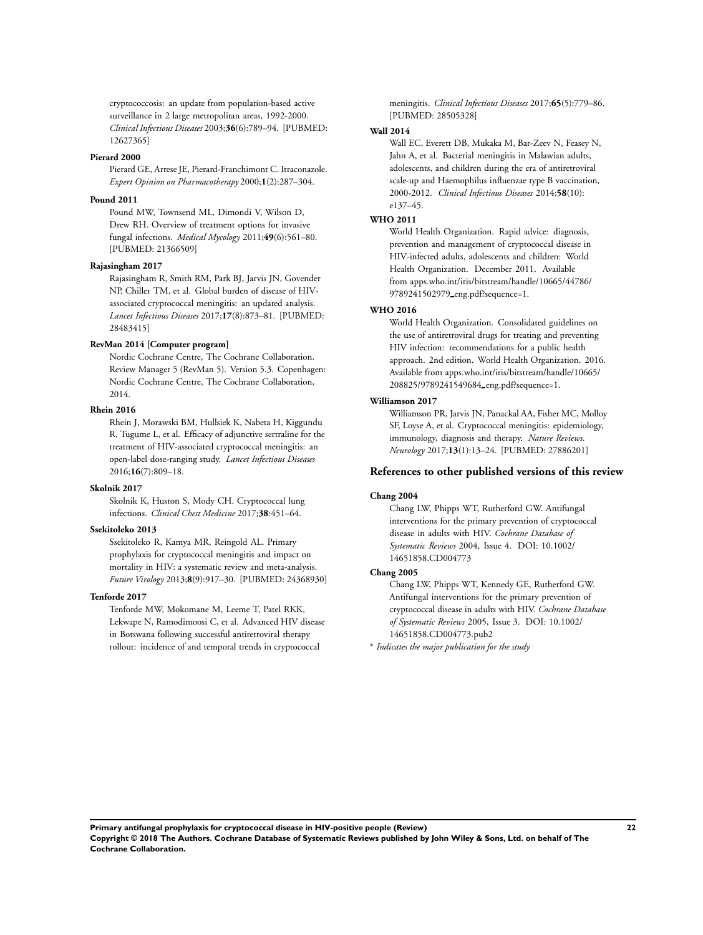cryptococcosis: an update from population-based active surveillance in 2 large metropolitan areas, 1992-2000. *Clinical Infectious Diseases* 2003;**36**(6):789–94. [PUBMED: 12627365]

#### **Pierard 2000**

Pierard GE, Arrese JE, Pierard-Franchimont C. Itraconazole. *Expert Opinion on Pharmacotherapy* 2000;**1**(2):287–304.

#### **Pound 2011**

Pound MW, Townsend ML, Dimondi V, Wilson D, Drew RH. Overview of treatment options for invasive fungal infections. *Medical Mycology* 2011;**49**(6):561–80. [PUBMED: 21366509]

#### **Rajasingham 2017**

Rajasingham R, Smith RM, Park BJ, Jarvis JN, Govender NP, Chiller TM, et al. Global burden of disease of HIVassociated cryptococcal meningitis: an updated analysis. *Lancet Infectious Diseases* 2017;**17**(8):873–81. [PUBMED: 28483415]

# **RevMan 2014 [Computer program]**

Nordic Cochrane Centre, The Cochrane Collaboration. Review Manager 5 (RevMan 5). Version 5.3. Copenhagen: Nordic Cochrane Centre, The Cochrane Collaboration, 2014.

# **Rhein 2016**

Rhein J, Morawski BM, Hullsiek K, Nabeta H, Kiggundu R, Tugume L, et al. Efficacy of adjunctive sertraline for the treatment of HIV-associated cryptococcal meningitis: an open-label dose-ranging study. *Lancet Infectious Diseases* 2016;**16**(7):809–18.

#### **Skolnik 2017**

Skolnik K, Huston S, Mody CH. Cryptococcal lung infections. *Clinical Chest Medicine* 2017;**38**:451–64.

#### **Ssekitoleko 2013**

Ssekitoleko R, Kamya MR, Reingold AL. Primary prophylaxis for cryptococcal meningitis and impact on mortality in HIV: a systematic review and meta-analysis. *Future Virology* 2013;**8**(9):917–30. [PUBMED: 24368930]

#### **Tenforde 2017**

Tenforde MW, Mokomane M, Leeme T, Patel RKK, Lekwape N, Ramodimoosi C, et al. Advanced HIV disease in Botswana following successful antiretroviral therapy rollout: incidence of and temporal trends in cryptococcal

meningitis. *Clinical Infectious Diseases* 2017;**65**(5):779–86. [PUBMED: 28505328]

#### **Wall 2014**

Wall EC, Everett DB, Mukaka M, Bar-Zeev N, Feasey N, Jahn A, et al. Bacterial meningitis in Malawian adults, adolescents, and children during the era of antiretroviral scale-up and Haemophilus influenzae type B vaccination, 2000-2012. *Clinical Infectious Diseases* 2014;**58**(10): e137–45.

#### **WHO 2011**

World Health Organization. Rapid advice: diagnosis, prevention and management of cryptococcal disease in HIV-infected adults, adolescents and children: World Health Organization. December 2011. Available from apps.who.int/iris/bitstream/handle/10665/44786/ 9789241502979 eng.pdf?sequence=1.

#### **WHO 2016**

World Health Organization. Consolidated guidelines on the use of antiretroviral drugs for treating and preventing HIV infection: recommendations for a public health approach. 2nd edition. World Health Organization. 2016. Available from apps.who.int/iris/bitstream/handle/10665/ 208825/9789241549684 eng.pdf?sequence=1.

# **Williamson 2017**

Williamson PR, Jarvis JN, Panackal AA, Fisher MC, Molloy SF, Loyse A, et al. Cryptococcal meningitis: epidemiology, immunology, diagnosis and therapy. *Nature Reviews. Neurology* 2017;**13**(1):13–24. [PUBMED: 27886201]

#### **References to other published versions of this review**

### **Chang 2004**

Chang LW, Phipps WT, Rutherford GW. Antifungal interventions for the primary prevention of cryptococcal disease in adults with HIV. *Cochrane Database of Systematic Reviews* 2004, Issue 4. DOI: 10.1002/ 14651858.CD004773

#### **Chang 2005**

Chang LW, Phipps WT, Kennedy GE, Rutherford GW. Antifungal interventions for the primary prevention of cryptococcal disease in adults with HIV. *Cochrane Database of Systematic Reviews* 2005, Issue 3. DOI: 10.1002/ 14651858.CD004773.pub2

∗ *Indicates the major publication for the study*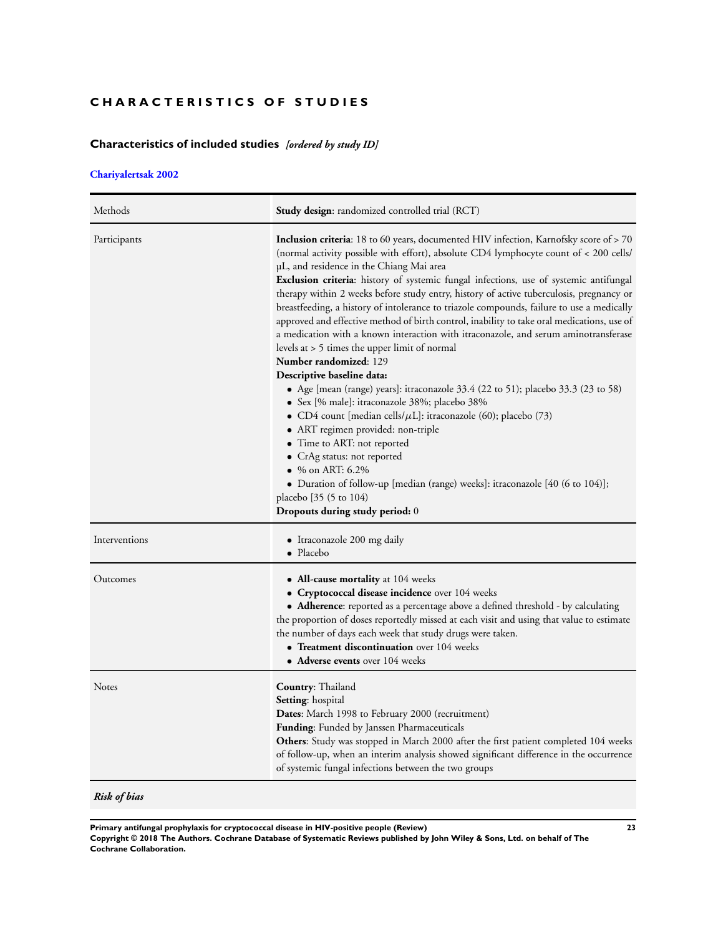# <span id="page-24-0"></span>**CHARACTERISTICS OF STUDIES**

# **Characteristics of included studies** *[ordered by study ID]*

# **[Chariyalertsak 2002](#page-20-0)**

| Methods       | <b>Study design:</b> randomized controlled trial (RCT)                                                                                                                                                                                                                                                                                                                                                                                                                                                                                                                                                                                                                                                                                                                                                                                                                                                                                                                                                                                                                                                                                                                                                                                                                                                            |
|---------------|-------------------------------------------------------------------------------------------------------------------------------------------------------------------------------------------------------------------------------------------------------------------------------------------------------------------------------------------------------------------------------------------------------------------------------------------------------------------------------------------------------------------------------------------------------------------------------------------------------------------------------------------------------------------------------------------------------------------------------------------------------------------------------------------------------------------------------------------------------------------------------------------------------------------------------------------------------------------------------------------------------------------------------------------------------------------------------------------------------------------------------------------------------------------------------------------------------------------------------------------------------------------------------------------------------------------|
| Participants  | <b>Inclusion criteria:</b> 18 to 60 years, documented HIV infection, Karnofsky score of > 70<br>(normal activity possible with effort), absolute CD4 lymphocyte count of < 200 cells/<br>µL, and residence in the Chiang Mai area<br>Exclusion criteria: history of systemic fungal infections, use of systemic antifungal<br>therapy within 2 weeks before study entry, history of active tuberculosis, pregnancy or<br>breastfeeding, a history of intolerance to triazole compounds, failure to use a medically<br>approved and effective method of birth control, inability to take oral medications, use of<br>a medication with a known interaction with itraconazole, and serum aminotransferase<br>levels at > 5 times the upper limit of normal<br><b>Number randomized: 129</b><br>Descriptive baseline data:<br>• Age [mean (range) years]: itraconazole $33.4$ (22 to 51); placebo $33.3$ (23 to 58)<br>· Sex [% male]: itraconazole 38%; placebo 38%<br>• CD4 count [median cells/ $\mu$ L]: itraconazole (60); placebo (73)<br>• ART regimen provided: non-triple<br>• Time to ART: not reported<br>• CrAg status: not reported<br>• $%$ on ART: 6.2%<br>• Duration of follow-up [median (range) weeks]: itraconazole [40 (6 to 104)];<br>placebo [35 (5 to 104)<br>Dropouts during study period: 0 |
| Interventions | • Itraconazole 200 mg daily<br>• Placebo                                                                                                                                                                                                                                                                                                                                                                                                                                                                                                                                                                                                                                                                                                                                                                                                                                                                                                                                                                                                                                                                                                                                                                                                                                                                          |
| Outcomes      | • All-cause mortality at 104 weeks<br>• Cryptococcal disease incidence over 104 weeks<br>• <b>Adherence:</b> reported as a percentage above a defined threshold - by calculating<br>the proportion of doses reportedly missed at each visit and using that value to estimate<br>the number of days each week that study drugs were taken.<br>• Treatment discontinuation over 104 weeks<br>• Adverse events over 104 weeks                                                                                                                                                                                                                                                                                                                                                                                                                                                                                                                                                                                                                                                                                                                                                                                                                                                                                        |
| <b>Notes</b>  | Country: Thailand<br>Setting: hospital<br>Dates: March 1998 to February 2000 (recruitment)<br>Funding: Funded by Janssen Pharmaceuticals<br>Others: Study was stopped in March 2000 after the first patient completed 104 weeks<br>of follow-up, when an interim analysis showed significant difference in the occurrence<br>of systemic fungal infections between the two groups                                                                                                                                                                                                                                                                                                                                                                                                                                                                                                                                                                                                                                                                                                                                                                                                                                                                                                                                 |

*Risk of bias*

**Primary antifungal prophylaxis for cryptococcal disease in HIV-positive people (Review) 23**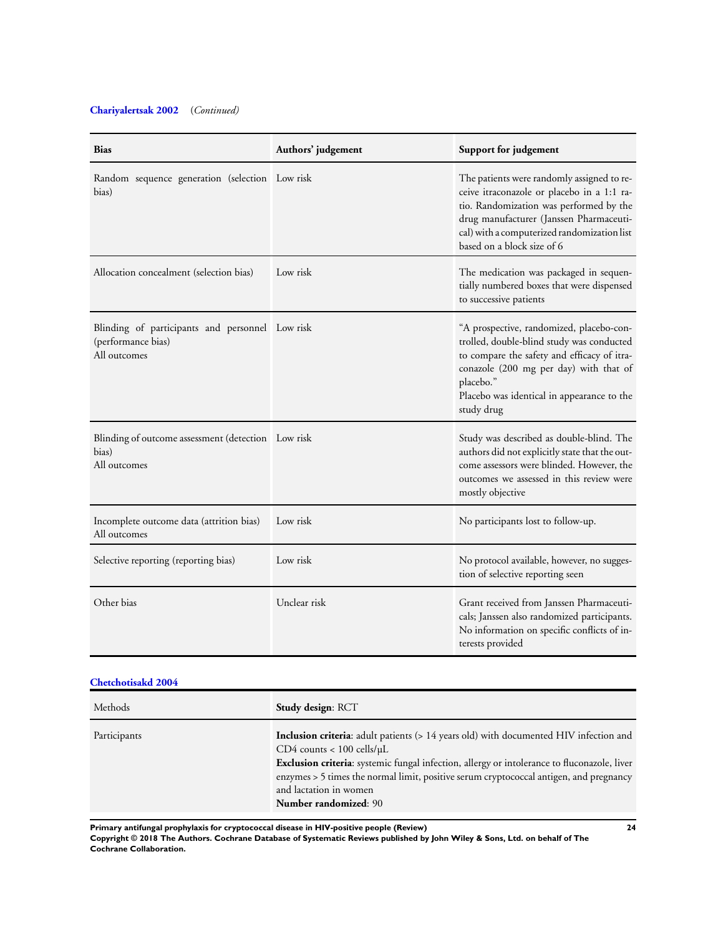# **[Chariyalertsak 2002](#page-20-0)** (*Continued)*

| <b>Bias</b>                                                                           | Authors' judgement | Support for judgement                                                                                                                                                                                                                                       |
|---------------------------------------------------------------------------------------|--------------------|-------------------------------------------------------------------------------------------------------------------------------------------------------------------------------------------------------------------------------------------------------------|
| Random sequence generation (selection Low risk<br>bias)                               |                    | The patients were randomly assigned to re-<br>ceive itraconazole or placebo in a 1:1 ra-<br>tio. Randomization was performed by the<br>drug manufacturer (Janssen Pharmaceuti-<br>cal) with a computerized randomization list<br>based on a block size of 6 |
| Allocation concealment (selection bias)                                               | Low risk           | The medication was packaged in sequen-<br>tially numbered boxes that were dispensed<br>to successive patients                                                                                                                                               |
| Blinding of participants and personnel Low risk<br>(performance bias)<br>All outcomes |                    | "A prospective, randomized, placebo-con-<br>trolled, double-blind study was conducted<br>to compare the safety and efficacy of itra-<br>conazole (200 mg per day) with that of<br>placebo."<br>Placebo was identical in appearance to the<br>study drug     |
| Blinding of outcome assessment (detection Low risk<br>bias)<br>All outcomes           |                    | Study was described as double-blind. The<br>authors did not explicitly state that the out-<br>come assessors were blinded. However, the<br>outcomes we assessed in this review were<br>mostly objective                                                     |
| Incomplete outcome data (attrition bias)<br>All outcomes                              | Low risk           | No participants lost to follow-up.                                                                                                                                                                                                                          |
| Selective reporting (reporting bias)                                                  | Low risk           | No protocol available, however, no sugges-<br>tion of selective reporting seen                                                                                                                                                                              |
| Other bias                                                                            | Unclear risk       | Grant received from Janssen Pharmaceuti-<br>cals; Janssen also randomized participants.<br>No information on specific conflicts of in-<br>terests provided                                                                                                  |

# **[Chetchotisakd 2004](#page-20-0)**

| Methods      | <b>Study design: RCT</b>                                                                                                                                                                                                                                                                                                                                                                    |
|--------------|---------------------------------------------------------------------------------------------------------------------------------------------------------------------------------------------------------------------------------------------------------------------------------------------------------------------------------------------------------------------------------------------|
| Participants | <b>Inclusion criteria:</b> adult patients (> 14 years old) with documented HIV infection and<br>$CD4$ counts < 100 cells/ $\mu$ L<br><b>Exclusion criteria:</b> systemic fungal infection, allergy or intolerance to fluconazole, liver<br>enzymes > 5 times the normal limit, positive serum cryptococcal antigen, and pregnancy<br>and lactation in women<br><b>Number randomized: 90</b> |

**Primary antifungal prophylaxis for cryptococcal disease in HIV-positive people (Review) 24**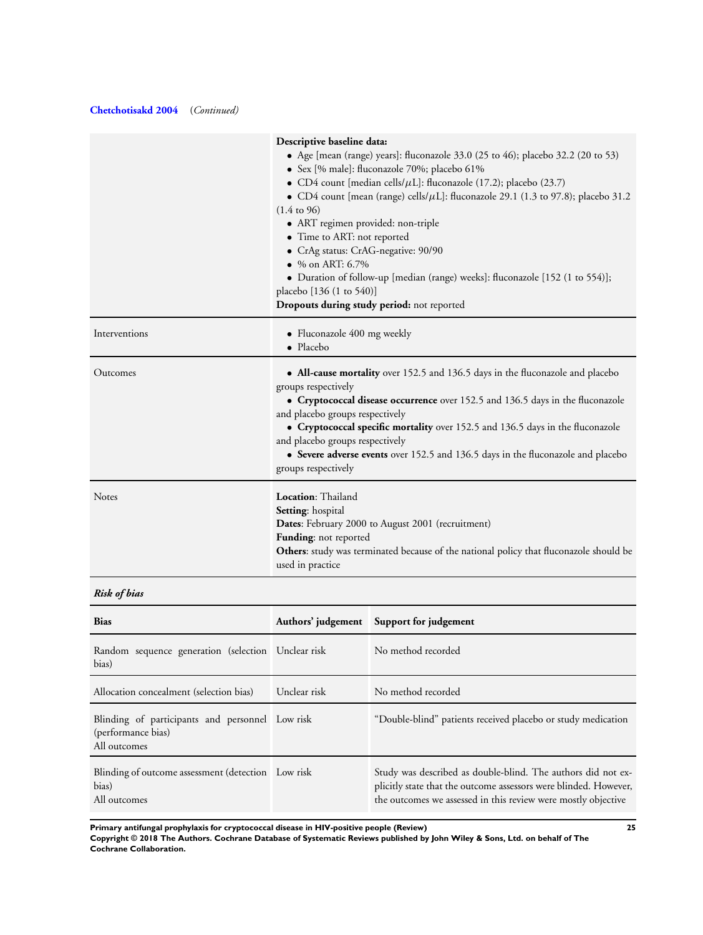# **[Chetchotisakd 2004](#page-20-0)** (*Continued)*

|               | Descriptive baseline data:                                                                                                       |
|---------------|----------------------------------------------------------------------------------------------------------------------------------|
|               | • Age [mean (range) years]: fluconazole 33.0 (25 to 46); placebo 32.2 (20 to 53)<br>· Sex [% male]: fluconazole 70%; placebo 61% |
|               | • CD4 count [median cells/ $\mu$ L]: fluconazole (17.2); placebo (23.7)                                                          |
|               | • CD4 count [mean (range) cells/ $\mu$ L]: fluconazole 29.1 (1.3 to 97.8); placebo 31.2<br>$(1.4 \text{ to } 96)$                |
|               | • ART regimen provided: non-triple                                                                                               |
|               | • Time to ART: not reported                                                                                                      |
|               | • CrAg status: CrAG-negative: 90/90                                                                                              |
|               | • % on ART: $6.7\%$                                                                                                              |
|               | • Duration of follow-up [median (range) weeks]: fluconazole [152 (1 to 554)];                                                    |
|               | placebo [136 (1 to 540)]                                                                                                         |
|               | Dropouts during study period: not reported                                                                                       |
| Interventions | • Fluconazole 400 mg weekly<br>• Placebo                                                                                         |
| Outcomes      | • All-cause mortality over 152.5 and 136.5 days in the fluconazole and placebo<br>groups respectively                            |
|               | • Cryptococcal disease occurrence over 152.5 and 136.5 days in the fluconazole<br>and placebo groups respectively                |
|               | • Cryptococcal specific mortality over 152.5 and 136.5 days in the fluconazole<br>and placebo groups respectively                |
|               | • Severe adverse events over 152.5 and 136.5 days in the fluconazole and placebo<br>groups respectively                          |
| <b>Notes</b>  | Location: Thailand<br>Setting: hospital                                                                                          |
|               | Dates: February 2000 to August 2001 (recruitment)                                                                                |
|               | Funding: not reported                                                                                                            |
|               | Others: study was terminated because of the national policy that fluconazole should be<br>used in practice                       |
|               |                                                                                                                                  |

*Risk of bias*

| <b>Bias</b>                                                                           |              | Authors' judgement Support for judgement                                                                                                                                                          |
|---------------------------------------------------------------------------------------|--------------|---------------------------------------------------------------------------------------------------------------------------------------------------------------------------------------------------|
| Random sequence generation (selection Unclear risk<br>bias)                           |              | No method recorded                                                                                                                                                                                |
| Allocation concealment (selection bias)                                               | Unclear risk | No method recorded                                                                                                                                                                                |
| Blinding of participants and personnel Low risk<br>(performance bias)<br>All outcomes |              | "Double-blind" patients received placebo or study medication                                                                                                                                      |
| Blinding of outcome assessment (detection Low risk<br>bias)<br>All outcomes           |              | Study was described as double-blind. The authors did not ex-<br>plicitly state that the outcome assessors were blinded. However,<br>the outcomes we assessed in this review were mostly objective |

**Primary antifungal prophylaxis for cryptococcal disease in HIV-positive people (Review) 25**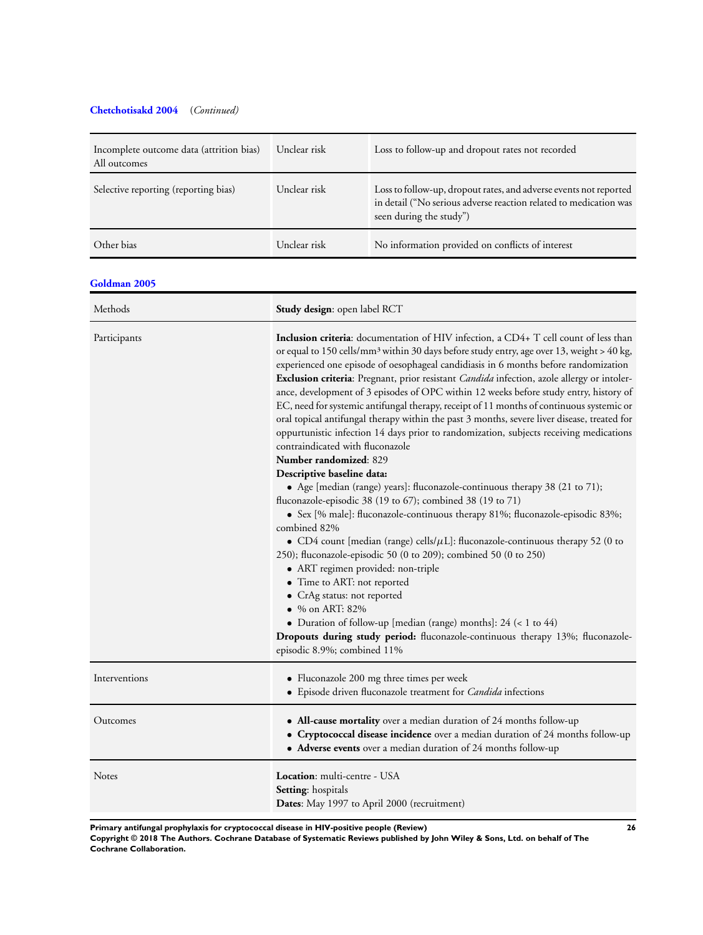# **[Chetchotisakd 2004](#page-20-0)** (*Continued)*

| Incomplete outcome data (attrition bias)<br>All outcomes | Unclear risk                                                                                                                                                                                                                                                                                                                                                                                                                                                                                                                                                                                                                                                                                                                                                                                                                                                                                                                                                                                                                                                                                                                                                                                                                                                                                                                                                                                                                                                                                                                                                                                           | Loss to follow-up and dropout rates not recorded                                                                                                                  |
|----------------------------------------------------------|--------------------------------------------------------------------------------------------------------------------------------------------------------------------------------------------------------------------------------------------------------------------------------------------------------------------------------------------------------------------------------------------------------------------------------------------------------------------------------------------------------------------------------------------------------------------------------------------------------------------------------------------------------------------------------------------------------------------------------------------------------------------------------------------------------------------------------------------------------------------------------------------------------------------------------------------------------------------------------------------------------------------------------------------------------------------------------------------------------------------------------------------------------------------------------------------------------------------------------------------------------------------------------------------------------------------------------------------------------------------------------------------------------------------------------------------------------------------------------------------------------------------------------------------------------------------------------------------------------|-------------------------------------------------------------------------------------------------------------------------------------------------------------------|
| Selective reporting (reporting bias)                     | Unclear risk                                                                                                                                                                                                                                                                                                                                                                                                                                                                                                                                                                                                                                                                                                                                                                                                                                                                                                                                                                                                                                                                                                                                                                                                                                                                                                                                                                                                                                                                                                                                                                                           | Loss to follow-up, dropout rates, and adverse events not reported<br>in detail ("No serious adverse reaction related to medication was<br>seen during the study") |
| Other bias                                               | Unclear risk                                                                                                                                                                                                                                                                                                                                                                                                                                                                                                                                                                                                                                                                                                                                                                                                                                                                                                                                                                                                                                                                                                                                                                                                                                                                                                                                                                                                                                                                                                                                                                                           | No information provided on conflicts of interest                                                                                                                  |
| Goldman 2005                                             |                                                                                                                                                                                                                                                                                                                                                                                                                                                                                                                                                                                                                                                                                                                                                                                                                                                                                                                                                                                                                                                                                                                                                                                                                                                                                                                                                                                                                                                                                                                                                                                                        |                                                                                                                                                                   |
| Methods                                                  |                                                                                                                                                                                                                                                                                                                                                                                                                                                                                                                                                                                                                                                                                                                                                                                                                                                                                                                                                                                                                                                                                                                                                                                                                                                                                                                                                                                                                                                                                                                                                                                                        |                                                                                                                                                                   |
| Participants                                             | Study design: open label RCT<br><b>Inclusion criteria:</b> documentation of HIV infection, a CD4+ T cell count of less than<br>or equal to 150 cells/mm <sup>3</sup> within 30 days before study entry, age over 13, weight > 40 kg,<br>experienced one episode of oesophageal candidiasis in 6 months before randomization<br>Exclusion criteria: Pregnant, prior resistant Candida infection, azole allergy or intoler-<br>ance, development of 3 episodes of OPC within 12 weeks before study entry, history of<br>EC, need for systemic antifungal therapy, receipt of 11 months of continuous systemic or<br>oral topical antifungal therapy within the past 3 months, severe liver disease, treated for<br>oppurtunistic infection 14 days prior to randomization, subjects receiving medications<br>contraindicated with fluconazole<br>Number randomized: 829<br>Descriptive baseline data:<br>• Age [median (range) years]: fluconazole-continuous therapy 38 (21 to 71);<br>fluconazole-episodic 38 (19 to 67); combined 38 (19 to 71)<br>• Sex [% male]: fluconazole-continuous therapy 81%; fluconazole-episodic 83%;<br>combined 82%<br>• CD4 count [median (range) cells/ $\mu$ L]: fluconazole-continuous therapy 52 (0 to<br>250); fluconazole-episodic 50 (0 to 209); combined 50 (0 to 250)<br>• ART regimen provided: non-triple<br>• Time to ART: not reported<br>• CrAg status: not reported<br>$\bullet$ % on ART: 82%<br>• Duration of follow-up [median (range) months]: $24$ (< 1 to $44$ )<br>Dropouts during study period: fluconazole-continuous therapy 13%; fluconazole- |                                                                                                                                                                   |
| Interventions                                            | • Fluconazole 200 mg three times per week<br>• Episode driven fluconazole treatment for <i>Candida</i> infections                                                                                                                                                                                                                                                                                                                                                                                                                                                                                                                                                                                                                                                                                                                                                                                                                                                                                                                                                                                                                                                                                                                                                                                                                                                                                                                                                                                                                                                                                      |                                                                                                                                                                   |
| Outcomes                                                 | • All-cause mortality over a median duration of 24 months follow-up<br>• Cryptococcal disease incidence over a median duration of 24 months follow-up<br>• Adverse events over a median duration of 24 months follow-up                                                                                                                                                                                                                                                                                                                                                                                                                                                                                                                                                                                                                                                                                                                                                                                                                                                                                                                                                                                                                                                                                                                                                                                                                                                                                                                                                                                |                                                                                                                                                                   |
| Notes                                                    | Location: multi-centre - USA<br>Setting: hospitals                                                                                                                                                                                                                                                                                                                                                                                                                                                                                                                                                                                                                                                                                                                                                                                                                                                                                                                                                                                                                                                                                                                                                                                                                                                                                                                                                                                                                                                                                                                                                     | Dates: May 1997 to April 2000 (recruitment)                                                                                                                       |

**Primary antifungal prophylaxis for cryptococcal disease in HIV-positive people (Review) 26**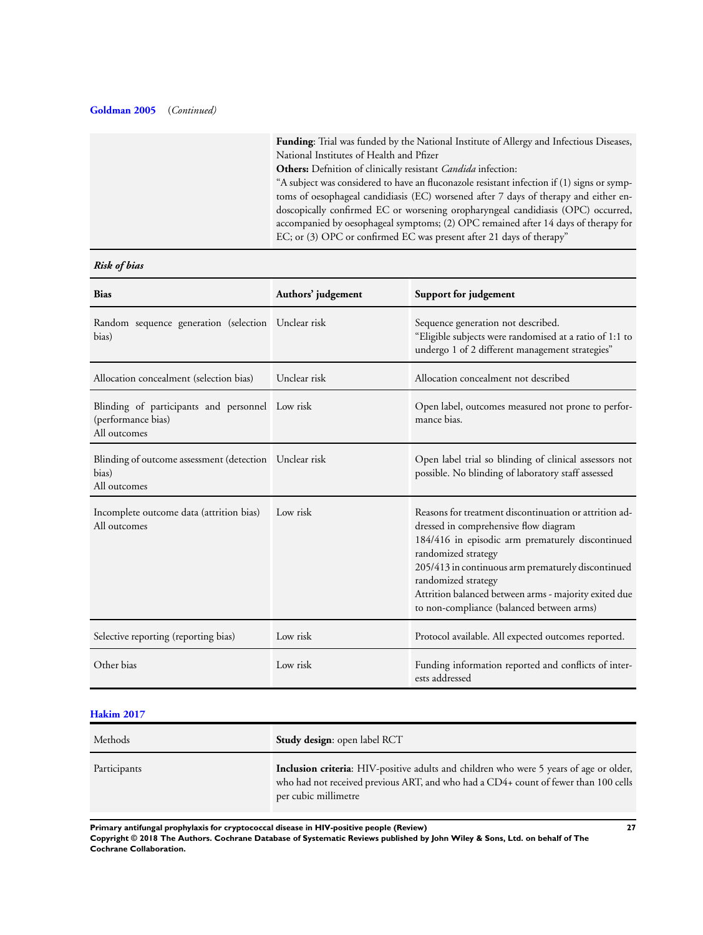# **[Goldman 2005](#page-20-0)** (*Continued)*

**Funding**: Trial was funded by the National Institute of Allergy and Infectious Diseases, National Institutes of Health and Pfizer **Others:** Defnition of clinically resistant *Candida* infection: "A subject was considered to have an fluconazole resistant infection if (1) signs or symptoms of oesophageal candidiasis (EC) worsened after 7 days of therapy and either endoscopically confirmed EC or worsening oropharyngeal candidiasis (OPC) occurred, accompanied by oesophageal symptoms; (2) OPC remained after 14 days of therapy for EC; or (3) OPC or confirmed EC was present after 21 days of therapy"

# *Risk of bias*

| <b>Bias</b>                                                                           | Authors' judgement | Support for judgement                                                                                                                                                                                                                                                                                                                                         |
|---------------------------------------------------------------------------------------|--------------------|---------------------------------------------------------------------------------------------------------------------------------------------------------------------------------------------------------------------------------------------------------------------------------------------------------------------------------------------------------------|
| Random sequence generation (selection Unclear risk<br>bias)                           |                    | Sequence generation not described.<br>"Eligible subjects were randomised at a ratio of 1:1 to<br>undergo 1 of 2 different management strategies"                                                                                                                                                                                                              |
| Allocation concealment (selection bias)                                               | Unclear risk       | Allocation concealment not described                                                                                                                                                                                                                                                                                                                          |
| Blinding of participants and personnel Low risk<br>(performance bias)<br>All outcomes |                    | Open label, outcomes measured not prone to perfor-<br>mance bias.                                                                                                                                                                                                                                                                                             |
| Blinding of outcome assessment (detection Unclear risk<br>bias)<br>All outcomes       |                    | Open label trial so blinding of clinical assessors not<br>possible. No blinding of laboratory staff assessed                                                                                                                                                                                                                                                  |
| Incomplete outcome data (attrition bias)<br>All outcomes                              | Low risk           | Reasons for treatment discontinuation or attrition ad-<br>dressed in comprehensive flow diagram<br>184/416 in episodic arm prematurely discontinued<br>randomized strategy<br>205/413 in continuous arm prematurely discontinued<br>randomized strategy<br>Attrition balanced between arms - majority exited due<br>to non-compliance (balanced between arms) |
| Selective reporting (reporting bias)                                                  | Low risk           | Protocol available. All expected outcomes reported.                                                                                                                                                                                                                                                                                                           |
| Other bias                                                                            | Low risk           | Funding information reported and conflicts of inter-<br>ests addressed                                                                                                                                                                                                                                                                                        |

# **[Hakim 2017](#page-20-0)**

| Methods      | <b>Study design:</b> open label RCT                                                                                                                                                                          |
|--------------|--------------------------------------------------------------------------------------------------------------------------------------------------------------------------------------------------------------|
| Participants | <b>Inclusion criteria:</b> HIV-positive adults and children who were 5 years of age or older,<br>who had not received previous ART, and who had a CD4+ count of fewer than 100 cells<br>per cubic millimetre |

**Primary antifungal prophylaxis for cryptococcal disease in HIV-positive people (Review) 27**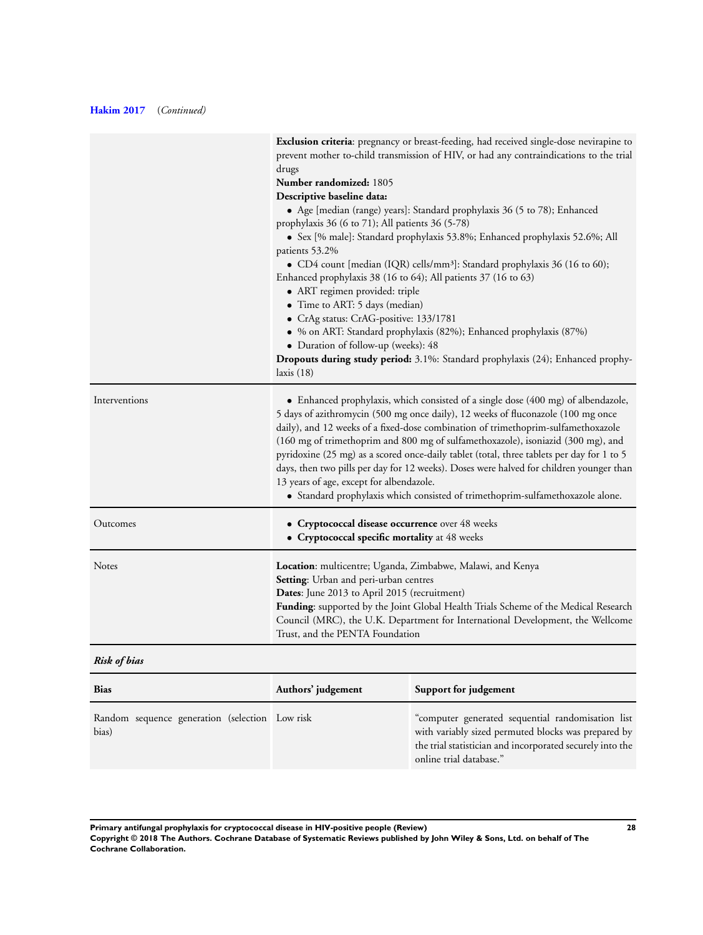# **[Hakim 2017](#page-20-0)** (*Continued)*

|               | Exclusion criteria: pregnancy or breast-feeding, had received single-dose nevirapine to<br>prevent mother to-child transmission of HIV, or had any contraindications to the trial<br>drugs<br>Number randomized: 1805<br>Descriptive baseline data:<br>• Age [median (range) years]: Standard prophylaxis 36 (5 to 78); Enhanced<br>prophylaxis 36 (6 to 71); All patients 36 (5-78)<br>• Sex [% male]: Standard prophylaxis 53.8%; Enhanced prophylaxis 52.6%; All<br>patients 53.2%<br>• CD4 count [median (IQR) cells/mm <sup>3</sup> ]: Standard prophylaxis 36 (16 to 60);<br>Enhanced prophylaxis 38 (16 to 64); All patients 37 (16 to 63)<br>· ART regimen provided: triple<br>• Time to ART: 5 days (median)<br>• CrAg status: CrAG-positive: 133/1781<br>• % on ART: Standard prophylaxis (82%); Enhanced prophylaxis (87%)<br>• Duration of follow-up (weeks): 48<br>Dropouts during study period: 3.1%: Standard prophylaxis (24); Enhanced prophy-<br>laxis $(18)$ |
|---------------|---------------------------------------------------------------------------------------------------------------------------------------------------------------------------------------------------------------------------------------------------------------------------------------------------------------------------------------------------------------------------------------------------------------------------------------------------------------------------------------------------------------------------------------------------------------------------------------------------------------------------------------------------------------------------------------------------------------------------------------------------------------------------------------------------------------------------------------------------------------------------------------------------------------------------------------------------------------------------------|
| Interventions | • Enhanced prophylaxis, which consisted of a single dose (400 mg) of albendazole,<br>5 days of azithromycin (500 mg once daily), 12 weeks of fluconazole (100 mg once<br>daily), and 12 weeks of a fixed-dose combination of trimethoprim-sulfamethoxazole<br>(160 mg of trimethoprim and 800 mg of sulfamethoxazole), isoniazid (300 mg), and<br>pyridoxine (25 mg) as a scored once-daily tablet (total, three tablets per day for 1 to 5<br>days, then two pills per day for 12 weeks). Doses were halved for children younger than<br>13 years of age, except for albendazole.<br>• Standard prophylaxis which consisted of trimethoprim-sulfamethoxazole alone.                                                                                                                                                                                                                                                                                                            |
| Outcomes      | • Cryptococcal disease occurrence over 48 weeks<br>• Cryptococcal specific mortality at 48 weeks                                                                                                                                                                                                                                                                                                                                                                                                                                                                                                                                                                                                                                                                                                                                                                                                                                                                                |
| Notes         | Location: multicentre; Uganda, Zimbabwe, Malawi, and Kenya<br>Setting: Urban and peri-urban centres<br>Dates: June 2013 to April 2015 (recruitment)<br>Funding: supported by the Joint Global Health Trials Scheme of the Medical Research<br>Council (MRC), the U.K. Department for International Development, the Wellcome<br>Trust, and the PENTA Foundation                                                                                                                                                                                                                                                                                                                                                                                                                                                                                                                                                                                                                 |

# *Risk of bias*

| <b>Bias</b>                                             | Authors' judgement | Support for judgement                                                                                                                                                                            |
|---------------------------------------------------------|--------------------|--------------------------------------------------------------------------------------------------------------------------------------------------------------------------------------------------|
| Random sequence generation (selection Low risk<br>bias) |                    | "computer generated sequential randomisation list<br>with variably sized permuted blocks was prepared by<br>the trial statistician and incorporated securely into the<br>online trial database." |

**Primary antifungal prophylaxis for cryptococcal disease in HIV-positive people (Review) 28 Copyright © 2018 The Authors. Cochrane Database of Systematic Reviews published by John Wiley & Sons, Ltd. on behalf of The Cochrane Collaboration.**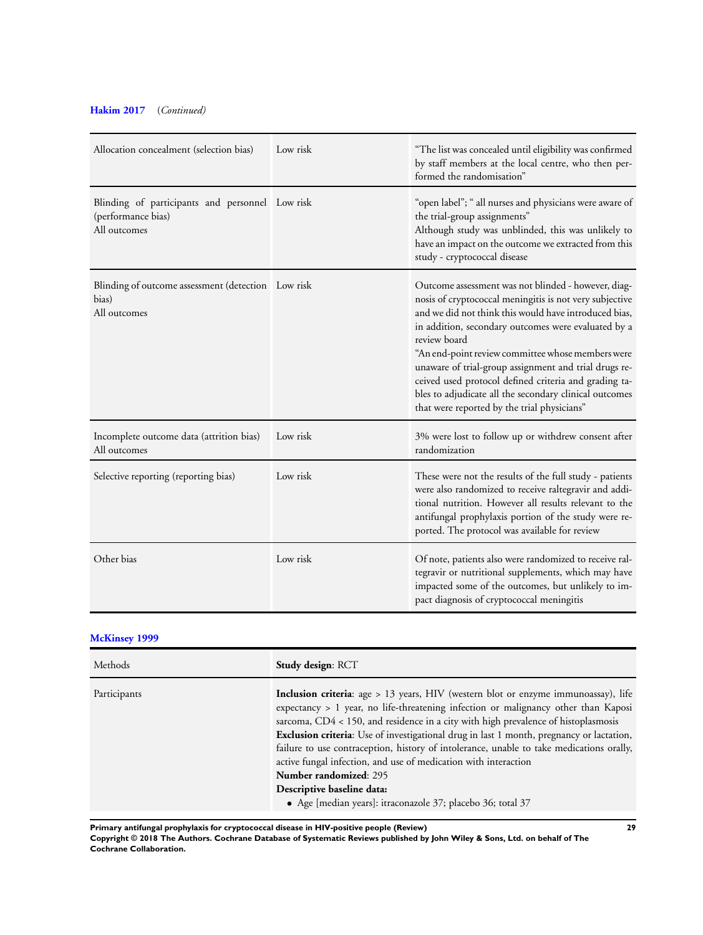# **[Hakim 2017](#page-20-0)** (*Continued)*

| Allocation concealment (selection bias)                                               | Low risk | "The list was concealed until eligibility was confirmed<br>by staff members at the local centre, who then per-<br>formed the randomisation"                                                                                                                                                                                                                                                                                                                                                                                    |
|---------------------------------------------------------------------------------------|----------|--------------------------------------------------------------------------------------------------------------------------------------------------------------------------------------------------------------------------------------------------------------------------------------------------------------------------------------------------------------------------------------------------------------------------------------------------------------------------------------------------------------------------------|
| Blinding of participants and personnel Low risk<br>(performance bias)<br>All outcomes |          | "open label"; " all nurses and physicians were aware of<br>the trial-group assignments"<br>Although study was unblinded, this was unlikely to<br>have an impact on the outcome we extracted from this<br>study - cryptococcal disease                                                                                                                                                                                                                                                                                          |
| Blinding of outcome assessment (detection Low risk<br>bias)<br>All outcomes           |          | Outcome assessment was not blinded - however, diag-<br>nosis of cryptococcal meningitis is not very subjective<br>and we did not think this would have introduced bias,<br>in addition, secondary outcomes were evaluated by a<br>review board<br>"An end-point review committee whose members were<br>unaware of trial-group assignment and trial drugs re-<br>ceived used protocol defined criteria and grading ta-<br>bles to adjudicate all the secondary clinical outcomes<br>that were reported by the trial physicians" |
| Incomplete outcome data (attrition bias)<br>All outcomes                              | Low risk | 3% were lost to follow up or withdrew consent after<br>randomization                                                                                                                                                                                                                                                                                                                                                                                                                                                           |
| Selective reporting (reporting bias)                                                  | Low risk | These were not the results of the full study - patients<br>were also randomized to receive raltegravir and addi-<br>tional nutrition. However all results relevant to the<br>antifungal prophylaxis portion of the study were re-<br>ported. The protocol was available for review                                                                                                                                                                                                                                             |
| Other bias                                                                            | Low risk | Of note, patients also were randomized to receive ral-<br>tegravir or nutritional supplements, which may have<br>impacted some of the outcomes, but unlikely to im-<br>pact diagnosis of cryptococcal meningitis                                                                                                                                                                                                                                                                                                               |

# **[McKinsey 1999](#page-20-0)**

| Methods      | <b>Study design: RCT</b>                                                                                                                                                                                                                                                                                                                                                                                                                                                                                                                                                                                                                            |
|--------------|-----------------------------------------------------------------------------------------------------------------------------------------------------------------------------------------------------------------------------------------------------------------------------------------------------------------------------------------------------------------------------------------------------------------------------------------------------------------------------------------------------------------------------------------------------------------------------------------------------------------------------------------------------|
| Participants | Inclusion criteria: age > 13 years, HIV (western blot or enzyme immunoassay), life<br>expectancy > 1 year, no life-threatening infection or malignancy other than Kaposi<br>sarcoma, $CD4 < 150$ , and residence in a city with high prevalence of histoplasmosis<br>Exclusion criteria: Use of investigational drug in last 1 month, pregnancy or lactation,<br>failure to use contraception, history of intolerance, unable to take medications orally,<br>active fungal infection, and use of medication with interaction<br>Number randomized: 295<br>Descriptive baseline data:<br>• Age [median years]: itraconazole 37; placebo 36; total 37 |

**Primary antifungal prophylaxis for cryptococcal disease in HIV-positive people (Review) 29**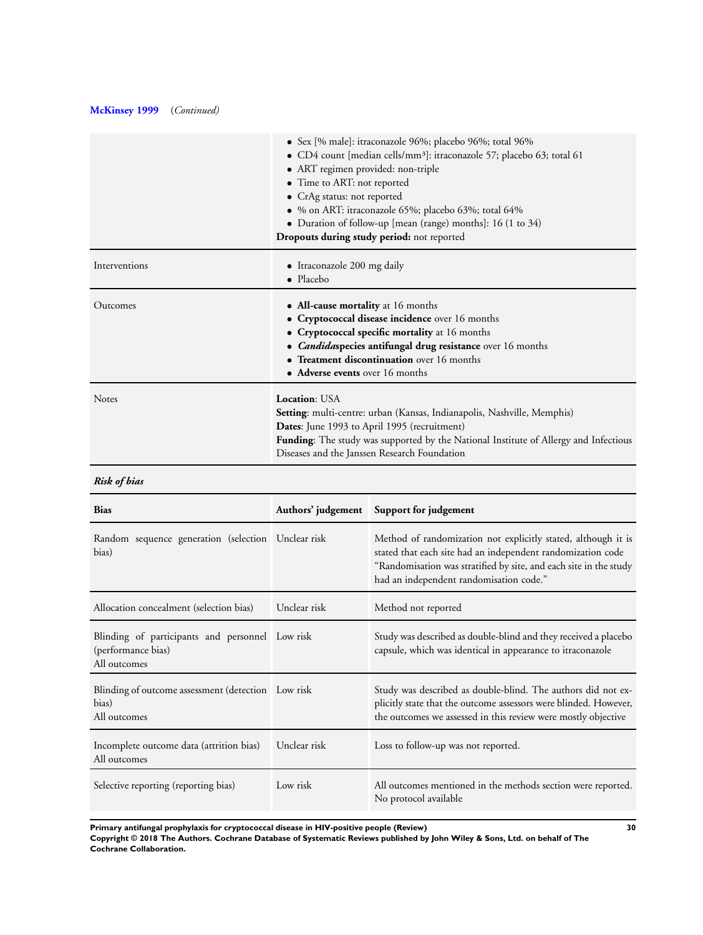# **[McKinsey 1999](#page-20-0)** (*Continued)*

|               | • Sex [% male]: itraconazole 96%; placebo 96%; total 96%                                    |  |  |
|---------------|---------------------------------------------------------------------------------------------|--|--|
|               | • CD4 count [median cells/mm <sup>3</sup> ]: itraconazole 57; placebo 63; total 61          |  |  |
|               | • ART regimen provided: non-triple                                                          |  |  |
|               | • Time to ART: not reported                                                                 |  |  |
|               | • CrAg status: not reported                                                                 |  |  |
|               | • % on ART: itraconazole 65%; placebo 63%; total 64%                                        |  |  |
|               | • Duration of follow-up [mean (range) months]: 16 (1 to $34$ )                              |  |  |
|               | Dropouts during study period: not reported                                                  |  |  |
| Interventions | • Itraconazole 200 mg daily                                                                 |  |  |
|               | • Placebo                                                                                   |  |  |
| Outcomes      | • All-cause mortality at 16 months                                                          |  |  |
|               | • Cryptococcal disease incidence over 16 months                                             |  |  |
|               | • Cryptococcal specific mortality at 16 months                                              |  |  |
|               | • <i>Candidaspecies</i> antifungal drug resistance over 16 months                           |  |  |
|               | • Treatment discontinuation over 16 months                                                  |  |  |
|               | • Adverse events over 16 months                                                             |  |  |
| <b>Notes</b>  | Location: USA                                                                               |  |  |
|               | <b>Setting:</b> multi-centre: urban (Kansas, Indianapolis, Nashville, Memphis)              |  |  |
|               | <b>Dates:</b> June 1993 to April 1995 (recruitment)                                         |  |  |
|               | <b>Funding:</b> The study was supported by the National Institute of Allergy and Infectious |  |  |
|               | Diseases and the Janssen Research Foundation                                                |  |  |

# *Risk of bias*

| <b>Bias</b>                                                                           |              | Authors' judgement Support for judgement                                                                                                                                                                                                     |
|---------------------------------------------------------------------------------------|--------------|----------------------------------------------------------------------------------------------------------------------------------------------------------------------------------------------------------------------------------------------|
| Random sequence generation (selection Unclear risk<br>bias)                           |              | Method of randomization not explicitly stated, although it is<br>stated that each site had an independent randomization code<br>"Randomisation was stratified by site, and each site in the study<br>had an independent randomisation code." |
| Allocation concealment (selection bias)                                               | Unclear risk | Method not reported                                                                                                                                                                                                                          |
| Blinding of participants and personnel Low risk<br>(performance bias)<br>All outcomes |              | Study was described as double-blind and they received a placebo<br>capsule, which was identical in appearance to itraconazole                                                                                                                |
| Blinding of outcome assessment (detection Low risk<br>bias)<br>All outcomes           |              | Study was described as double-blind. The authors did not ex-<br>plicitly state that the outcome assessors were blinded. However,<br>the outcomes we assessed in this review were mostly objective                                            |
| Incomplete outcome data (attrition bias)<br>All outcomes                              | Unclear risk | Loss to follow-up was not reported.                                                                                                                                                                                                          |
| Selective reporting (reporting bias)                                                  | Low risk     | All outcomes mentioned in the methods section were reported.<br>No protocol available                                                                                                                                                        |

**Primary antifungal prophylaxis for cryptococcal disease in HIV-positive people (Review) 30**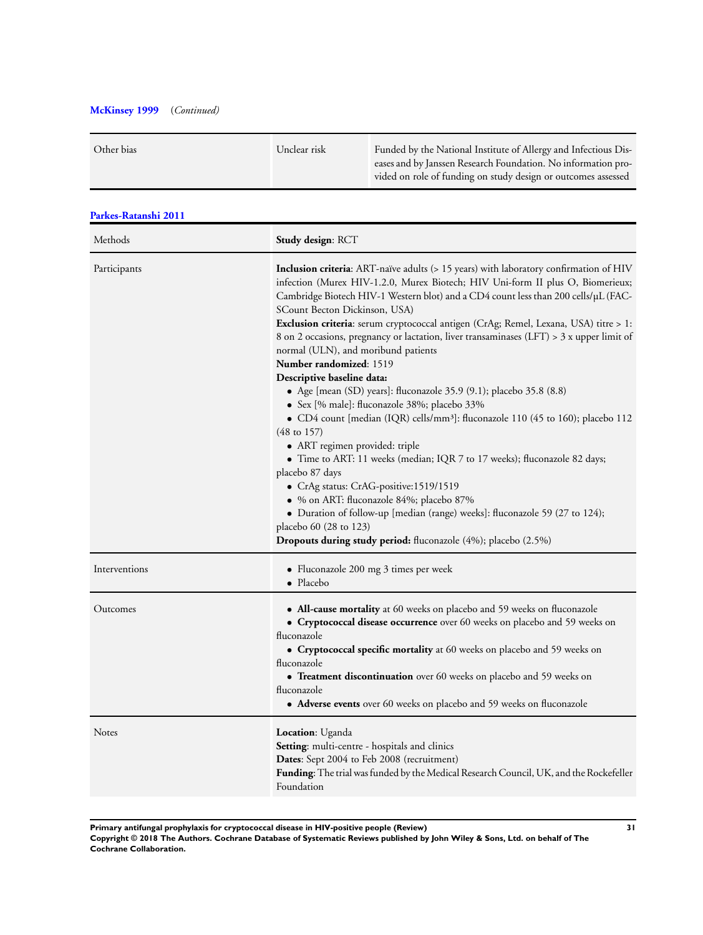# **[McKinsey 1999](#page-20-0)** (*Continued)*

| Other bias | Unclear risk | Funded by the National Institute of Allergy and Infectious Dis-<br>eases and by Janssen Research Foundation. No information pro- |
|------------|--------------|----------------------------------------------------------------------------------------------------------------------------------|
|            |              | vided on role of funding on study design or outcomes assessed                                                                    |

| Parkes-Ratanshi 2011 |                                                                                                                                                                                                                                                                                                                                                                                                                                                                                                                                                                                                                                                                                                                                                                                                                                                                                                                                                                                                                                                                                                                                                                                                                                              |  |  |
|----------------------|----------------------------------------------------------------------------------------------------------------------------------------------------------------------------------------------------------------------------------------------------------------------------------------------------------------------------------------------------------------------------------------------------------------------------------------------------------------------------------------------------------------------------------------------------------------------------------------------------------------------------------------------------------------------------------------------------------------------------------------------------------------------------------------------------------------------------------------------------------------------------------------------------------------------------------------------------------------------------------------------------------------------------------------------------------------------------------------------------------------------------------------------------------------------------------------------------------------------------------------------|--|--|
| Methods              | Study design: RCT                                                                                                                                                                                                                                                                                                                                                                                                                                                                                                                                                                                                                                                                                                                                                                                                                                                                                                                                                                                                                                                                                                                                                                                                                            |  |  |
| Participants         | Inclusion criteria: ART-naïve adults (> 15 years) with laboratory confirmation of HIV<br>infection (Murex HIV-1.2.0, Murex Biotech; HIV Uni-form II plus O, Biomerieux;<br>Cambridge Biotech HIV-1 Western blot) and a CD4 count less than 200 cells/µL (FAC-<br>SCount Becton Dickinson, USA)<br>Exclusion criteria: serum cryptococcal antigen (CrAg; Remel, Lexana, USA) titre > 1:<br>8 on 2 occasions, pregnancy or lactation, liver transaminases (LFT) > 3 x upper limit of<br>normal (ULN), and moribund patients<br><b>Number randomized: 1519</b><br>Descriptive baseline data:<br>• Age [mean (SD) years]: fluconazole 35.9 (9.1); placebo 35.8 (8.8)<br>· Sex [% male]: fluconazole 38%; placebo 33%<br>• CD4 count [median (IQR) cells/mm <sup>3</sup> ]: fluconazole 110 (45 to 160); placebo 112<br>$(48 \text{ to } 157)$<br>• ART regimen provided: triple<br>• Time to ART: 11 weeks (median; IQR 7 to 17 weeks); fluconazole 82 days;<br>placebo 87 days<br>• CrAg status: CrAG-positive:1519/1519<br>· % on ART: fluconazole 84%; placebo 87%<br>• Duration of follow-up [median (range) weeks]: fluconazole 59 (27 to 124);<br>placebo 60 (28 to 123)<br>Dropouts during study period: fluconazole (4%); placebo (2.5%) |  |  |
| Interventions        | • Fluconazole 200 mg $\beta$ times per week<br>$\bullet$ Placebo                                                                                                                                                                                                                                                                                                                                                                                                                                                                                                                                                                                                                                                                                                                                                                                                                                                                                                                                                                                                                                                                                                                                                                             |  |  |
| Outcomes             | • All-cause mortality at 60 weeks on placebo and 59 weeks on fluconazole<br>• Cryptococcal disease occurrence over 60 weeks on placebo and 59 weeks on<br>fluconazole<br>• Cryptococcal specific mortality at 60 weeks on placebo and 59 weeks on<br>fluconazole<br>• Treatment discontinuation over 60 weeks on placebo and 59 weeks on<br>fluconazole<br>• Adverse events over 60 weeks on placebo and 59 weeks on fluconazole                                                                                                                                                                                                                                                                                                                                                                                                                                                                                                                                                                                                                                                                                                                                                                                                             |  |  |
| Notes                | <b>Location</b> : Uganda<br>Setting: multi-centre - hospitals and clinics<br>Dates: Sept 2004 to Feb 2008 (recruitment)<br><b>Funding</b> : The trial was funded by the Medical Research Council, UK, and the Rockefeller<br>Foundation                                                                                                                                                                                                                                                                                                                                                                                                                                                                                                                                                                                                                                                                                                                                                                                                                                                                                                                                                                                                      |  |  |

**Primary antifungal prophylaxis for cryptococcal disease in HIV-positive people (Review) 31**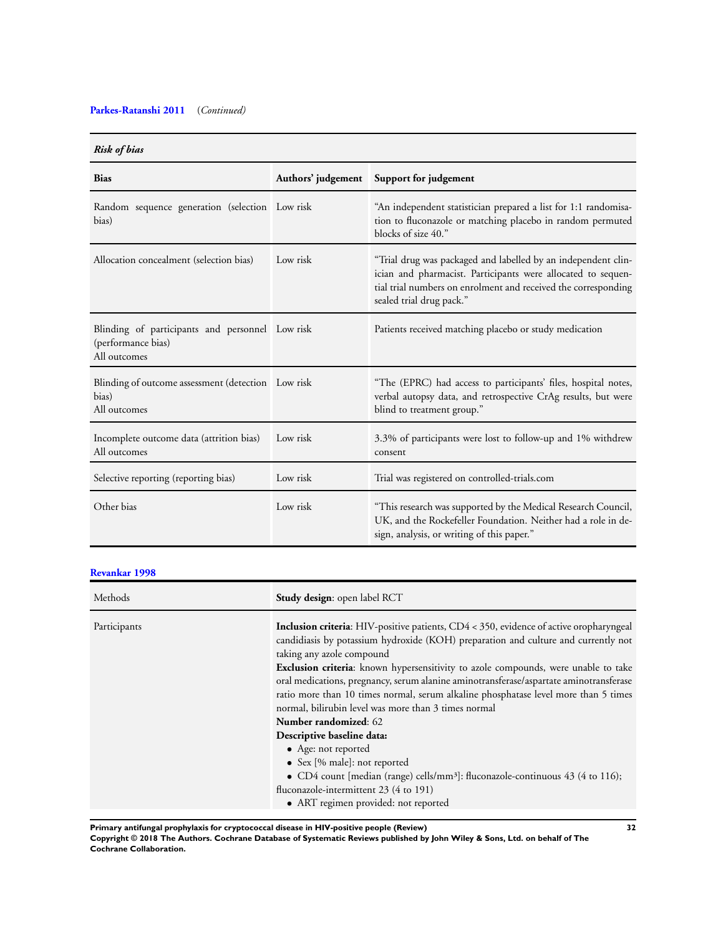# **[Parkes-Ratanshi 2011](#page-20-0)** (*Continued)*

# *Risk of bias*

| TIMA AL AND                                                                           |          |                                                                                                                                                                                                                             |  |
|---------------------------------------------------------------------------------------|----------|-----------------------------------------------------------------------------------------------------------------------------------------------------------------------------------------------------------------------------|--|
| <b>Bias</b>                                                                           |          | Authors' judgement Support for judgement                                                                                                                                                                                    |  |
| Random sequence generation (selection Low risk<br>bias)                               |          | "An independent statistician prepared a list for 1:1 randomisa-<br>tion to fluconazole or matching placebo in random permuted<br>blocks of size 40."                                                                        |  |
| Allocation concealment (selection bias)                                               | Low risk | "Trial drug was packaged and labelled by an independent clin-<br>ician and pharmacist. Participants were allocated to sequen-<br>tial trial numbers on enrolment and received the corresponding<br>sealed trial drug pack." |  |
| Blinding of participants and personnel Low risk<br>(performance bias)<br>All outcomes |          | Patients received matching placebo or study medication                                                                                                                                                                      |  |
| Blinding of outcome assessment (detection Low risk<br>bias)<br>All outcomes           |          | "The (EPRC) had access to participants' files, hospital notes,<br>verbal autopsy data, and retrospective CrAg results, but were<br>blind to treatment group."                                                               |  |
| Incomplete outcome data (attrition bias)<br>All outcomes                              | Low risk | 3.3% of participants were lost to follow-up and 1% withdrew<br>consent                                                                                                                                                      |  |
| Selective reporting (reporting bias)                                                  | Low risk | Trial was registered on controlled-trials.com                                                                                                                                                                               |  |
| Other bias                                                                            | Low risk | "This research was supported by the Medical Research Council,<br>UK, and the Rockefeller Foundation. Neither had a role in de-<br>sign, analysis, or writing of this paper."                                                |  |

# **[Revankar 1998](#page-20-0)**

| Study design: open label RCT                                                                                                                                                                                                                                                                                                                                                                                                                                                                                                                                                                                                                                                |
|-----------------------------------------------------------------------------------------------------------------------------------------------------------------------------------------------------------------------------------------------------------------------------------------------------------------------------------------------------------------------------------------------------------------------------------------------------------------------------------------------------------------------------------------------------------------------------------------------------------------------------------------------------------------------------|
| <b>Inclusion criteria:</b> HIV-positive patients, CD4 < 350, evidence of active oropharyngeal<br>candidiasis by potassium hydroxide (KOH) preparation and culture and currently not<br>taking any azole compound<br><b>Exclusion criteria:</b> known hypersensitivity to azole compounds, were unable to take<br>oral medications, pregnancy, serum alanine aminotransferase/aspartate aminotransferase<br>ratio more than 10 times normal, serum alkaline phosphatase level more than 5 times<br>normal, bilirubin level was more than 3 times normal<br><b>Number randomized: 62</b><br>Descriptive baseline data:<br>• Age: not reported<br>• Sex [% male]: not reported |
| • CD4 count [median (range) cells/mm <sup>3</sup> ]: fluconazole-continuous $43$ (4 to 116);<br>fluconazole-intermittent 23 (4 to 191)<br>• ART regimen provided: not reported                                                                                                                                                                                                                                                                                                                                                                                                                                                                                              |
|                                                                                                                                                                                                                                                                                                                                                                                                                                                                                                                                                                                                                                                                             |

**Primary antifungal prophylaxis for cryptococcal disease in HIV-positive people (Review) 32**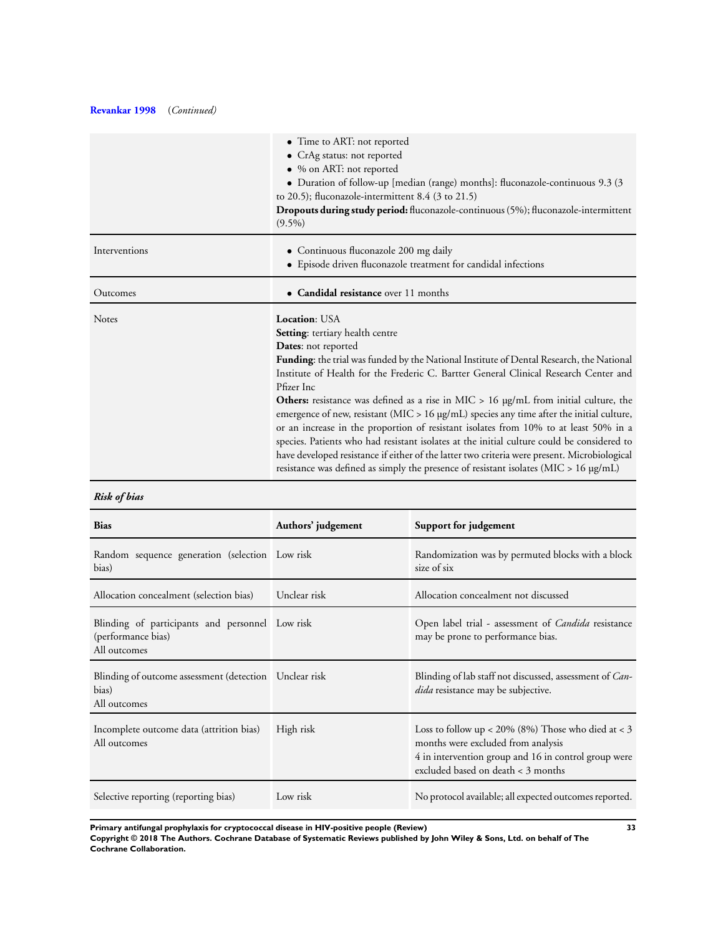# **[Revankar 1998](#page-20-0)** (*Continued)*

|               | • Time to ART: not reported<br>• CrAg status: not reported<br>• % on ART: not reported<br>• Duration of follow-up [median (range) months]: fluconazole-continuous 9.3 (3)<br>to 20.5); fluconazole-intermittent 8.4 (3 to 21.5)<br>Dropouts during study period: fluconazole-continuous (5%); fluconazole-intermittent<br>$(9.5\%)$                                                                                                                                                                                                                                                                                                                                                                                                                                                                                                                                                     |
|---------------|-----------------------------------------------------------------------------------------------------------------------------------------------------------------------------------------------------------------------------------------------------------------------------------------------------------------------------------------------------------------------------------------------------------------------------------------------------------------------------------------------------------------------------------------------------------------------------------------------------------------------------------------------------------------------------------------------------------------------------------------------------------------------------------------------------------------------------------------------------------------------------------------|
| Interventions | • Continuous fluconazole 200 mg daily<br>• Episode driven fluconazole treatment for candidal infections                                                                                                                                                                                                                                                                                                                                                                                                                                                                                                                                                                                                                                                                                                                                                                                 |
| Outcomes      | • Candidal resistance over 11 months                                                                                                                                                                                                                                                                                                                                                                                                                                                                                                                                                                                                                                                                                                                                                                                                                                                    |
| <b>Notes</b>  | <b>Location: USA</b><br><b>Setting:</b> tertiary health centre<br><b>Dates:</b> not reported<br><b>Funding:</b> the trial was funded by the National Institute of Dental Research, the National<br>Institute of Health for the Frederic C. Bartter General Clinical Research Center and<br>Pfizer Inc<br><b>Others:</b> resistance was defined as a rise in MIC $> 16$ µg/mL from initial culture, the<br>emergence of new, resistant (MIC > 16 µg/mL) species any time after the initial culture,<br>or an increase in the proportion of resistant isolates from 10% to at least 50% in a<br>species. Patients who had resistant isolates at the initial culture could be considered to<br>have developed resistance if either of the latter two criteria were present. Microbiological<br>resistance was defined as simply the presence of resistant isolates ( $MIC > 16 \mu g/mL$ ) |

# *Risk of bias*

| <b>Bias</b>                                                                           | Authors' judgement | Support for judgement                                                                                                                                                                     |
|---------------------------------------------------------------------------------------|--------------------|-------------------------------------------------------------------------------------------------------------------------------------------------------------------------------------------|
| Random sequence generation (selection Low risk<br>bias)                               |                    | Randomization was by permuted blocks with a block<br>size of six                                                                                                                          |
| Allocation concealment (selection bias)                                               | Unclear risk       | Allocation concealment not discussed                                                                                                                                                      |
| Blinding of participants and personnel Low risk<br>(performance bias)<br>All outcomes |                    | Open label trial - assessment of <i>Candida</i> resistance<br>may be prone to performance bias.                                                                                           |
| Blinding of outcome assessment (detection Unclear risk<br>bias)<br>All outcomes       |                    | Blinding of lab staff not discussed, assessment of Can-<br>dida resistance may be subjective.                                                                                             |
| Incomplete outcome data (attrition bias)<br>All outcomes                              | High risk          | Loss to follow up < $20\%$ (8%) Those who died at < 3<br>months were excluded from analysis<br>4 in intervention group and 16 in control group were<br>excluded based on death < 3 months |
| Selective reporting (reporting bias)                                                  | Low risk           | No protocol available; all expected outcomes reported.                                                                                                                                    |

**Primary antifungal prophylaxis for cryptococcal disease in HIV-positive people (Review) 33**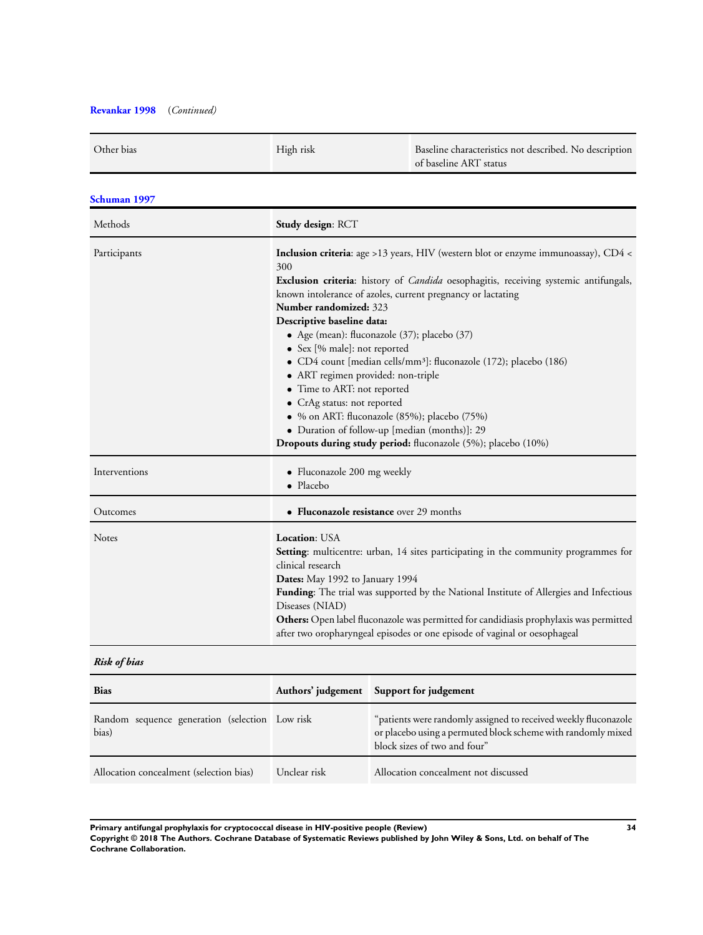# **[Revankar 1998](#page-20-0)** (*Continued)*

| Other bias    | High risk                                                                                                                                                                                                                                                                                                                                                                                                                                                                                                                                                                                                                                                                                                                                                     | Baseline characteristics not described. No description<br>of baseline ART status |
|---------------|---------------------------------------------------------------------------------------------------------------------------------------------------------------------------------------------------------------------------------------------------------------------------------------------------------------------------------------------------------------------------------------------------------------------------------------------------------------------------------------------------------------------------------------------------------------------------------------------------------------------------------------------------------------------------------------------------------------------------------------------------------------|----------------------------------------------------------------------------------|
| Schuman 1997  |                                                                                                                                                                                                                                                                                                                                                                                                                                                                                                                                                                                                                                                                                                                                                               |                                                                                  |
| Methods       | Study design: RCT                                                                                                                                                                                                                                                                                                                                                                                                                                                                                                                                                                                                                                                                                                                                             |                                                                                  |
| Participants  | <b>Inclusion criteria:</b> age >13 years, HIV (western blot or enzyme immunoassay), CD4 <<br>300<br>Exclusion criteria: history of <i>Candida</i> oesophagitis, receiving systemic antifungals,<br>known intolerance of azoles, current pregnancy or lactating<br>Number randomized: 323<br>Descriptive baseline data:<br>• Age (mean): fluconazole (37); placebo (37)<br>• Sex [% male]: not reported<br>• CD4 count [median cells/mm <sup>3</sup> ]: fluconazole (172); placebo (186)<br>• ART regimen provided: non-triple<br>• Time to ART: not reported<br>• CrAg status: not reported<br>• % on ART: fluconazole (85%); placebo (75%)<br>· Duration of follow-up [median (months)]: 29<br>Dropouts during study period: fluconazole (5%); placebo (10%) |                                                                                  |
| Interventions | • Fluconazole 200 mg weekly<br>$\bullet$ Placebo                                                                                                                                                                                                                                                                                                                                                                                                                                                                                                                                                                                                                                                                                                              |                                                                                  |
| Outcomes      | • Fluconazole resistance over 29 months                                                                                                                                                                                                                                                                                                                                                                                                                                                                                                                                                                                                                                                                                                                       |                                                                                  |
| <b>Notes</b>  | Location: USA<br>Setting: multicentre: urban, 14 sites participating in the community programmes for<br>clinical research<br>Dates: May 1992 to January 1994<br>Funding: The trial was supported by the National Institute of Allergies and Infectious<br>Diseases (NIAD)<br>Others: Open label fluconazole was permitted for candidiasis prophylaxis was permitted<br>after two oropharyngeal episodes or one episode of vaginal or oesophageal                                                                                                                                                                                                                                                                                                              |                                                                                  |
| Risk of bias  |                                                                                                                                                                                                                                                                                                                                                                                                                                                                                                                                                                                                                                                                                                                                                               |                                                                                  |

| <b>Bias</b>                                             |              | Authors' judgement Support for judgement                                                                                                                        |
|---------------------------------------------------------|--------------|-----------------------------------------------------------------------------------------------------------------------------------------------------------------|
| Random sequence generation (selection Low risk<br>bias) |              | "patients were randomly assigned to received weekly fluconazole<br>or placebo using a permuted block scheme with randomly mixed<br>block sizes of two and four" |
| Allocation concealment (selection bias)                 | Unclear risk | Allocation concealment not discussed                                                                                                                            |

**Primary antifungal prophylaxis for cryptococcal disease in HIV-positive people (Review) 34 Copyright © 2018 The Authors. Cochrane Database of Systematic Reviews published by John Wiley & Sons, Ltd. on behalf of The Cochrane Collaboration.**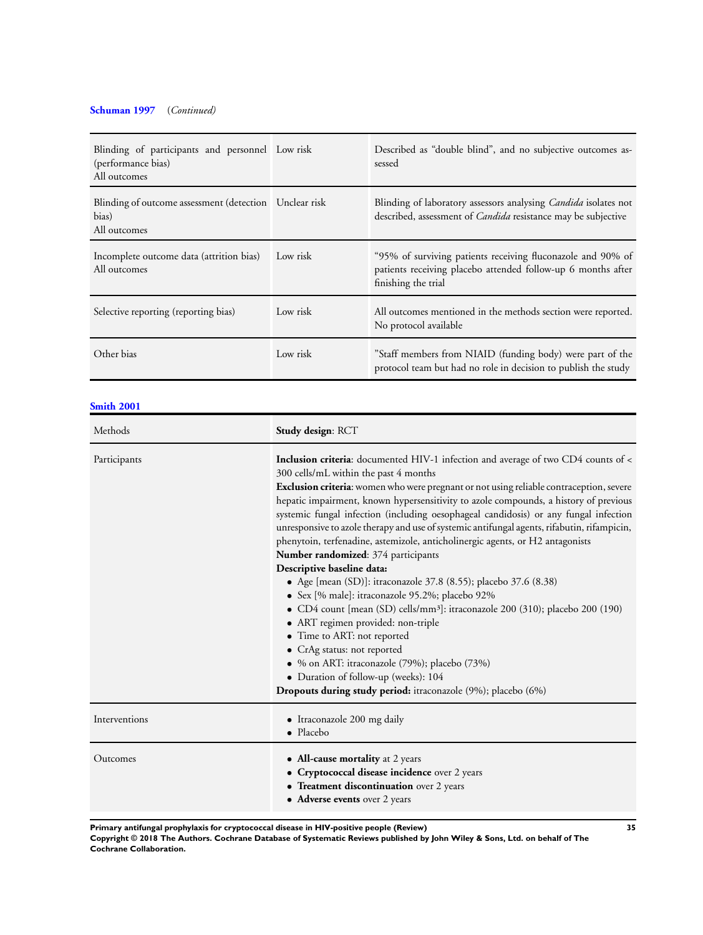# **[Schuman 1997](#page-20-0)** (*Continued)*

| Blinding of participants and personnel Low risk<br>(performance bias)<br>All outcomes |          | Described as "double blind", and no subjective outcomes as-<br>sessed                                                                              |
|---------------------------------------------------------------------------------------|----------|----------------------------------------------------------------------------------------------------------------------------------------------------|
| Blinding of outcome assessment (detection Unclear risk<br>bias)<br>All outcomes       |          | Blinding of laboratory assessors analysing <i>Candida</i> isolates not<br>described, assessment of <i>Candida</i> resistance may be subjective     |
| Incomplete outcome data (attrition bias)<br>All outcomes                              | Low risk | "95% of surviving patients receiving fluconazole and 90% of<br>patients receiving placebo attended follow-up 6 months after<br>finishing the trial |
| Selective reporting (reporting bias)                                                  | Low risk | All outcomes mentioned in the methods section were reported.<br>No protocol available                                                              |
| Other bias                                                                            | Low risk | "Staff members from NIAID (funding body) were part of the<br>protocol team but had no role in decision to publish the study                        |

# **[Smith 2001](#page-20-0)**

| Methods       | Study design: RCT                                                                                                                                                                                                                                                                                                                                                                                                                                                                                                                                                                                                                                                                                                                                                                                                                                                                                                                                                                                                                                                                                                                                          |
|---------------|------------------------------------------------------------------------------------------------------------------------------------------------------------------------------------------------------------------------------------------------------------------------------------------------------------------------------------------------------------------------------------------------------------------------------------------------------------------------------------------------------------------------------------------------------------------------------------------------------------------------------------------------------------------------------------------------------------------------------------------------------------------------------------------------------------------------------------------------------------------------------------------------------------------------------------------------------------------------------------------------------------------------------------------------------------------------------------------------------------------------------------------------------------|
| Participants  | <b>Inclusion criteria:</b> documented HIV-1 infection and average of two CD4 counts of <<br>300 cells/mL within the past 4 months<br>Exclusion criteria: women who were pregnant or not using reliable contraception, severe<br>hepatic impairment, known hypersensitivity to azole compounds, a history of previous<br>systemic fungal infection (including oesophageal candidosis) or any fungal infection<br>unresponsive to azole therapy and use of systemic antifungal agents, rifabutin, rifampicin,<br>phenytoin, terfenadine, astemizole, anticholinergic agents, or H2 antagonists<br>Number randomized: 374 participants<br>Descriptive baseline data:<br>• Age [mean (SD)]: itraconazole 37.8 (8.55); placebo 37.6 (8.38)<br>· Sex [% male]: itraconazole 95.2%; placebo 92%<br>• CD4 count [mean (SD) cells/mm <sup>3</sup> ]: itraconazole 200 (310); placebo 200 (190)<br>• ART regimen provided: non-triple<br>• Time to ART: not reported<br>• CrAg status: not reported<br>· % on ART: itraconazole (79%); placebo (73%)<br>• Duration of follow-up (weeks): 104<br><b>Dropouts during study period:</b> itraconazole (9%); placebo (6%) |
| Interventions | • Itraconazole 200 mg daily<br>• Placebo                                                                                                                                                                                                                                                                                                                                                                                                                                                                                                                                                                                                                                                                                                                                                                                                                                                                                                                                                                                                                                                                                                                   |
| Outcomes      | • All-cause mortality at 2 years<br>• Cryptococcal disease incidence over 2 years<br>• Treatment discontinuation over 2 years<br>• Adverse events over 2 years                                                                                                                                                                                                                                                                                                                                                                                                                                                                                                                                                                                                                                                                                                                                                                                                                                                                                                                                                                                             |

**Primary antifungal prophylaxis for cryptococcal disease in HIV-positive people (Review) 35**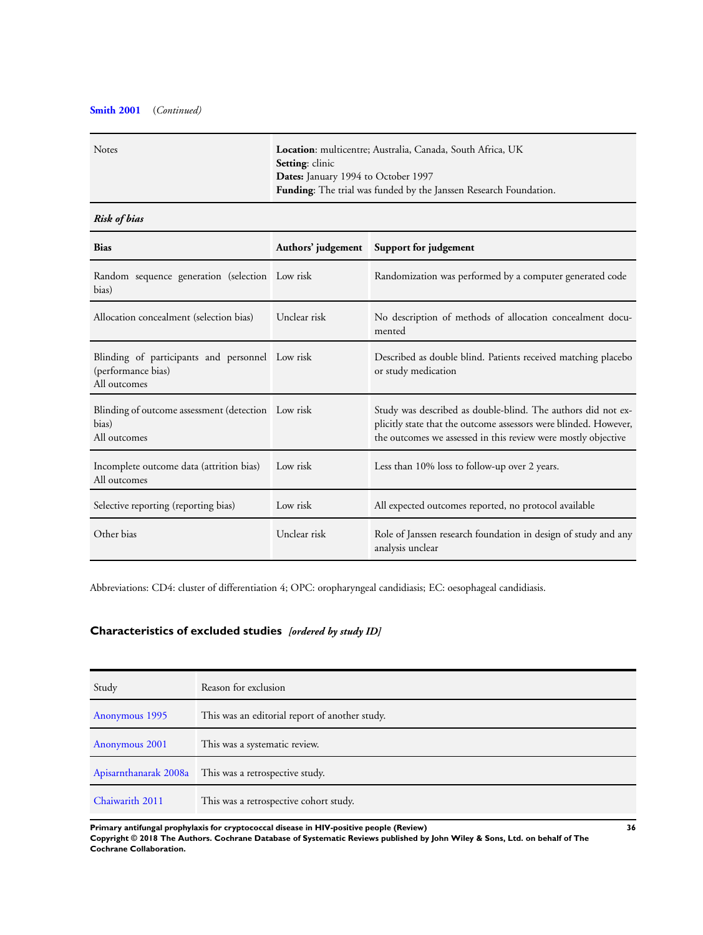# <span id="page-37-0"></span>**[Smith 2001](#page-20-0)** (*Continued)*

| <b>Notes</b> | Location: multicentre; Australia, Canada, South Africa, UK               |
|--------------|--------------------------------------------------------------------------|
|              | <b>Setting:</b> clinic                                                   |
|              | <b>Dates:</b> January 1994 to October 1997                               |
|              | <b>Funding:</b> The trial was funded by the Janssen Research Foundation. |
|              |                                                                          |

# *Risk of bias*

| <b>Bias</b>                                                                           |              | Authors' judgement Support for judgement                                                                                                                                                          |
|---------------------------------------------------------------------------------------|--------------|---------------------------------------------------------------------------------------------------------------------------------------------------------------------------------------------------|
| Random sequence generation (selection Low risk<br>bias)                               |              | Randomization was performed by a computer generated code                                                                                                                                          |
| Allocation concealment (selection bias)                                               | Unclear risk | No description of methods of allocation concealment docu-<br>mented                                                                                                                               |
| Blinding of participants and personnel Low risk<br>(performance bias)<br>All outcomes |              | Described as double blind. Patients received matching placebo<br>or study medication                                                                                                              |
| Blinding of outcome assessment (detection Low risk<br>bias)<br>All outcomes           |              | Study was described as double-blind. The authors did not ex-<br>plicitly state that the outcome assessors were blinded. However,<br>the outcomes we assessed in this review were mostly objective |
| Incomplete outcome data (attrition bias)<br>All outcomes                              | Low risk     | Less than 10% loss to follow-up over 2 years.                                                                                                                                                     |
| Selective reporting (reporting bias)                                                  | Low risk     | All expected outcomes reported, no protocol available                                                                                                                                             |
| Other bias                                                                            | Unclear risk | Role of Janssen research foundation in design of study and any<br>analysis unclear                                                                                                                |

Abbreviations: CD4: cluster of differentiation 4; OPC: oropharyngeal candidiasis; EC: oesophageal candidiasis.

# **Characteristics of excluded studies** *[ordered by study ID]*

| Study           | Reason for exclusion                                  |
|-----------------|-------------------------------------------------------|
| Anonymous 1995  | This was an editorial report of another study.        |
| Anonymous 2001  | This was a systematic review.                         |
|                 | Apisarnthanarak 2008a This was a retrospective study. |
| Chaiwarith 2011 | This was a retrospective cohort study.                |

**Primary antifungal prophylaxis for cryptococcal disease in HIV-positive people (Review) 36**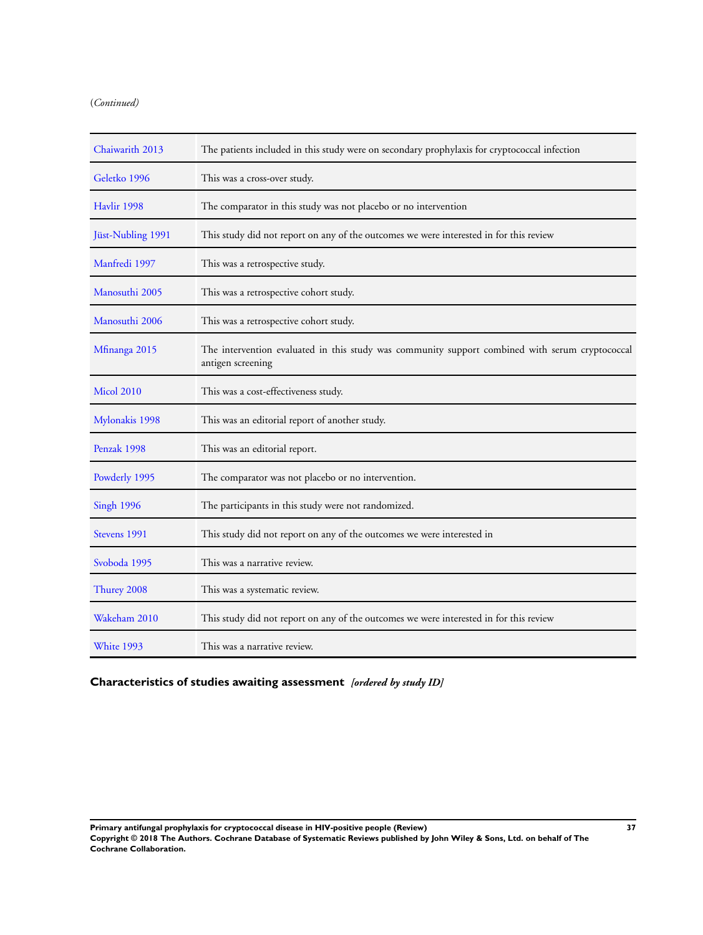# <span id="page-38-0"></span>(*Continued)*

| Chaiwarith 2013   | The patients included in this study were on secondary prophylaxis for cryptococcal infection                         |
|-------------------|----------------------------------------------------------------------------------------------------------------------|
| Geletko 1996      | This was a cross-over study.                                                                                         |
| Havlir 1998       | The comparator in this study was not placebo or no intervention                                                      |
| Jüst-Nubling 1991 | This study did not report on any of the outcomes we were interested in for this review                               |
| Manfredi 1997     | This was a retrospective study.                                                                                      |
| Manosuthi 2005    | This was a retrospective cohort study.                                                                               |
| Manosuthi 2006    | This was a retrospective cohort study.                                                                               |
| Mfinanga 2015     | The intervention evaluated in this study was community support combined with serum cryptococcal<br>antigen screening |
| <b>Micol 2010</b> | This was a cost-effectiveness study.                                                                                 |
| Mylonakis 1998    | This was an editorial report of another study.                                                                       |
| Penzak 1998       | This was an editorial report.                                                                                        |
| Powderly 1995     | The comparator was not placebo or no intervention.                                                                   |
| <b>Singh 1996</b> | The participants in this study were not randomized.                                                                  |
| Stevens 1991      | This study did not report on any of the outcomes we were interested in                                               |
| Svoboda 1995      | This was a narrative review.                                                                                         |
| Thurey 2008       | This was a systematic review.                                                                                        |
| Wakeham 2010      | This study did not report on any of the outcomes we were interested in for this review                               |
| White 1993        | This was a narrative review.                                                                                         |

# **Characteristics of studies awaiting assessment** *[ordered by study ID]*

**Primary antifungal prophylaxis for cryptococcal disease in HIV-positive people (Review) 37 Copyright © 2018 The Authors. Cochrane Database of Systematic Reviews published by John Wiley & Sons, Ltd. on behalf of The Cochrane Collaboration.**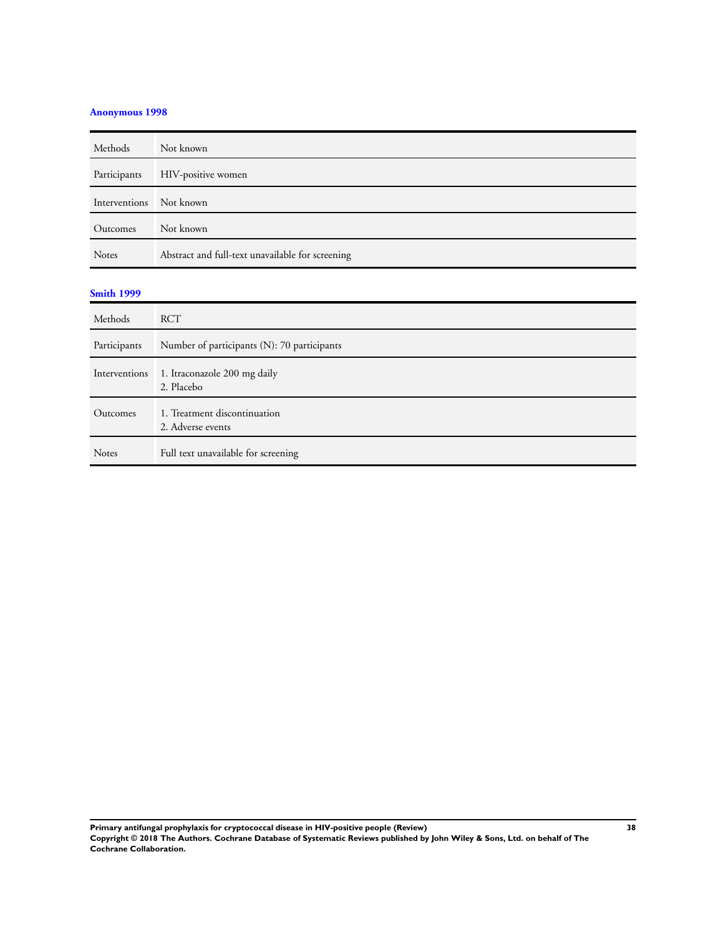# **[Anonymous 1998](#page-20-0)**

| Methods                 | Not known                                        |
|-------------------------|--------------------------------------------------|
| Participants            | HIV-positive women                               |
| Interventions Not known |                                                  |
| Outcomes                | Not known                                        |
| <b>Notes</b>            | Abstract and full-text unavailable for screening |

# **[Smith 1999](#page-20-0)**

| Methods       | <b>RCT</b>                                        |
|---------------|---------------------------------------------------|
| Participants  | Number of participants (N): 70 participants       |
| Interventions | 1. Itraconazole 200 mg daily<br>2. Placebo        |
| Outcomes      | 1. Treatment discontinuation<br>2. Adverse events |
| <b>Notes</b>  | Full text unavailable for screening               |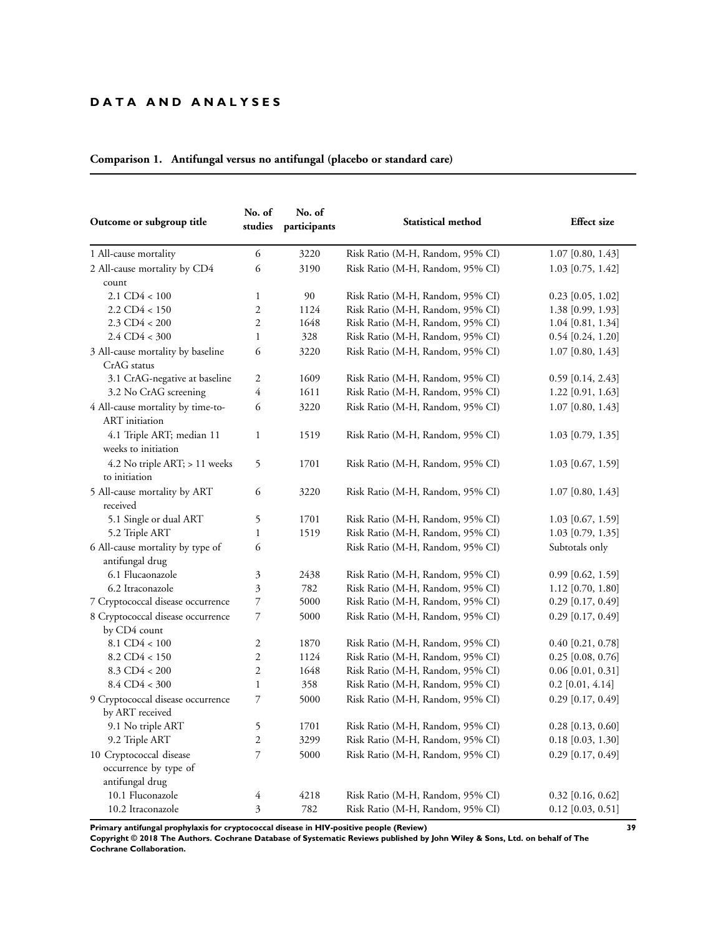# **D A T A A N D A N A L Y S E S**

| Outcome or subgroup title                                  | No. of<br>No. of<br>studies<br>participants |      | Statistical method               | <b>Effect</b> size  |  |  |
|------------------------------------------------------------|---------------------------------------------|------|----------------------------------|---------------------|--|--|
| 1 All-cause mortality                                      | 6                                           | 3220 | Risk Ratio (M-H, Random, 95% CI) | $1.07$ [0.80, 1.43] |  |  |
| 2 All-cause mortality by CD4<br>count                      | 6                                           | 3190 | Risk Ratio (M-H, Random, 95% CI) | 1.03 [0.75, 1.42]   |  |  |
| $2.1 \text{ CD}4 < 100$                                    | $\mathbf{1}$                                | 90   | Risk Ratio (M-H, Random, 95% CI) | $0.23$ [0.05, 1.02] |  |  |
| $2.2 \text{ CD}4 < 150$                                    | $\mathfrak{2}$                              | 1124 | Risk Ratio (M-H, Random, 95% CI) | 1.38 [0.99, 1.93]   |  |  |
| $2.3$ CD4 < 200                                            | $\overline{c}$                              | 1648 | Risk Ratio (M-H, Random, 95% CI) | 1.04 [0.81, 1.34]   |  |  |
| $2.4$ CD4 < 300                                            | $\mathbf{1}$                                | 328  | Risk Ratio (M-H, Random, 95% CI) | $0.54$ [0.24, 1.20] |  |  |
| 3 All-cause mortality by baseline<br>CrAG status           | 6                                           | 3220 | Risk Ratio (M-H, Random, 95% CI) | $1.07$ [0.80, 1.43] |  |  |
| 3.1 CrAG-negative at baseline                              | $\overline{2}$                              | 1609 | Risk Ratio (M-H, Random, 95% CI) | $0.59$ [0.14, 2.43] |  |  |
| 3.2 No CrAG screening                                      | 4                                           | 1611 | Risk Ratio (M-H, Random, 95% CI) | 1.22 [0.91, 1.63]   |  |  |
| 4 All-cause mortality by time-to-<br><b>ART</b> initiation | 6                                           | 3220 | Risk Ratio (M-H, Random, 95% CI) | $1.07$ [0.80, 1.43] |  |  |
| 4.1 Triple ART; median 11<br>weeks to initiation           | $\mathbf{1}$                                | 1519 | Risk Ratio (M-H, Random, 95% CI) | $1.03$ [0.79, 1.35] |  |  |
| $4.2$ No triple ART; $> 11$ weeks<br>to initiation         | 5                                           | 1701 | Risk Ratio (M-H, Random, 95% CI) | $1.03$ [0.67, 1.59] |  |  |
| 5 All-cause mortality by ART<br>received                   | 6                                           | 3220 | Risk Ratio (M-H, Random, 95% CI) | $1.07$ [0.80, 1.43] |  |  |
| 5.1 Single or dual ART                                     | 5                                           | 1701 | Risk Ratio (M-H, Random, 95% CI) | $1.03$ [0.67, 1.59] |  |  |
| 5.2 Triple ART                                             | $\mathbf{1}$                                | 1519 | Risk Ratio (M-H, Random, 95% CI) | $1.03$ [0.79, 1.35] |  |  |
| 6 All-cause mortality by type of                           | 6                                           |      | Risk Ratio (M-H, Random, 95% CI) | Subtotals only      |  |  |
| antifungal drug                                            |                                             |      |                                  |                     |  |  |
| 6.1 Flucaonazole                                           | 3                                           | 2438 | Risk Ratio (M-H, Random, 95% CI) | $0.99$ [0.62, 1.59] |  |  |
| 6.2 Itraconazole                                           | 3                                           | 782  | Risk Ratio (M-H, Random, 95% CI) | $1.12$ [0.70, 1.80] |  |  |
| 7 Cryptococcal disease occurrence                          | $\overline{\phantom{a}}$                    | 5000 | Risk Ratio (M-H, Random, 95% CI) | $0.29$ [0.17, 0.49] |  |  |
| 8 Cryptococcal disease occurrence<br>by CD4 count          | 7                                           | 5000 | Risk Ratio (M-H, Random, 95% CI) | $0.29$ [0.17, 0.49] |  |  |
| $8.1 \text{ CD}4 < 100$                                    | 2                                           | 1870 | Risk Ratio (M-H, Random, 95% CI) | $0.40$ [0.21, 0.78] |  |  |
| $8.2$ CD4 < 150                                            | $\mathfrak{2}$                              | 1124 | Risk Ratio (M-H, Random, 95% CI) | $0.25$ [0.08, 0.76] |  |  |
| $8.3$ CD4 < 200                                            | $\overline{c}$                              | 1648 | Risk Ratio (M-H, Random, 95% CI) | $0.06$ [0.01, 0.31] |  |  |
| $8.4$ CD4 < 300                                            | $\mathbf{1}$                                | 358  | Risk Ratio (M-H, Random, 95% CI) | $0.2$ [0.01, 4.14]  |  |  |
| 9 Cryptococcal disease occurrence<br>by ART received       | 7                                           | 5000 | Risk Ratio (M-H, Random, 95% CI) | $0.29$ [0.17, 0.49] |  |  |
| 9.1 No triple ART                                          | 5                                           | 1701 | Risk Ratio (M-H, Random, 95% CI) | $0.28$ [0.13, 0.60] |  |  |
| 9.2 Triple ART                                             | $\mathfrak{2}$                              | 3299 | Risk Ratio (M-H, Random, 95% CI) | $0.18$ [0.03, 1.30] |  |  |
| 10 Cryptococcal disease                                    | 7                                           | 5000 | Risk Ratio (M-H, Random, 95% CI) | $0.29$ [0.17, 0.49] |  |  |
| occurrence by type of<br>antifungal drug                   |                                             |      |                                  |                     |  |  |
| 10.1 Fluconazole                                           | 4                                           | 4218 | Risk Ratio (M-H, Random, 95% CI) | $0.32$ [0.16, 0.62] |  |  |
| 10.2 Itraconazole                                          | 3                                           | 782  | Risk Ratio (M-H, Random, 95% CI) | $0.12$ [0.03, 0.51] |  |  |

# **Comparison 1. Antifungal versus no antifungal (placebo or standard care)**

**Primary antifungal prophylaxis for cryptococcal disease in HIV-positive people (Review) 39**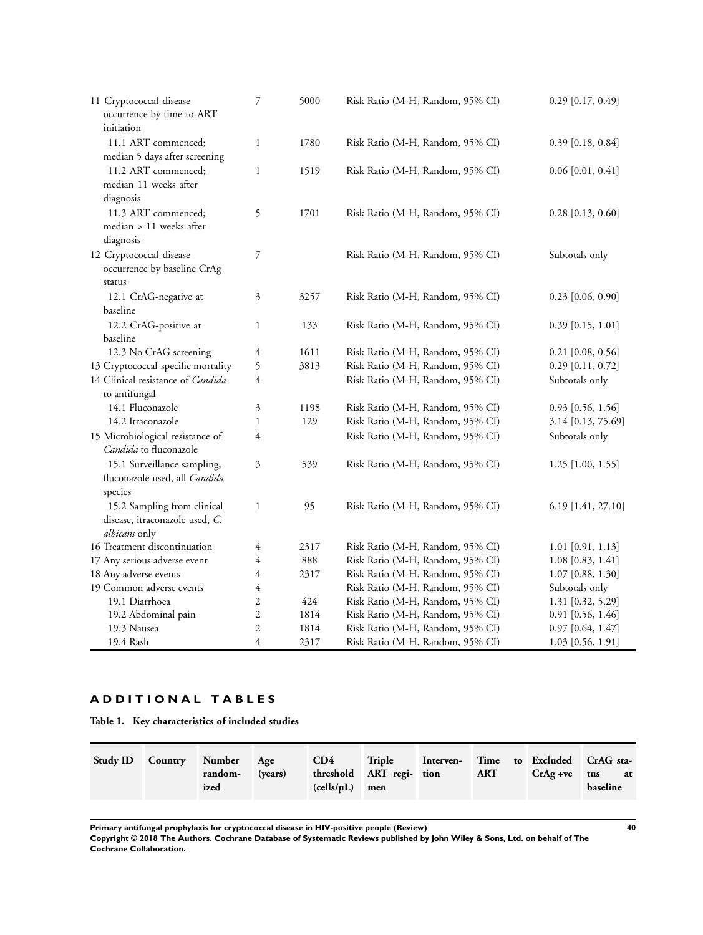<span id="page-41-0"></span>

| 11 Cryptococcal disease<br>occurrence by time-to-ART<br>initiation             | 7              | 5000 | Risk Ratio (M-H, Random, 95% CI) | $0.29$ [0.17, 0.49] |
|--------------------------------------------------------------------------------|----------------|------|----------------------------------|---------------------|
| 11.1 ART commenced;<br>median 5 days after screening                           | $\mathbf{1}$   | 1780 | Risk Ratio (M-H, Random, 95% CI) | $0.39$ [0.18, 0.84] |
| 11.2 ART commenced;<br>median 11 weeks after<br>diagnosis                      | $\mathbf{1}$   | 1519 | Risk Ratio (M-H, Random, 95% CI) | $0.06$ [0.01, 0.41] |
| 11.3 ART commenced;<br>median > 11 weeks after<br>diagnosis                    | 5              | 1701 | Risk Ratio (M-H, Random, 95% CI) | $0.28$ [0.13, 0.60] |
| 12 Cryptococcal disease<br>occurrence by baseline CrAg<br>status               | 7              |      | Risk Ratio (M-H, Random, 95% CI) | Subtotals only      |
| 12.1 CrAG-negative at<br>baseline                                              | 3              | 3257 | Risk Ratio (M-H, Random, 95% CI) | $0.23$ [0.06, 0.90] |
| 12.2 CrAG-positive at<br>baseline                                              | $\mathbf{1}$   | 133  | Risk Ratio (M-H, Random, 95% CI) | $0.39$ [0.15, 1.01] |
| 12.3 No CrAG screening                                                         | $\overline{4}$ | 1611 | Risk Ratio (M-H, Random, 95% CI) | $0.21$ [0.08, 0.56] |
| 13 Cryptococcal-specific mortality                                             | 5              | 3813 | Risk Ratio (M-H, Random, 95% CI) | $0.29$ [0.11, 0.72] |
| 14 Clinical resistance of Candida<br>to antifungal                             | $\overline{4}$ |      | Risk Ratio (M-H, Random, 95% CI) | Subtotals only      |
| 14.1 Fluconazole                                                               | $\mathfrak{Z}$ | 1198 | Risk Ratio (M-H, Random, 95% CI) | $0.93$ [0.56, 1.56] |
| 14.2 Itraconazole                                                              | $\mathbf{1}$   | 129  | Risk Ratio (M-H, Random, 95% CI) | 3.14 [0.13, 75.69]  |
| 15 Microbiological resistance of<br>Candida to fluconazole                     | 4              |      | Risk Ratio (M-H, Random, 95% CI) | Subtotals only      |
| 15.1 Surveillance sampling,<br>fluconazole used, all Candida<br>species        | 3              | 539  | Risk Ratio (M-H, Random, 95% CI) | $1.25$ [1.00, 1.55] |
| 15.2 Sampling from clinical<br>disease, itraconazole used, C.<br>albicans only | 1              | 95   | Risk Ratio (M-H, Random, 95% CI) | 6.19 [1.41, 27.10]  |
| 16 Treatment discontinuation                                                   | $\overline{4}$ | 2317 | Risk Ratio (M-H, Random, 95% CI) | $1.01$ [0.91, 1.13] |
| 17 Any serious adverse event                                                   | 4              | 888  | Risk Ratio (M-H, Random, 95% CI) | $1.08$ [0.83, 1.41] |
| 18 Any adverse events                                                          | 4              | 2317 | Risk Ratio (M-H, Random, 95% CI) | $1.07$ [0.88, 1.30] |
| 19 Common adverse events                                                       | 4              |      | Risk Ratio (M-H, Random, 95% CI) | Subtotals only      |
| 19.1 Diarrhoea                                                                 | $\overline{2}$ | 424  | Risk Ratio (M-H, Random, 95% CI) | 1.31 [0.32, 5.29]   |
| 19.2 Abdominal pain                                                            | $\overline{c}$ | 1814 | Risk Ratio (M-H, Random, 95% CI) | $0.91$ [0.56, 1.46] |
| 19.3 Nausea                                                                    | $\overline{c}$ | 1814 | Risk Ratio (M-H, Random, 95% CI) | $0.97$ [0.64, 1.47] |
| 19.4 Rash                                                                      | $\overline{4}$ | 2317 | Risk Ratio (M-H, Random, 95% CI) | 1.03 [0.56, 1.91]   |

# **A D D I T I O N A L T A B L E S**

**Table 1. Key characteristics of included studies**

| Study ID Country Number Age | random-<br>ized | (years) | CD4<br>$(cells/µL)$ men | threshold ART regi- tion | Triple Interven- Time to Excluded CrAG sta- | ART |  |  | $CrAg + ve$ tus at<br>baseline |
|-----------------------------|-----------------|---------|-------------------------|--------------------------|---------------------------------------------|-----|--|--|--------------------------------|
|-----------------------------|-----------------|---------|-------------------------|--------------------------|---------------------------------------------|-----|--|--|--------------------------------|

**Primary antifungal prophylaxis for cryptococcal disease in HIV-positive people (Review) 40**

**Copyright © 2018 The Authors. Cochrane Database of Systematic Reviews published by John Wiley & Sons, Ltd. on behalf of The Cochrane Collaboration.**

.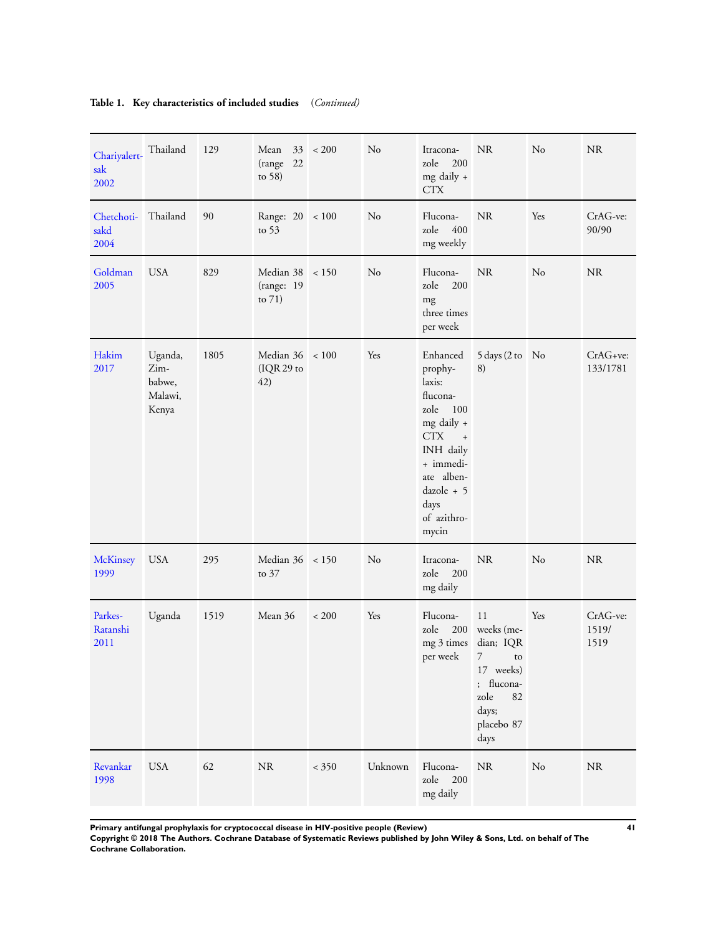| Chariyalert-<br>sak<br>2002 | Thailand                                      | 129  | Mean<br>(range<br>22<br>to $58)$          | $33 \div 200$ | No             | Itracona-<br>200<br>zole<br>mg daily +<br><b>CTX</b>                                                                                                                                      | <b>NR</b>                                                                                                        | No  | <b>NR</b>                 |
|-----------------------------|-----------------------------------------------|------|-------------------------------------------|---------------|----------------|-------------------------------------------------------------------------------------------------------------------------------------------------------------------------------------------|------------------------------------------------------------------------------------------------------------------|-----|---------------------------|
| Chetchoti-<br>sakd<br>2004  | Thailand                                      | 90   | Range: 20 < 100<br>to $53$                |               | N <sub>o</sub> | Flucona-<br>400<br>zole<br>mg weekly                                                                                                                                                      | <b>NR</b>                                                                                                        | Yes | CrAG-ve:<br>90/90         |
| Goldman<br>2005             | <b>USA</b>                                    | 829  | Median 38 < 150<br>(range: 19<br>to $71)$ |               | N <sub>o</sub> | Flucona-<br>200<br>zole<br>mg<br>three times<br>per week                                                                                                                                  | <b>NR</b>                                                                                                        | No  | <b>NR</b>                 |
| Hakim<br>2017               | Uganda,<br>Zim-<br>babwe,<br>Malawi,<br>Kenya | 1805 | Median $36 \div 100$<br>(IQR 29 to<br>42) |               | Yes            | Enhanced<br>prophy-<br>laxis:<br>flucona-<br>zole<br>100<br>mg daily +<br><b>CTX</b><br>$\ddot{}$<br>INH daily<br>+ immedi-<br>ate alben-<br>$dazole + 5$<br>days<br>of azithro-<br>mycin | 5 days (2 to No<br>8)                                                                                            |     | CrAG+ve:<br>133/1781      |
| <b>McKinsey</b><br>1999     | <b>USA</b>                                    | 295  | Median 36 < 150<br>to 37                  |               | N <sub>o</sub> | Itracona-<br>200<br>zole<br>mg daily                                                                                                                                                      | <b>NR</b>                                                                                                        | No  | <b>NR</b>                 |
| Parkes-<br>Ratanshi<br>2011 | Uganda                                        | 1519 | Mean 36                                   | $< 200$       | Yes            | Flucona-<br>zole<br>200<br>mg 3 times<br>per week                                                                                                                                         | 11<br>weeks (me-<br>dian; IQR<br>7<br>to<br>17 weeks)<br>; flucona-<br>zole<br>82<br>days;<br>placebo 87<br>days | Yes | CrAG-ve:<br>1519/<br>1519 |
| Revankar<br>1998            | <b>USA</b>                                    | 62   | $\rm NR$                                  | $<350$        | Unknown        | Flucona-<br>zole<br>200<br>mg daily                                                                                                                                                       | <b>NR</b>                                                                                                        | No  | $\rm NR$                  |

**Primary antifungal prophylaxis for cryptococcal disease in HIV-positive people (Review) 41 Copyright © 2018 The Authors. Cochrane Database of Systematic Reviews published by John Wiley & Sons, Ltd. on behalf of The Cochrane Collaboration.**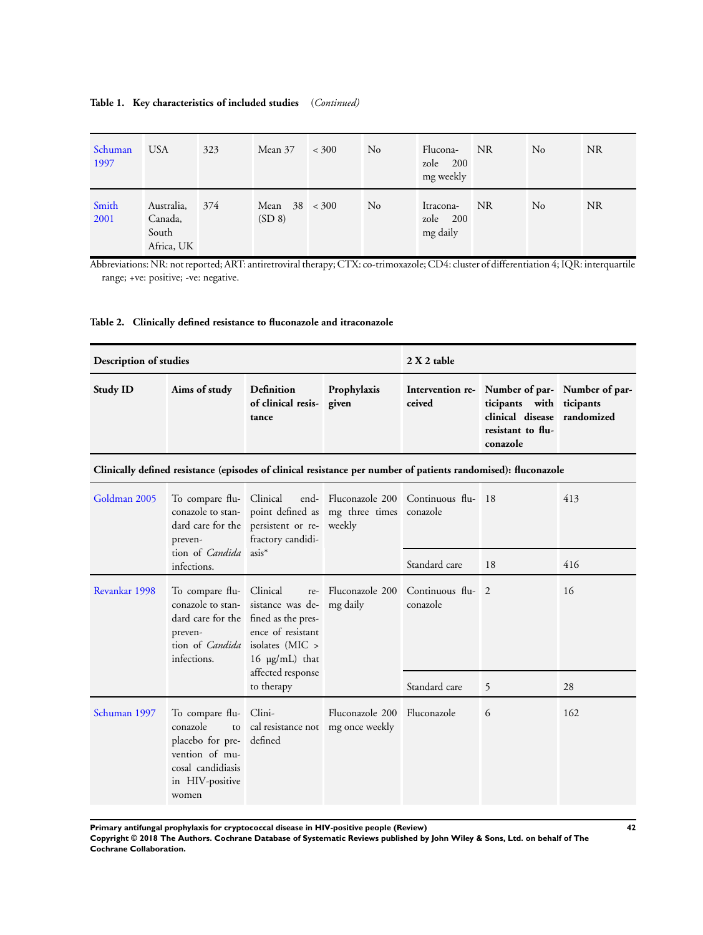# <span id="page-43-0"></span>**Table 1. Key characteristics of included studies** (*Continued)*

| Schuman<br>1997 | <b>USA</b>                                   | 323 | Mean 37                        | < 300 | No | Flucona-<br>zole 200<br>mg weekly | NR  | N <sub>0</sub> | <b>NR</b> |
|-----------------|----------------------------------------------|-----|--------------------------------|-------|----|-----------------------------------|-----|----------------|-----------|
| Smith<br>2001   | Australia,<br>Canada,<br>South<br>Africa, UK | 374 | Mean $38 \times 300$<br>(SD 8) |       | No | Itracona-<br>zole 200<br>mg daily | NR. | N <sub>0</sub> | <b>NR</b> |

Abbreviations: NR: not reported; ART: antiretroviral therapy; CTX: co-trimoxazole; CD4: cluster of differentiation 4; IQR: interquartile range; +ve: positive; -ve: negative.

# **Table 2. Clinically defined resistance to fluconazole and itraconazole**

| Description of studies |               |                                                        |             | $2 X 2$ table |                                                                                                                                            |  |  |
|------------------------|---------------|--------------------------------------------------------|-------------|---------------|--------------------------------------------------------------------------------------------------------------------------------------------|--|--|
| <b>Study ID</b>        | Aims of study | <b>Definition</b><br>of clinical resis- given<br>tance | Prophylaxis | ceived        | Intervention re- Number of par- Number of par-<br>ticipants with ticipants<br>clinical disease randomized<br>resistant to flu-<br>conazole |  |  |

**Clinically defined resistance (episodes of clinical resistance per number of patients randomised): fluconazole**

| Goldman 2005  | preven-                                                                                                                           | fractory candidi-                                                                                                                                                                       | To compare flu- Clinical end- Fluconazole 200 Continuous flu- 18<br>conazole to stan- point defined as mg three times conazole<br>dard care for the persistent or re- weekly |                               |    | 413 |
|---------------|-----------------------------------------------------------------------------------------------------------------------------------|-----------------------------------------------------------------------------------------------------------------------------------------------------------------------------------------|------------------------------------------------------------------------------------------------------------------------------------------------------------------------------|-------------------------------|----|-----|
|               | tion of <i>Candida</i> asis <sup>*</sup><br>infections.                                                                           |                                                                                                                                                                                         |                                                                                                                                                                              | Standard care                 | 18 | 416 |
| Revankar 1998 | To compare flu- Clinical<br>preven-<br>infections.                                                                                | conazole to stan-sistance was de-mg daily<br>dard care for the fined as the pres-<br>ence of resistant<br>tion of <i>Candida</i> isolates (MIC ><br>16 µg/mL) that<br>affected response | re- Fluconazole 200                                                                                                                                                          | Continuous flu- 2<br>conazole |    | 16  |
|               |                                                                                                                                   | to therapy                                                                                                                                                                              |                                                                                                                                                                              | Standard care                 | 5  | 28  |
| Schuman 1997  | To compare flu- Clini-<br>conazole<br>placebo for pre- defined<br>vention of mu-<br>cosal candidiasis<br>in HIV-positive<br>women | to cal resistance not mg once weekly                                                                                                                                                    | Fluconazole 200 Fluconazole                                                                                                                                                  |                               | 6  | 162 |

**Primary antifungal prophylaxis for cryptococcal disease in HIV-positive people (Review) 42**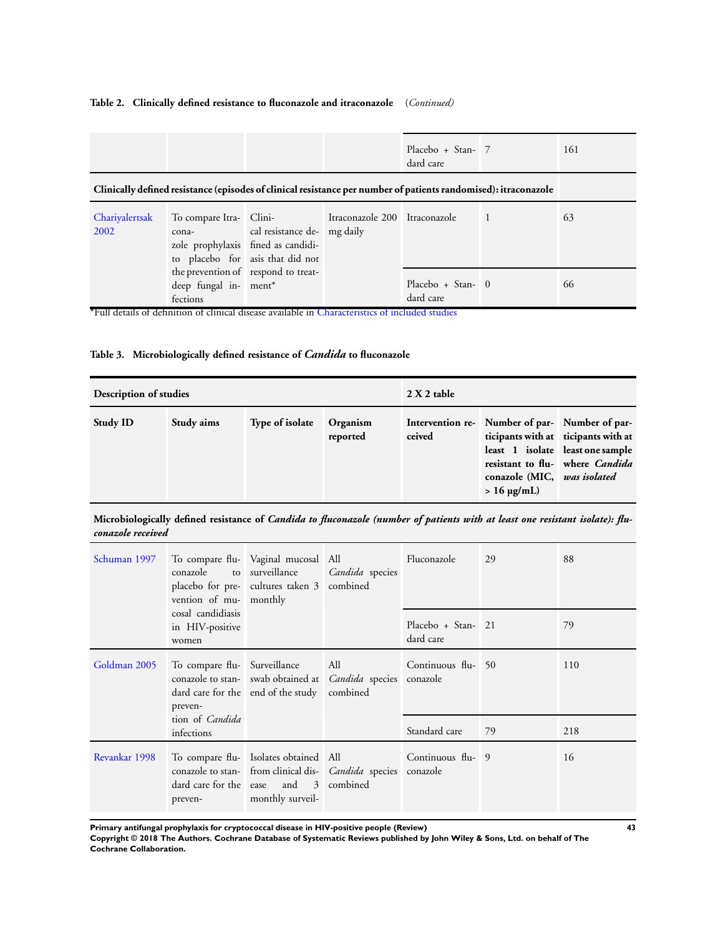# <span id="page-44-0"></span>**Table 2. Clinically defined resistance to fluconazole and itraconazole** (*Continued)*

|                        |                                   |                                                                                                                                                                | Placebo + Stan- 7<br>dard care |                | 161 |
|------------------------|-----------------------------------|----------------------------------------------------------------------------------------------------------------------------------------------------------------|--------------------------------|----------------|-----|
|                        |                                   | Clinically defined resistance (episodes of clinical resistance per number of patients randomised): itraconazole                                                |                                |                |     |
| Chariyalertsak<br>2002 | cona-                             | To compare Itra- Clini- Itraconazole 200 Itraconazole<br>cal resistance de- mg daily<br>zole prophylaxis fined as candidi-<br>to placebo for asis that did not |                                | $\overline{1}$ | 63  |
|                        | deep fungal in- ment*<br>fections | the prevention of respond to treat-                                                                                                                            | Placebo + Stan- 0<br>dard care |                | 66  |

\*Full details of definition of clinical disease available in [Characteristics of included studies](#page-24-0)

# **Table 3. Microbiologically defined resistance of** *Candida* **to fluconazole**

| Description of studies |            |                 |                      | $2 X 2$ table              |                                                                                                                       |                                                                     |  |
|------------------------|------------|-----------------|----------------------|----------------------------|-----------------------------------------------------------------------------------------------------------------------|---------------------------------------------------------------------|--|
| <b>Study ID</b>        | Study aims | Type of isolate | Organism<br>reported | Intervention re-<br>ceived | Number of par-Number of par-<br>ticipants with at ticipants with at<br>conazole (MIC, was isolated<br>$> 16 \mu g/mL$ | least 1 isolate least one sample<br>resistant to flu- where Candida |  |

# **Microbiologically defined resistance of** *Candida to fluconazole (number of patients with at least one resistant isolate): fluconazole received*

| Schuman 1997  | To compare flu-   Vaginal mucosal   All<br>conazole to surveillance<br>vention of mu- monthly | placebo for pre- cultures taken 3 combined                                                                                                                                 | <i>Candida</i> species                                                                                                                                                                                                         | Fluconazole                     | 29 | 88  |
|---------------|-----------------------------------------------------------------------------------------------|----------------------------------------------------------------------------------------------------------------------------------------------------------------------------|--------------------------------------------------------------------------------------------------------------------------------------------------------------------------------------------------------------------------------|---------------------------------|----|-----|
|               | cosal candidiasis<br>in HIV-positive<br>women                                                 |                                                                                                                                                                            |                                                                                                                                                                                                                                | Placebo + Stan- 21<br>dard care |    | 79  |
| Goldman 2005  | To compare flu- Surveillance<br>preven-                                                       | conazole to stan- swab obtained at Candida species conazole<br>dard care for the end of the study combined                                                                 | All and the same of the same of the same of the same of the same of the same of the same of the same of the same of the same of the same of the same of the same of the same of the same of the same of the same of the same o | Continuous flu- 50              |    | 110 |
|               | tion of <i>Candida</i><br>infections                                                          |                                                                                                                                                                            |                                                                                                                                                                                                                                | Standard care                   | 79 | 218 |
| Revankar 1998 | preven-                                                                                       | To compare flu- Isolates obtained All<br>conazole to stan- from clinical dis- <i>Candida</i> species conazole<br>dard care for the ease and 3 combined<br>monthly surveil- |                                                                                                                                                                                                                                | Continuous flu- 9               |    | 16  |

**Primary antifungal prophylaxis for cryptococcal disease in HIV-positive people (Review) 43**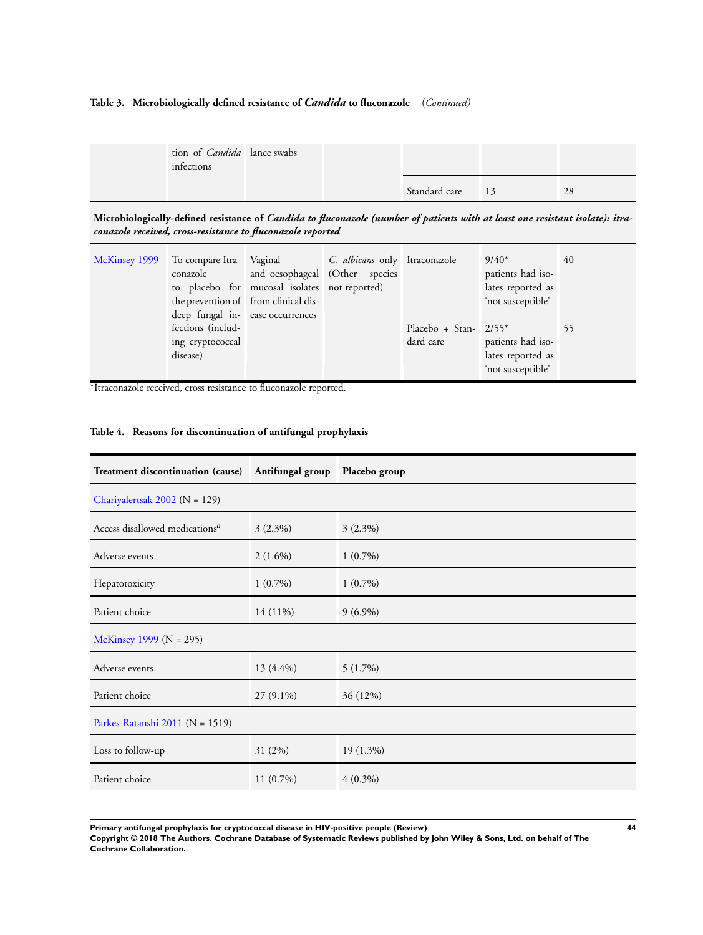# <span id="page-45-0"></span>**Table 3. Microbiologically defined resistance of** *Candida* **to fluconazole** (*Continued)*

| tion of <i>Candida</i> lance swabs<br>infections |  |                  |    |
|--------------------------------------------------|--|------------------|----|
|                                                  |  | Standard care 13 | 28 |

**Microbiologically-defined resistance of** *Candida to fluconazole (number of patients with at least one resistant isolate): itraconazole received, cross-resistance to fluconazole reported*

| McKinsey 1999 | To compare Itra- Vaginal C. albicans only Itraconazole                                | conazole and oesophageal (Other species<br>to placebo for mucosal isolates not reported)<br>the prevention of from clinical dis- |                                       | $9/40*$<br>patients had iso-<br>lates reported as<br>'not susceptible' | 40 |
|---------------|---------------------------------------------------------------------------------------|----------------------------------------------------------------------------------------------------------------------------------|---------------------------------------|------------------------------------------------------------------------|----|
|               | deep fungal in- ease occurrences<br>fections (includ-<br>ing cryptococcal<br>disease) |                                                                                                                                  | Placebo + Stan- $2/55^*$<br>dard care | patients had iso-<br>lates reported as<br>'not susceptible'            | 55 |

\*Itraconazole received, cross resistance to fluconazole reported.

| Treatment discontinuation (cause)          | Antifungal group Placebo group |             |  |  |
|--------------------------------------------|--------------------------------|-------------|--|--|
| Chariyalertsak 2002 ( $N = 129$ )          |                                |             |  |  |
| Access disallowed medications <sup>a</sup> | $3(2.3\%)$                     | $3(2.3\%)$  |  |  |
| Adverse events                             | $2(1.6\%)$                     | $1(0.7\%)$  |  |  |
| Hepatotoxicity                             | $1(0.7\%)$                     | $1(0.7\%)$  |  |  |
| Patient choice                             | 14 (11%)                       | $9(6.9\%)$  |  |  |
| McKinsey 1999 (N = 295)                    |                                |             |  |  |
| Adverse events                             | 13 (4.4%)                      | $5(1.7\%)$  |  |  |
| Patient choice                             | $27(9.1\%)$                    | 36 (12%)    |  |  |
| Parkes-Ratanshi 2011 (N = 1519)            |                                |             |  |  |
| Loss to follow-up                          | 31 (2%)                        | $19(1.3\%)$ |  |  |
| Patient choice                             | $11(0.7\%)$                    | $4(0.3\%)$  |  |  |

# **Table 4. Reasons for discontinuation of antifungal prophylaxis**

**Primary antifungal prophylaxis for cryptococcal disease in HIV-positive people (Review) 44**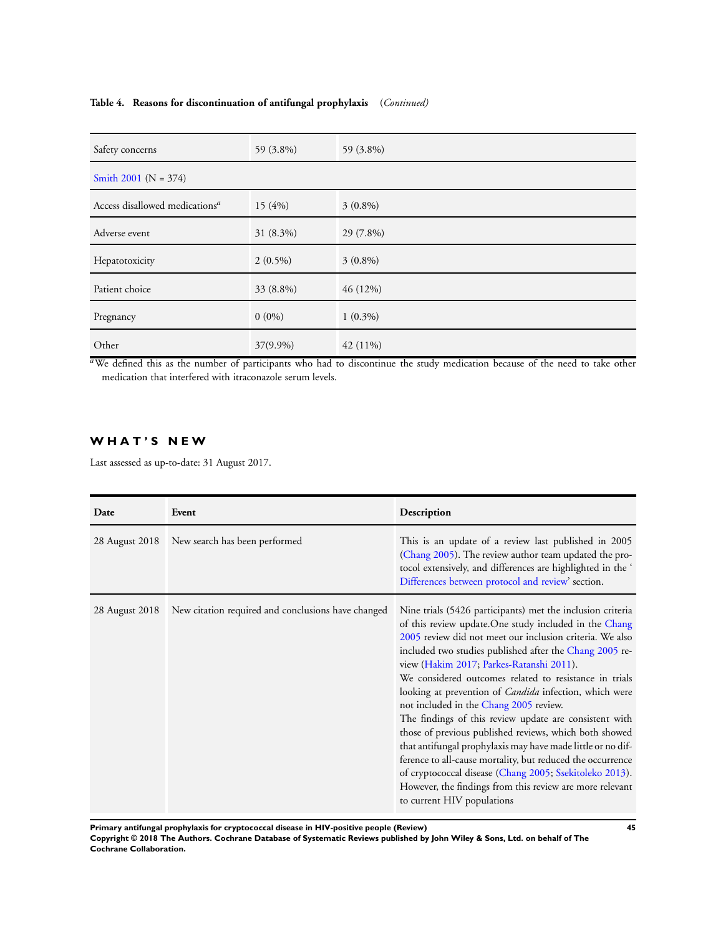# **Table 4. Reasons for discontinuation of antifungal prophylaxis** (*Continued)*

| Safety concerns                            | 59 (3.8%)  | 59 (3.8%)  |
|--------------------------------------------|------------|------------|
| Smith 2001 ( $N = 374$ )                   |            |            |
| Access disallowed medications <sup>a</sup> | 15(4%)     | $3(0.8\%)$ |
| Adverse event                              | 31 (8.3%)  | 29 (7.8%)  |
| Hepatotoxicity                             | $2(0.5\%)$ | $3(0.8\%)$ |
| Patient choice                             | 33 (8.8%)  | 46 (12%)   |
| Pregnancy                                  | $0(0\%)$   | $1(0.3\%)$ |
| Other                                      | 37(9.9%)   | $42(11\%)$ |

<sup>a</sup>We defined this as the number of participants who had to discontinue the study medication because of the need to take other medication that interfered with itraconazole serum levels.

# **W H A T ' S N E W**

Last assessed as up-to-date: 31 August 2017.

| Date           | Event                                              | Description                                                                                                                                                                                                                                                                                                                                                                                                                                                                                                                                                                                                                                                                                                                                                                                                                                                        |
|----------------|----------------------------------------------------|--------------------------------------------------------------------------------------------------------------------------------------------------------------------------------------------------------------------------------------------------------------------------------------------------------------------------------------------------------------------------------------------------------------------------------------------------------------------------------------------------------------------------------------------------------------------------------------------------------------------------------------------------------------------------------------------------------------------------------------------------------------------------------------------------------------------------------------------------------------------|
| 28 August 2018 | New search has been performed                      | This is an update of a review last published in 2005<br>(Chang 2005). The review author team updated the pro-<br>tocol extensively, and differences are highlighted in the '<br>Differences between protocol and review' section.                                                                                                                                                                                                                                                                                                                                                                                                                                                                                                                                                                                                                                  |
| 28 August 2018 | New citation required and conclusions have changed | Nine trials (5426 participants) met the inclusion criteria<br>of this review update. One study included in the Chang<br>2005 review did not meet our inclusion criteria. We also<br>included two studies published after the Chang 2005 re-<br>view (Hakim 2017; Parkes-Ratanshi 2011).<br>We considered outcomes related to resistance in trials<br>looking at prevention of <i>Candida</i> infection, which were<br>not included in the Chang 2005 review.<br>The findings of this review update are consistent with<br>those of previous published reviews, which both showed<br>that antifungal prophylaxis may have made little or no dif-<br>ference to all-cause mortality, but reduced the occurrence<br>of cryptococcal disease (Chang 2005; Ssekitoleko 2013).<br>However, the findings from this review are more relevant<br>to current HIV populations |

**Primary antifungal prophylaxis for cryptococcal disease in HIV-positive people (Review) 45**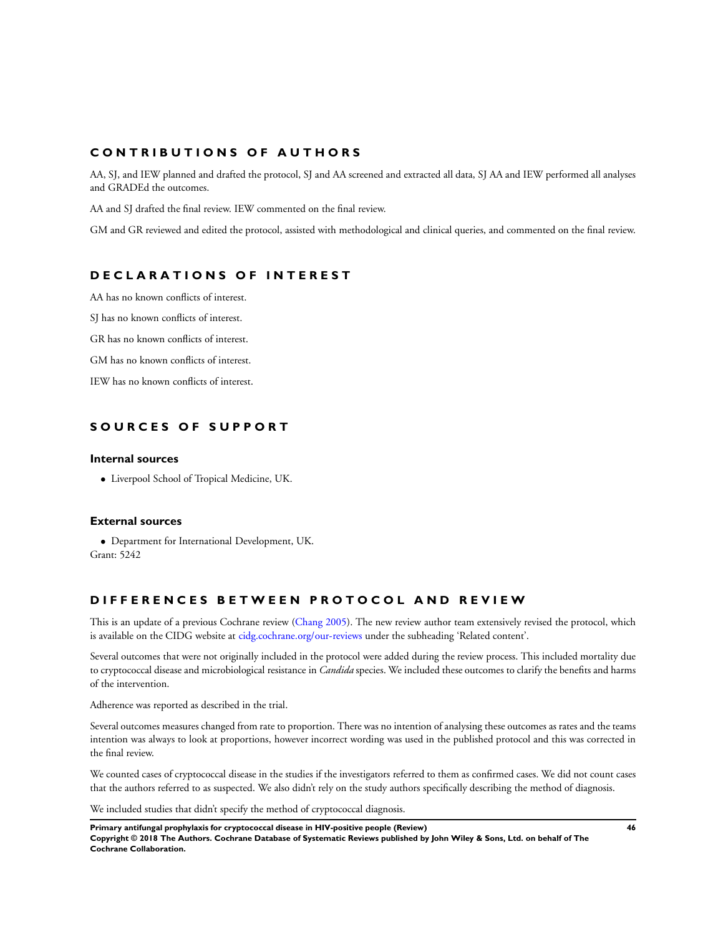# <span id="page-47-0"></span>**C O N T R I B U T I O N S O F A U T H O R S**

AA, SJ, and IEW planned and drafted the protocol, SJ and AA screened and extracted all data, SJ AA and IEW performed all analyses and GRADEd the outcomes.

AA and SJ drafted the final review. IEW commented on the final review.

GM and GR reviewed and edited the protocol, assisted with methodological and clinical queries, and commented on the final review.

# **D E C L A R A T I O N S O F I N T E R E S T**

AA has no known conflicts of interest.

SJ has no known conflicts of interest.

GR has no known conflicts of interest.

GM has no known conflicts of interest.

IEW has no known conflicts of interest.

# **S O U R C E S O F S U P P O R T**

### **Internal sources**

• Liverpool School of Tropical Medicine, UK.

### **External sources**

• Department for International Development, UK. Grant: 5242

# **D I F F E R E N C E S B E T W E E N P R O T O C O L A N D R E V I E W**

This is an update of a previous Cochrane review ([Chang 2005\)](#page-20-0). The new review author team extensively revised the protocol, which is available on the CIDG website at [cidg.cochrane.org/our-reviews](http://cidg.cochrane.org/our-reviews) under the subheading 'Related content'.

Several outcomes that were not originally included in the protocol were added during the review process. This included mortality due to cryptococcal disease and microbiological resistance in *Candida* species. We included these outcomes to clarify the benefits and harms of the intervention.

Adherence was reported as described in the trial.

Several outcomes measures changed from rate to proportion. There was no intention of analysing these outcomes as rates and the teams intention was always to look at proportions, however incorrect wording was used in the published protocol and this was corrected in the final review.

We counted cases of cryptococcal disease in the studies if the investigators referred to them as confirmed cases. We did not count cases that the authors referred to as suspected. We also didn't rely on the study authors specifically describing the method of diagnosis.

We included studies that didn't specify the method of cryptococcal diagnosis.

**Primary antifungal prophylaxis for cryptococcal disease in HIV-positive people (Review) 46**